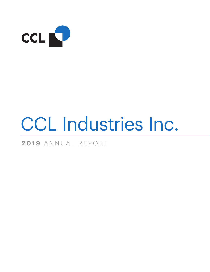

# CCL Industries Inc.

**2019** ANNUAL REPORT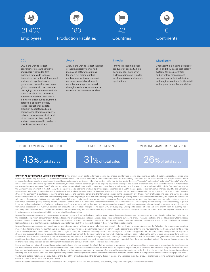







#### **CCL**

CCL is the world's largest converter of pressure sensitive and specialty extruded film materials for a wide range of decorative, instructional, functional and security applications for government institutions and large global customers in the consumer packaging, healthcare & chemicals, consumer electronic device and automotive markets. Extruded & laminated plastic tubes, aluminum aerosols & specialty bottles, folded instructional leaflets, precision decorated & die cut components, electronic displays, polymer banknote substrate and other complementary products and services are sold in parallel to specific end-use markets.

#### Avery

Avery is the world's largest supplier of labels, specialty converted media and software solutions for short-run digital printing applications for businesses and consumers available alongside complementary products sold through distributors, mass-market stores and e-commerce retailers.

#### Innovia

Innovia is a leading global producer of specialty, highperformance, multi-layer, surface engineered films for label, packaging and security applications.

#### **Checkpoint**

Checkpoint is a leading developer of RF and RFID-based technology systems for loss prevention and inventory management applications, including labeling and tagging solutions, for the retail and apparel industries worldwide.

#### NORTH AMERICA REPRESENTS



#### EUROPE REPRESENTS



#### EMERGING MARKETS REPRESENTS



**CAUTION ABOUT FORWARD-LOOKING INFORMATION** This annual report contains forward-looking information and forward-looking statements, as defined under applicable securities laws, (hereinafter collectively referred to as "forward-looking statements") that involve a number of risks and uncertainties. Forward-looking statements include all statements that are predictive in nature or depend on future events or conditions. Forward-looking statements are typically identified by, but not limited to, the words "believes," "expects," anticipates," "estimates," "intends," "plans" or similar expressions. Statements regarding the operations, business, financial condition, priorities, ongoing objectives, strategies and outlook of the Company, other than statements of historical fact, are forward-looking statements. Specifically, this annual report contains forward-looking statements regarding the anticipated growth in sales, income and profitability of the Company's segments; the Company's improvement in market share; the Company's capital spending levels and planned capital expenditures in 2020; the adequacy of the Company's financial liquidity; the Company's targeted return on equity, improved return on total capital, adjusted earnings per share, EBITDA growth rates and dividend payout; the Company's effective tax rate; the Company's ongoing business strategy; the Company's expectations regarding general business and economic conditions; the Company's expectation to successfully divert waste from landfill, reducing costs and having a positive sustainability impact for its customer; the Innovia segment success regarding a multi-year period renegotiating pass-through pricing mechanisms in customer contracts; the impact the coronavirus will have on the economy in China and potentially the global supply chain; the Company's success in passing on foreign exchange movements and input cost changes to its customer base; the Company's success in quickly initiating actions to reduce variable costs if the economic environment weakens; CCL Secure's success in developing market leading security technology to pursue long-term widespread adoption of polymer banknotes; the Company's expectations that Avery will have sustainable growth in its direct-to-consumer offering including incremental acquisitions; the Company's expectation that Avery will develop new products and have stable margins for its legacy OPG product group; Checkpoint's capture of sales and profit growth from the evolving radiofrequency identification ("RFID") market and will consider complimentary and tuck-in business acquisitions; Innovia's success in filling the capacity of its new manufacturing line in Mexico; and Innovia's success at improving profitability at its pending Flexpol acquisition.

Forward-looking statements are not guarantees of future performance. They involve known and unknown risks and uncertainties relating to future events and conditions including, but not limited to, the impact of competition; consumer confidence and spending preferences; general economic and geopolitical conditions; currency exchange rates; interest rates and credit availability; technological change; changes in government regulations; risks associated with operating and product hazards; and the Company's ability to attract and retain qualified employees. Do not unduly rely on forwardlooking statements as the Company's actual results could differ materially from those anticipated in these forward-looking statements.

Forward-looking statements are also based on a number of assumptions, which may prove to be incorrect, including, but not limited to, assumptions about the following: higher consumer spending; improved customer demand for the Company's products; continued historical growth trends, market growth in specific segments and entering into new segments; the Company's ability to provide a wide range of products to multinational customers on a global basis; the benefits of the Company's focused strategies and operational approach; the Company's ability to implement its acquisition strategy and successfully integrate acquired businesses; the achievement of the Company's plans for improved efficiency and lower costs, including the ability to pass on polypropylene resin cost increases to its customers; the availability of cash and credit; fluctuations of currency exchange rates; the Company's continued relations with its customers; and general business and economic conditions. Should one or more risks materialize or should any assumptions prove incorrect, then actual results could vary materially from those expressed or implied in the forward-looking statements. Further details on key risks can be found throughout this report and particularly in Section 4: "Risks and Uncertainties."

Except as otherwise indicated, forward-looking statements do not take into account the effect that transactions or non-recurring or other special items announced or occurring after the statements are made may have on the business. Such statements do not, unless otherwise specified by the Company, reflect the impact of dispositions, sales of assets, monetizations, mergers, acquisitions, other business combinations or transactions, asset write-downs or other charges announced or occurring after forward-looking statements are made. The financial impact of these transactions and nonrecurring and other special items can be complex and depends on the facts particular to each of them and therefore cannot be described in a meaningful way in advance of knowing specific facts.

The forward-looking statements are provided as of the date of this annual report and the Company does not assume any obligation to update or revise the forward-looking statements to reflect new events or circumstances, except as required by law.

Unless the context otherwise indicates, a reference to "the Company" means CCL Industries Inc., its subsidiary companies and equity-accounted investments.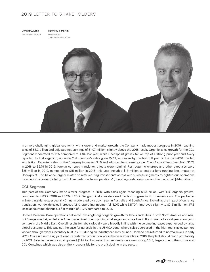# 2019 LETTER TO SHAREHOLDERS



**Geoffrey T. Martin** President and

Chief Executive Officer



In a more challenging global economy, with slower end-market growth, the Company made modest progress in 2019, reaching sales of \$5.3 billion and adjusted net earnings of \$497 million, slightly above the 2018 result. Organic sales growth for the CCL Segment moderated to 1.1% compared to 4.8% last year, while Checkpoint grew 2.6% on top of a strong prior year and Avery reported its first organic gain since 2015. Innovia's sales grew 15.7%, all driven by the first full year of the mid-2018 Treofan acquisition. Reported sales for the Company increased 3.1% and adjusted basic earnings per Class B share\* improved from \$2.73 in 2018 to \$2.79 in 2019; foreign currency translation effects were nominal. Restructuring charges and other expenses were \$25 million in 2019, compared to \$15 million in 2018; this year included \$13 million to settle a long-running legal matter at Checkpoint. The balance largely related to restructuring investments across our business segments to tighten our operations for a period of lower global growth. Free cash flow from operations\* (operating cash flows) was another record at \$444 million.

# CCL Segment

This part of the Company made slower progress in 2019, with sales again reaching \$3.3 billion, with 1.1% organic growth, compared to 4.8% in 2018 and 6.2% in 2017. Geographically, we delivered modest progress in North America and Europe, better in Emerging Markets, especially China, moderated by a down year in Australia and South Africa. Excluding the impact of currency translation, worldwide sales increased 1.8%, operating income\* fell 3.0% while EBITDA\* improved slightly to \$716 million on IFRS lease accounting changes, a flat margin of 21.7% compared to 2018.

**Home & Personal Care** operations delivered low-single-digit organic growth for labels and tubes in both North America and Asia, but Europe was flat, while Latin America declined due to pricing challenges and share loss in Brazil. We had a solid year at our joint venture in the Middle East. Overall results for labels globally were broadly in line with the volume increases experienced by large global customers. This was not the case for aerosols in the USMCA zone, where sales decreased in the high teens as customers worked through excess inventory built in 2018 during an industry capacity crunch. Demand has returned to normal levels in early 2020. Our aluminum slug joint venture restarted production late in the year after a fire in 2018; the plant should reach profitability by 2021. Sales in the sector again passed \$1 billion but were down modestly on a very strong 2018, largely due to the soft year at CCL Container, which was also entirely responsible for the profit decline in the sector.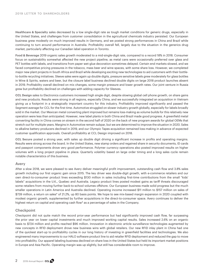**Healthcare & Specialty** sales decreased by a low single-digit rate as tough market conditions for generic drugs, especially in the United States, and challenges from customer consolidation in the agricultural chemicals industry persisted. Our European business grew modestly on much improved results in Germany, and we posted strong performances in China and Brazil while continuing to turn around performance in Australia. Profitability overall fell, largely due to the situation in the generics drug market, particularly affecting our Canadian label operation in Toronto.

**Food & Beverage** 2019 organic sales growth moderated to a mid-single-digit rate, compared to a record 18% in 2018. Consumer focus on sustainability somewhat affected the new project pipeline, as metal cans were occasionally preferred over glass and PET bottles with labels, and transitions from paper wet-glue decoration sometimes delayed. Certain end markets slowed, and we faced competitive pricing pressures in the tobacco, mass beer and wine spaces, with some share loss. However, we completed major new plant projects in South Africa and Brazil while developing exciting new technologies to aid customers with their bottleto-bottle recycling initiatives. Sleeve sales were again up double digits, pressure sensitive labels grew moderately for glass bottles in Wine & Spirits, waters and beer, but the closure label business declined double digits on large 2018 product launches absent in 2019. Profitability overall declined on mix changes, some margin pressure and lower growth rates. Our joint venture in Russia grew but profitability declined on challenges with adding capacity for Sleeves.

**CCL Design** sales to Electronics customers increased high single digit, despite slowing global cell phone growth, on share gains and new products. Results were strong in all regions, especially China, and we successfully integrated an acquisition in Vietnam giving us a footprint in a strategically important country for this industry. Profitability improved significantly and passed the Segment average for CCL for the first time. Automotive struggled on slower industry growth globally, especially for labels broadly sold in the market. Our Mexican metal converting plant improved but remains loss-making as volume builds for this relatively new operation were less than anticipated. However, new label plants in both China and Brazil made good progress. A greenfield metal converting facility in China comes on stream in the second half of 2020 on the back of new program awards for global OEMs that stretch out for multiple years. Margins in Automotive remain subpar, but we are determined to improve the situation in 2020. Sales to alkaline battery producers declined in 2019, and our Olympic Tapes acquisition remained loss-making in advance of expected customer qualification approvals. Overall profitability at CCL Design improved on 2018.

**CCL Secure** posted a strong year, with sales up double digit driving a significant increase in profits and operating margins. Results were strong across the board. In the United States, new stamp orders and regained share in security documents, ID cards and passport components drove very good performance. Polymer currency operations also posted improved results on higher volumes with a long project pipeline in place. Quarterly volatility based on large order timing and a long sales cycle remain notable characteristics of this business.

# Avery

After a slow 2018, we were pleased to see Avery deliver meaningful profit improvement, outstanding cash flow and 3.8% sales growth including our first organic gain since 2015. The key driver was double-digit growth, with e-commerce retailers and our own direct-to-consumer product lines exceeding \$130 million in sales including first-time contributions from the small "kids' labels" acquisitions in the U.K., Quebec and Australia. Legacy product lines posted modest gains as tariff threats discouraged some retailers from moving further back-to-school volumes offshore. Our European business made solid progress but the much smaller operations in Latin America and Australia declined. Operating income increased \$11 million to \$157 million on sales of \$739 million, a return on sales\* of 21.2%, up 80 basis points. We hope to see mix-based margin expansion in 2020 coupled with modest organic growth, supplemented by further acquisitions in the direct-to-consumer space. Avery continues to deliver the highest return on capital and operating cash flow\* as a percentage of sales in the Company.

# **Checkpoint**

Checkpoint did not quite match the record prior-year performance but had significantly improved cash flow, far surpassing the prior year on lower capital investments and much improved working capital results. Sales increased 2.6% on an organic basis to \$724 million and profits reached \$96 million. Innovation in electronic article surveillance technologies augmented by new concepts in RFID deployment drove new business wins with global retailers. Our new RFID inlay plant in China had one of the quickest start-up to profitability cycles in our long history of investing in greenfield facilities and technologies. We also engineered many improvements to our HALO software product line to aid retailer RFID deployment and reduced the gap to move into profitability. Our apparel labeling business declined on share loss in the United States but held its important market positions in Europe and Asia Pacific. Operating margin was up slightly, but still has considerable room to improve.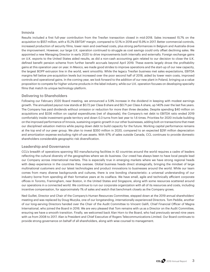# Innovia

Results included a first full-year contribution from the Treofan transaction closed in mid-2018. Sales increased 15.7% on the acquisition to \$557 million, with a 15.2% EBITDA\* margin, compared to 12.1% in 2018 and 15.9% in 2017. Better commercial controls, increased production of security films, lower resin and overhead costs, plus strong performances in Belgium and Australia drove the improvement. However, our large U.K. operation continued to struggle as cost savings could only offset declining sales. We appointed a new Managing Director in early 2020 to drive improvements both internally and externally. Foreign exchange gains on U.K. exports to the United States aided results, as did a non-cash accounting gain related to our decision to close the U.K. defined benefit pension scheme from further benefit accruals beyond April 2019. These events largely drove the profitability gains at this operation year on year. In Mexico, we made good strides to improve operations and the start-up of our new capacity, the largest BOPP extrusion line in the world, went smoothly. While the legacy Treofan business met sales expectations, EBITDA margins fell below pre-acquisition levels but increased over the poor second half of 2018, aided by lower resin costs, improved controls and operational gains. In the coming year, we look forward to the addition of our new plant in Poland, bringing us a value proposition to compete for higher volume products in the label industry, while our U.K. operation focuses on developing specialty films that match its unique technology platform.

# Delivering to Shareholders

Following our February 2020 Board meeting, we announced a 5.9% increase in the dividend in keeping with modest earnings growth. The annualized payout now stands at \$0.72 per Class B share and \$0.71 per Class A share, up 140% over the last five years. The Company has paid dividends without omission or reduction for more than three decades. Despite spending \$40 million on acquisitions and \$336 million on capital expenditures (net of disposals), the Company's net debt to EBITDA ratio ended 2019 comfortably inside investment-grade territory and down 0.3 turns from last year to 1.6 times. Priorities for 2020 include building on the improved performance of Innovia, sustaining organic growth in our other businesses, adding bolt-on transactions that meet our disciplined valuation metrics while paying down debt to build capacity for the future. Working capital performance remains at the top end of our peer group. We plan to invest \$350 million in 2020, compared to an expected \$291 million depreciation and amortization expense excluding right-of-use assets. With 97% of sales outside Canada, CCL continues to provide domestic shareholders considerable geographic risk diversification.

# Leadership and Governance

CCL's breadth of operations spanning 183 manufacturing facilities in 42 countries around the world requires a cadre of leaders reflecting the cultural diversity of the geographies where we do business. Our creed has always been to have local people lead our Company across international markets. This is especially true in emerging markets where we have strong regional heads with deep experience in the countries they oversee. Global business heads direct strategically, bringing the mindset of large multinational customers and our latest technologies and product innovations to businesses around the world. While our team comes from many diverse backgrounds and cultures, there is one bonding characteristic: a universal understanding of our industry borne from spending all their formative years at its coalface. We have small, agile and technically efficient corporate offices in Toronto, Framingham, near Boston, in the United States and Singapore, along with some resources scattered around our operations in a connected world. We continue to run our corporate organization with all of its resources and costs, including incentive compensation, for approximately 1% of sales and watch that benchmark closely as the Company grows.

Ned Guillet, Director and Chair of the Company's Human Resources Committee, stepped down at the 2019 annual shareholders' meeting and was replaced by Doug Muzyka, one of our longstanding, internationally experienced Directors. Tom Peddie, another of our long-serving Directors handed over the Chair of the Audit Committee to Vincent Galifi, Chief Financial Officer of Magna International, who joined the Board in 2016. We are very pleased that Tom remains with us as a Director on the Audit Committee, ensuring we have a smooth transition. Finally, we welcomed back Alan Horn to the Board, who had previously served nine years with us from 2008 to 2017. Alan is President and Chief Executive of Rogers Telecommunications Limited. Our Board continues to provide strong governance on behalf of all shareholders, along with wise counsel to management.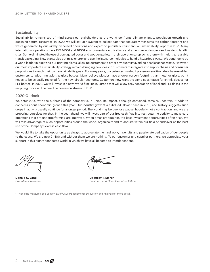# **Sustainability**

Sustainability remains top of mind across our stakeholders as the world confronts climate change, population growth and declining natural resources. In 2020, we will set up a system to collect data that accurately measures the carbon footprint and waste generated by our widely dispersed operations and expect to publish our first annual Sustainability Report in 2021. Many international operations have ISO 14001 and 16001 environmental certifications and a number no longer send waste to landfill sites. Some eliminated the use of corrugated boxes and wooden pallets in their operations, replacing them with multi-trip reusable transit packaging. New plants also optimize energy and use the latest technologies to handle hazardous waste. We continue to be a world leader in digitizing our printing plants, allowing customers to order any quantity avoiding obsolescence waste. However, our most important sustainability strategy remains bringing new ideas to customers to integrate into supply chains and consumer propositions to reach their own sustainability goals. For many years, our patented wash-off pressure sensitive labels have enabled customers to adopt multiple-trip glass bottles. Many believe plastics have a lower carbon footprint than metal or glass, but it needs to be as easily recycled for the new circular economy. Customers now want the same advantages for shrink sleeves for PET bottles. In 2020, we will invest in a new hybrid film line in Europe that will allow easy separation of label and PET flakes in the recycling process. The new line comes on stream in 2021.

# 2020 Outlook

We enter 2020 with the outbreak of the coronavirus in China. Its impact, although contained, remains uncertain. It adds to concerns about economic growth this year. Our industry grew at a subdued, slower pace in 2019, and history suggests such drops in activity usually continue for a longer period. The world may be due for a pause, hopefully not a contraction, and we are preparing ourselves for that. In the year ahead, we will invest part of our free cash flow into restructuring activity to make sure operations that are underperforming are improved. When times are tougher, the best investment opportunities often arise. We will take advantage of such opportunities around the world: organically and to acquire within our field of endeavor as the best use of the Company's excess cash flow.

We would like to take the opportunity as always to appreciate the hard work, ingenuity and passionate dedication of our people to the cause. We are now 21,400 and without them we are nothing. To our customer and supplier partners, we appreciate your support in this highly connected world in which we have all become so interdependent.

**Donald G. Lang Construction Construction Construction Ceoffrey T. Martin** *Executive Chairman President and Chief Executive Officer*

Non-IFRS measures; see Section 5A of CCL's Management's Discussion and Analysis for more detail.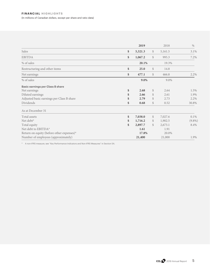|                                           | 2019          |               | 2018    | $\%$      |
|-------------------------------------------|---------------|---------------|---------|-----------|
| <b>Sales</b>                              | \$<br>5,321.3 | \$            | 5,161.5 | 3.1%      |
| <b>EBITDA</b>                             | \$<br>1,067.2 | $\mathcal{S}$ | 995.3   | 7.2%      |
| % of sales                                | 20.1%         |               | 19.3%   |           |
| Restructuring and other items             | \$<br>25.0    | $\mathcal{S}$ | 14.8    |           |
| Net earnings                              | \$<br>477.1   | \$            | 466.8   | 2.2%      |
| % of sales                                | 9.0%          |               | 9.0%    |           |
| <b>Basic earnings per Class B share</b>   |               |               |         |           |
| Net earnings                              | \$<br>2.68    | \$            | 2.64    | 1.5%      |
| Diluted earnings                          | \$<br>2.66    | \$            | 2.61    | 1.9%      |
| Adjusted basic earnings per Class B share | \$<br>2.79    | \$            | 2.73    | 2.2%      |
| Dividends                                 | \$<br>0.68    | \$            | 0.52    | 30.8%     |
| As at December 31                         |               |               |         |           |
| Total assets                              | \$<br>7,038.0 | \$            | 7,027.6 | $0.1\%$   |
| Net debt*                                 | \$<br>1,716.2 | \$            | 1,902.5 | $(9.8\%)$ |
| Total equity                              | \$<br>2,897.7 | $\mathcal{S}$ | 2,673.1 | 8.4%      |
| Net debt to EBITDA*                       | 1.61          |               | 1.91    |           |
| Return on equity (before other expenses)* | 17.8%         |               | 20.0%   |           |
| Number of employees (approximately)       | 21,400        |               | 21,000  | 1.9%      |

\* A non-IFRS measure; see "Key Performance Indicators and Non-IFRS Measures" in Section 5A.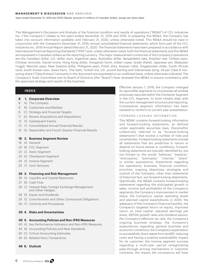Years ended December 31, 2019 and 2018 (Tabular amounts in millions of Canadian dollars, except per share data)

This Management's Discussion and Analysis of the financial condition and results of operations ("MD&A") of CCL Industries Inc. ("the Company") relates to the years ended December 31, 2019 and 2018. In preparing this MD&A, the Company has taken into account information available until February 21, 2020, unless otherwise noted. This MD&A should be read in conjunction with the Company's December 31, 2019, annual consolidated financial statements, which form part of the CCL Industries Inc. 2019 Annual Report dated February 21, 2020. The financial statements have been prepared in accordance with International Financial Reporting Standards ("IFRS") and, unless otherwise noted, both the financial statements and this MD&A are expressed in Canadian dollars as the reporting currency. The major measurement currencies of the Company's operations are the Canadian dollar, U.S. dollar, euro, Argentine peso, Australian dollar, Bangladeshi taka, Brazilian real, Chilean peso, Chinese renminbi, Danish krone, Hong Kong dollar, Hungarian forint, Indian rupee, Israeli shekel, Japanese yen, Malaysian ringgit, Mexican peso, New Zealand dollar, Philippine peso, Polish zloty, Russian ruble, Singaporean dollar, South African rand, South Korean won, Swiss franc, Thai baht, Turkish lira, U.K. pound sterling and Vietnamese dong. All per Class B nonvoting share ("Class B share") amounts in this document are expressed on an undiluted basis, unless otherwise indicated. The Company's Audit Committee and its Board of Directors (the "Board") have reviewed this MD&A to ensure consistency with the approved strategy and results of the business.

# **INDEX**

- **8 1. Corporate Overview**
- 8 A) The Company
- 8 B) Customers and Markets
- 8 C) Strategy and Financial Targets
- 11 D) Recent Acquisitions and Dispositions
- 12 E) Subsequent Events
- 13 F) Consolidated Annual Financial Results
- 15 G) Seasonality and Fourth Quarter Financial Results

#### **18 2. Business Segment Review**

- 18 A) General
- 20 B) CCL Segment
- 22 C) Avery Segment
- 23 D) Checkpoint Segment
- 24 E) Innovia Segment
- 25 F) Joint Ventures

#### **26 3. Financing and Risk Management**

- 26 A) Liquidity and Capital Resources
- 27 B) Cash Flow
- 28 C) Interest Rate, Foreign Exchange Management and Other Hedges
- 28 D) Equity and Dividends
- 29 E) Commitments and Other Contractual Obligations
- 30 F) Controls and Procedures

# **30 4. Risks and Uncertainties**

#### **40 5. Accounting Policies and Non-IFRS Measures**

- 40 A) Key Performance Indicators and Non-IFRS Measures
- 44 B) Accounting Policies and New Standards
- 45 C) Critical Accounting Estimates
- 45 D) Related Party Transactions

# **46 6. Outlook**

Effective January 1, 2018, the Company changed its reportable segments to incorporate all entities previously reported within the Container Segment in the CCL Segment, to more closely align with the current management structure and reporting. Comparative segment information has been restated to conform to current year presentation.

#### FORWARD-LOOKING INFORMATION

This MD&A contains forward-looking information and forward-looking statements, as defined under applicable securities laws, (hereinafter collectively referred to as "forward-looking statements") that involve a number of risks and uncertainties. Forward-looking statements include all statements that are predictive in nature or depend on future events or conditions. Forwardlooking statements are typically identified by, but not limited to, the words "believes," "expects," "anticipates," "estimates," "intends," "plans" or similar expressions. Statements regarding the operations, business, financial condition, priorities, ongoing objectives, strategies and outlook of the Company, other than statements of historical fact, are forward-looking statements. Specifically, this MD&A contains forward-looking statements regarding the anticipated growth in sales, income and profitability of the Company's segments; the Company's improvement in market share; the Company's capital spending levels and planned capital expenditures in 2020; the adequacy of the Company's financial liquidity; the Company's targeted return on equity, improved return on total capital, adjusted earnings per share, EBITDA growth rates and dividend payout; the Company's effective tax rate; the Company's ongoing business strategy; the Company's expectations regarding general business and economic conditions; the Company's expectation to successfully divert waste from landfill, reducing costs and having a positive sustainability impact for its customer; the Innovia segment success regarding a multi-year period renegotiating pass-through pricing mechanisms in customer contracts; the impact the coronavirus will have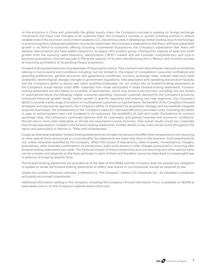on the economy in China and potentially the global supply chain; the Company's success in passing on foreign exchange movements and input cost changes to its customer base; the Company's success in quickly initiating actions to reduce variable costs if the economic environment weakens; CCL Secure's success in developing market leading security technology to pursue long-term widespread adoption of polymer banknotes; the Company's expectations that Avery will have sustainable growth in its direct-to-consumer offering including incremental acquisitions; the Company's expectation that Avery will develop new products and have stable margins for its legacy OPG product group; Checkpoint's capture of sales and profit growth from the evolving radio-frequency identification ("RFID") market and will consider complimentary and tuck-in business acquisitions; Innovia's success in filling the capacity of its new manufacturing line in Mexico; and Innovia's success at improving profitability at its pending Flexpol acquisition.

Forward-looking statements are not guarantees of future performance. They involve known and unknown risks and uncertainties relating to future events and conditions including, but not limited to, the impact of competition; consumer confidence and spending preferences; general economic and geopolitical conditions; currency exchange rates; interest rates and credit availability; technological change; changes in government regulations; risks associated with operating and product hazards; and the Company's ability to attract and retain qualified employees. Do not unduly rely on forward-looking statements as the Company's actual results could differ materially from those anticipated in these forward-looking statements. Forwardlooking statements are also based on a number of assumptions, which may prove to be incorrect, including, but not limited to, assumptions about the following: higher consumer spending; improved customer demand for the Company's products; continued historical growth trends, market growth in specific segments and entering into new segments; the Company's ability to provide a wide range of products to multinational customers on a global basis; the benefits of the Company's focused strategies and operational approach; the Company's ability to implement its acquisition strategy and successfully integrate acquired businesses; the achievement of the Company's plans for improved efficiency and lower costs, including the ability to pass on polypropylene resin cost increases to its customers; the availability of cash and credit; fluctuations of currency exchange rates; the Company's continued relations with its customers; and general business and economic conditions. Should one or more risks materialize or should any assumptions prove incorrect, then actual results could vary materially from those expressed or implied in the forward-looking statements. Further details on key risks can be found throughout this report and particularly in Section 4: "Risks and Uncertainties."

Except as otherwise indicated, forward-looking statements do not take into account the effect that transactions or non-recurring or other special items announced or occurring after the statements are made may have on the business. Such statements do not, unless otherwise specified by the Company, reflect the impact of dispositions, sales of assets, monetizations, mergers, acquisitions, other business combinations or transactions, asset write-downs or other charges announced or occurring after forward-looking statements are made. The financial impact of these transactions and non-recurring and other special items can be complex and depends on the facts particular to each of them and therefore cannot be described in a meaningful way in advance of knowing specific facts.

The forward-looking statements are provided as of the date of this MD&A and the Company does not assume any obligation to update or revise the forward-looking statements to reflect new events or circumstances, except as required by law.

Unless the context otherwise indicates, a reference to "the Company" means CCL Industries Inc., its subsidiary companies and equity-accounted investments.

Additional information relating to the Company, including the Company's Annual Information Form, is available on SEDAR at www.sedar.com or on the Company's website www.cclind.com.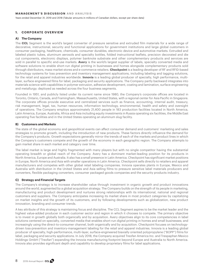Years ended December 31, 2019 and 2018 (Tabular amounts in millions of Canadian dollars, except per share data)

# **1. CORPORATE OVERVIEW**

# **A) The Company**

The **CCL** Segment is the world's largest converter of pressure sensitive and extruded film materials for a wide range of decorative, instructional, security and functional applications for government institutions and large global customers in consumer packaging, healthcare, chemicals, consumer durables, electronic device and automotive markets. Extruded and labeled plastic tubes, aluminum aerosols and specialty bottles, folded instructional leaflets, precision decorated and die cut components, electronic displays, polymer banknote substrate and other complementary products and services are sold in parallel to specific end-use markets. **Avery** is the world's largest supplier of labels, specialty converted media and software solutions to enable short-run digital printing in businesses and homes alongside complementary products sold through distributors, mass-market stores and e-commerce retailers. **Checkpoint** is a leading developer of RF and RFID-based technology systems for loss prevention and inventory management applications, including labeling and tagging solutions, for the retail and apparel industries worldwide. **Innovia** is a leading global producer of specialty, high performance, multilayer, surface engineered films for label, packaging and security applications. The Company partly backward integrates into materials science with capabilities in polymer extrusion, adhesive development, coating and lamination, surface engineering and metallurgy; deployed as needed across the four business segments.

Founded in 1951, and publicly listed under its current name since 1980, the Company's corporate offices are located in Toronto, Ontario, Canada, and Framingham, Massachusetts, United States, with a regional center for Asia Pacific in Singapore. The corporate offices provide executive and centralized services such as finance, accounting, internal audit, treasury, risk management, legal, tax, human resources, information technology, environmental, health and safety and oversight of operations. The Company employs approximately 21,400 people in 183 production facilities located in North America, Latin America, Europe, Australia, Africa and Asia including equity investments in Russia operating six facilities, the Middle East operating five facilities and in the United States operating an aluminum slug facility.

# **B) Customers and Markets**

The state of the global economy and geopolitical events can affect consumer demand and customers' marketing and sales strategies to promote growth, including the introduction of new products. These factors directly influence the demand for the Company's products. Growth expectations generally mirror the trends of each of the markets and product lines in which the Company's customers compete and the growth of the economy in each geographic region. The Company attempts to gain market share in each market and category over time.

The label market is large and highly fragmented with many players but with no single competitor having the substantial operating breadth or global reach of the Company. Avery has a dominant market-leading position for its products in North America, Europe and Australia. It also has a small presence in Latin America. Checkpoint has significant market positions in Europe, North America and Asia with smaller operations in Latin America. Checkpoint sells directly to retailers and apparel manufacturers and competes with other global retail labeling companies. Innovia operates plants in Europe, Mexico and Australia with distribution in the United States and Asia selling films to pressure sensitive label materials producers and converters, flexible packaging converters, consumer packaged goods companies and the security products industry.

#### **C) Strategy and Financial Targets**

The Company's strategy is to increase shareholder value through investment in organic growth and product innovations around the world, augmented by a global acquisition strategy. The Company builds on the strength of its people in marketing, manufacturing and product development and nurtures strong relationships with its international, national and regional customers and suppliers. The Company anticipates increasing its market share in most product categories by capitalizing on market insights and the growth of its customers, and by following developments such as globalization, new product innovation, branding and consumer trends.

A key attribute of this strategy is maintaining focus and discipline. The CCL Segment aspires to be the market leader and the highest value-added producer in each customer sector and region in which it chooses to compete. The primary objective is to invest in growth globally both organically and by acquisition. Avery objectives align to its core competencies in label solutions centered on specialty, converted media that enables short-run digital printing in homes and small businesses; and increasingly using the direct-to-consumer channel, both organically and by acquisition. Checkpoint focuses on technologydriven loss-prevention and inventory-management labeling for the retail and apparel industries. Innovia is a leading global producer of specialty, high-performance, multi-layer, surface-engineered biaxially oriented polypropylene ("BOPP") films for label, packaging and security applications. In July 2018, the Company acquired Treofan America Inc. and Trespaphan Mexico Holdings GmbH ("Treofan") expanding the Innovia manufacturing footprint beyond Europe and Australia to North America. Innovia also provides significant depth and capability to develop proprietary films for label applications.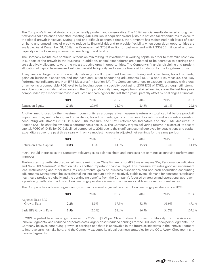The Company's financial strategy is to be fiscally prudent and conservative. The 2019 financial results delivered strong cash flow and a solid balance sheet after investing \$40.4 million in acquisitions and \$335.7 in net capital expenditures to execute the global growth initiatives. During good and difficult economic times, the Company has maintained high levels of cash on hand and unused lines of credit to reduce its financial risk and to provide flexibility when acquisition opportunities are available. As at December 31, 2019, the Company had \$703.6 million of cash-on-hand with US\$595.7 million of undrawn capacity on the Company's unsecured revolving credit facility.

The Company maintains a continuous focus on minimizing its investment in working capital in order to maximize cash flow in support of the growth in the business. In addition, capital expenditures are expected to be accretive to earnings and are selectively allocated toward the most attractive growth opportunities. The Company's financial discipline and prudent allocation of capital have ensured sufficient available liquidity and a secure financial foundation for the long-term future.

A key financial target is return on equity before goodwill impairment loss, restructuring and other items, tax adjustments, gains on business dispositions and non-cash acquisition accounting adjustments ("ROE," a non-IFRS measure; see "Key Performance Indicators and Non-IFRS Measures" in Section 5A). The Company continues to execute its strategy with a goal of achieving a comparable ROE level to its leading peers in specialty packaging. 2019 ROE of 17.8%, although still strong, was down due to substantial increases in the Company's equity base, largely from retained earnings over the last five years compounded by a modest increase in adjusted net earnings for the last three years, partially offset by challenges at Innovia:

|                  | 2010<br>20 L. |         |       |       | 201 | 201 |
|------------------|---------------|---------|-------|-------|-----|-----|
| Return on Equity | 17.8%         | $0.0\%$ | 24.0% | 23.5% | 1%  | 1%  |

Another metric used by the investment community as a comparative measure is return on total capital before goodwill impairment loss, restructuring and other items, tax adjustments, gains on business dispositions and non-cash acquisition accounting adjustments ("ROTC," a non-IFRS measure; see "Key Performance Indicators and Non-IFRS Measures" in Section 5A). The chart below details performance since 2014. The Company targets delivering returns in excess of its cost of capital. ROTC of 10.8% for 2019 declined compared to 2018 due to the significant capital deployed for acquisitions and capital expenditures over the past three years with only a modest increase in adjusted net earnings for the same period:

|                         | 2019  |       | 2017  |       | 2015  | 2014  |
|-------------------------|-------|-------|-------|-------|-------|-------|
| Return on Total Capital | 10.8% | 11.3% | 14.0% | 15.9% | 15.4% | 14.1% |

ROTC should increase as the Company deleverages its balance sheet and increases net earnings as Innovia's performance improves.

The long-term growth rate of adjusted basic earnings per Class B share (a non-IFRS measure; see "Key Performance Indicators and Non-IFRS Measures" in Section 5A) is another important financial target. This measure excludes goodwill impairment loss, restructuring and other items, tax adjustments, gains on business dispositions and non-cash acquisition accounting adjustments. Management believes that taking into account both the relatively stable overall demand for consumer staple and healthcare products globally and the continuing benefits from the Company's focused strategies and operational approach, a positive growth rate in adjusted basic earnings per share is realistic under reasonable economic circumstances.

The Company has achieved significant growth in its annual adjusted basic and basic earnings per share since 2013:

|                           | 2019 | 2018      | 2017  | 2016  | 2015  | 2014   |
|---------------------------|------|-----------|-------|-------|-------|--------|
| <b>Adjusted Basic EPS</b> |      |           |       |       |       |        |
| Growth Rate               | 2.2% | .5%       | 17.9% | 32.5% | 31.9% | 47.4%  |
| Basic EPS Growth Rate     | 1.5% | $(2.2\%)$ | 36.4% | 16.5% | 34.7% | 107.6% |

In 2019, adjusted basic earnings increased by 2.2% to \$2.79 per Class B share. Improved profitability from the Avery and Innovia Segments, and reduced corporate costs largely offset reduced earnings for the CCL and Checkpoint Segments. The Company believes continuing growth in earnings per share is achievable in the future as initiatives in the Innovia Segment to improve earnings take hold, and the Company executes its global business strategies for the CCL, Avery, Checkpoint and Innovia Segments.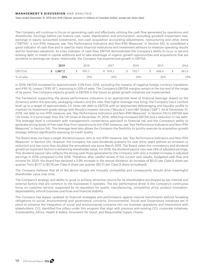Years ended December 31, 2019 and 2018 (Tabular amounts in millions of Canadian dollars, except per share data)

The Company will continue to focus on generating cash and effectively utilizing the cash flow generated by operations and divestitures. Earnings before net finance cost, taxes, depreciation and amortization, excluding goodwill impairment loss, earnings in equity accounted investments, non-cash acquisition accounting adjustments, restructuring and other items ("EBITDA," a non-IFRS measure; see "Key Performance Indicators and Non-IFRS Measures" in Section 5A), is considered a good indicator of cash flow and is used by many financial institutions and investment advisors to measure operating results and for business valuations. As a key indicator of cash flow, EBITDA demonstrates the Company's ability to incur or service existing debt, to invest in capital additions and to take advantage of organic growth opportunities and acquisitions that are accretive to earnings per share. Historically, the Company has experienced growth in EBITDA:

|               | 2019      | 2018                      | 2017    | 2016     |              | 2015  | 2014  |
|---------------|-----------|---------------------------|---------|----------|--------------|-------|-------|
| <b>EBITDA</b> | \$1,067.2 | $\frac{\text{}}{2}$ 995.3 | \$959.2 | \$ 792.7 | $\mathbb{S}$ | 608.4 | 481.6 |
| % of sales    | 20%       | 19%                       | 20%     | 20%      |              | 20%   | 19%   |

In 2019, EBITDA increased by approximately 3.0% from 2018, excluding the impacts of negative foreign currency translation and IFRS 16, Leases ("IFRS 16"), improving to 20% of sales. The Company's EBITDA margins remain at the top end of the range of its peers. The Company expects growth in EBITDA in the future as global growth initiatives are implemented.

The framework supporting the above performance indicators is an appropriate level of financial leverage. Based on the dynamics within the specialty packaging industry and the risks that higher leverage may bring, the Company has a comfort level up to a target of approximately 3.5 times net debt to EBITDA with an appropriate deleveraging and liquidity profile to maintain its investment-grade ratings with Moody's Investor Service ("Moody's") and S&P Global ("S&P"). As at December 31, 2019, net debt (a non-IFRS measure; see "Key Performance Indicators and Non-IFRS Measures" in Section 5A) to EBITDA was 1.61 times, 0.3 turns lower than the 1.91 times at December 31, 2018, reflecting increased EBITDA and a reduction in net debt. This leverage level is consistent with management's conservative approach to financial risk and the Company's ability to generate strong levels of free cash flow from operations (a non-IFRS measure; see "Key Performance Indicators and Non-IFRS Measures" in Section 5A). This leverage level also allows the Company the flexibility to quickly execute its acquisition growth strategy without significantly exposing its credit quality.

The Board does not have a target dividend payout ratio (a non-IFRS measure; see "Key Performance Indicators and Non-IFRS Measures" in Section 5A). However, the Company has paid dividends quarterly for over thirty years without an omission or reduction and has more than doubled the annualized rate since March 2015. The Board views this consistency and dividend growth as important factors in enhancing shareholder value. For 2019, the dividend payout ratio was 24% of adjusted earnings. This dividend payout ratio reflects the strong cash flows generated by the Company with only a modest increase in adjusted earnings in 2019 compared to the 2018. Therefore, after careful review of the current year results, budgeted cash flow and income for 2020, the Board has declared a 5.9% increase in the annual dividend: an increase of \$0.01 per Class B share per quarter, from \$0.17 to \$0.18 per Class B share per quarter (\$0.72 per Class B share annualized).

The Company believes that all of the above targets are mutually compatible and consequently should drive meaningful shareholder value over time.

The Company's strategy and ability to grow to achieve attractive returns for its shareholders are shaped by key internal and external factors that are common to the businesses it operates. The key performance driver is the Company's continuous focus on customer service, supported by its reputation for quality manufacturing, competitive price, product innovation, dependability, ethical business practices and financial stability.

The Company has always updated its financial strategies and performance against internal benchmarks without forsaking obligations to social, environmental and governance concerns. Environmental, Social and Governance initiatives are in place to enhance the integration of social and environmental concerns into our business operations and interactions with stakeholders. CCL identified five pillars under this program that align with previous and existing CCL corporate initiatives: Sustainability, Ethics, Health & Safety, Innovation for Good, and Responsible Supply Chains.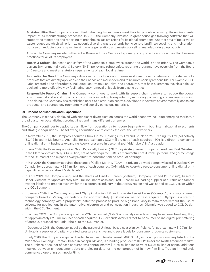**Sustainability:** The Company is committed to helping its customers meet their targets while reducing the environmental impact of its manufacturing processes. In 2019, the Company invested in greenhouse gas tracking software that will support the monitoring and reporting of greenhouse gas emissions for its global operations. Another area of focus will be waste reduction, which will prioritize not only diverting waste currently being sent to landfill to recycling and incineration, but also on reducing costs by minimizing waste generation, and reusing or selling manufacturing by-products.

 **Ethics:** The Company maintains the Global Business Ethics Guide as its primary policy on ethical conduct and fair business practices for all of its employees.

 **Health & Safety:** The health and safety of the Company's employees around the world is a top priority. The Company's current Environmental Health & Safety ("EHS") policy and robust safety reporting programs have oversight from the Board of Directors and meet all statutory requirements of each local regime.

 **Innovation for Good:** The Company's divisional product innovation teams work directly with customers to create bespoke products that are directly applicable to their needs and market demand to be more socially responsible. For example, CCL Label created a line of products, including EcoStream, EcoSolve, and EcoSource, that help customers recycle single use packaging more effectively by facilitating easy removal of labels from plastic bottles.

 **Responsible Supply Chains:** The Company continues to work with its supply chain partners to reduce the overall environmental and social impacts of its products including transportation, secondary packaging and material sourcing. In so doing, the Company has established near site distribution centres, developed innovative environmentally conscious products, and sourced environmentally and socially conscious materials.

# **D) Recent Acquisitions and Dispositions**

The Company is globally deployed with significant diversification across the world economy including emerging markets, a broad customer base, distinct product lines and many different currencies.

The Company continues to deploy its cash flow from operations into its core Segments with both internal capital investments and strategic acquisitions. The following acquisitions were completed over the last two years:

- In November 2019, the Company acquired Stuck On You Holdings Pty Ltd and Stuck on You Trading Pty Ltd (collectively "SOY") based in Melbourne, Australia, for approximately \$7.2 million, net of cash acquired. SOY is a direct-to-consumer online digital print business expanding Avery's presence in personalized "kids' labels" in Australasia.
- In June 2019, the Company acquired Say it Personally Limited ("STS"), a privately owned company based near East Grinstead in the UK for approximately \$0.4 million, net of cash acquired. STS is a manufacturer of durable, personalized garment tags for the UK market and expands Avery's direct-to-consumer online product offerings.
- In May 2019, the Company acquired the shares of Colle a Moi Inc. ("CAM"), a privately owned company based in Quebec City, Canada, for approximately \$3.1 million, net of cash acquired. CAM adds to Avery's direct-to-consumer online digital print capabilities in personalized "kids' labels."
- In April 2019, the Company acquired the shares of Hinsitsu Screen (Vietnam) Company Limited ("Hinsitsu"), based in Hanoi, Vietnam, for approximately \$12.9 million, net of cash acquired. Hinsitsu is a leading supplier of durable and tamper evident labels and graphic overlays for the electronics industry in the ASEAN region and was added to CCL Design within the CCL Segment.
- In January 2019, the Company acquired Olympic Holding B.V. and its related subsidiaries ("Olympic"), a privately owned company based in Venray, Netherlands, for approximately \$13.6 million, net of cash acquired. Olympic is a start-up technology company with a proprietary, patented process to produce high bond, acrylic foam tapes without the use of solvents for applications in the automotive, electronics and construction industries. Olympic was added to CCL Design within the CCL Segment.
- In January 2019, the Company acquired Easy2Name Limited ("E2N"), a privately owned company based near Newbury, U.K., for approximately \$2.5 million, net of cash acquired. E2N expands Avery's direct-to-consumer online digital print offering of durable, personalized "kids' labels" to the U.K. market.
- · In December 2018, the Company acquired the assets of Unilogo, based near Warsaw, Poland, for approximately \$10.7 million. Unilogo is a supplier of digitally printed, pressure sensitive and sleeve labels for consumer products customers.
- · In July 2018, the Company acquired Treofan from their ultimate parent, M&C S.p.A., an Italian public company listed on the Milan stock exchange. Treofan, based in Zacapu, Mexico, is a leading producer of BOPP film for the North American market. The purchase price, net of cash acquired was approximately \$307.6 million inclusive of \$43.6 million of capital additions incurred between announcement date and closing date for the construction of its new film line. Treofan immediately commenced operating as Innovia Films.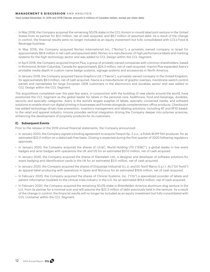Years ended December 31, 2019 and 2018 (Tabular amounts in millions of Canadian dollars, except per share data)

- · In May 2018, the Company acquired the remaining 50.0% stake in the CCL-Korsini in-mould label joint venture in the United States from its partner for \$3.1 million, net of cash acquired, and \$6.7 million of assumed debt. As a result of the change in control, the financial results were no longer included as an equity investment but fully consolidated with CCL's Food & Beverage business.
- · In May 2018, the Company acquired Nortec International Inc. ("Nortec"), a privately owned company in Israel for approximately \$8.8 million in net cash and assumed debt. Nortec is a manufacturer of high performance labels and marking systems for the high technology sector and was added to CCL Design within the CCL Segment.
- · In April 2018, the Company acquired Imprint Plus, a group of privately owned companies with common shareholders, based in Richmond, British Columbia, Canada for approximately \$24.3 million, net of cash acquired. Imprint Plus expanded Avery's printable media depth in custom name badge systems, signage systems and accessories in North America.
- · In January 2018, the Company acquired Fascia Graphics Ltd. ("Fascia"), a privately owned company in the United Kingdom, for approximately \$9.3 million, net of cash acquired. Fascia is a manufacturer of graphic overlays, membrane-switch control panels and nameplates for large European OEM customers in the electronics and durables sector and was added to CCL Design within the CCL Segment.

The acquisitions completed over the past few years, in conjunction with the building of new plants around the world, have positioned the CCL Segment as the global leader for labels in the personal care, healthcare, food and beverage, durables, security and specialty categories. Avery is the world's largest supplier of labels, specialty converted media, and software solutions to enable short-run digital printing in businesses and homes alongside complementary office products. Checkpoint has added technology-driven loss-prevention, inventory-management and labeling solutions, including RF and RFID-based, to the retail and apparel industry. Innovia provides vertical integration driving the Company deeper into polymer sciences, enhancing the development of propriety products for its customers.

# **E) Subsequent Events**

Prior to the release of the 2019 annual financial statements, the Company announced:

- In January 2020, the Company signed a binding agreement to acquire Flexpol Sp. Z.o.o., a Polish BOPP film producer, for an estimated \$22.0 million on a debt/cash free basis. Closing is expected during the first quarter of 2020 following regulatory approvals.
- In January 2020, the Company acquired the shares of I.D.&C. World Holding LTD ("ID&C"), a global leader in live event badges and wrist badges with operations the UK and US for an estimated \$37.0 million, net of cash acquired.
- In January 2020, the Company acquired the shares of IDentalam Ltd., a designer and developer of software solutions for event badging and identification cards in the UK for an estimated \$3.0 million, net of cash acquired.
- In January 2020, the Company acquired the shares of Etiquetaje Industrial S.L.U. and Eti-Textil Maroc S.a.r.l. AU ("Eti-Textil") an apparel label producing with operations in Spain and Morocco for an estimated \$19.6 million, net of cash acquired.
- In February 2020, the Company acquired the shares of Clinical Systems, Inc. ("CSI") a specialized provider of labels and patient information booklets to the clinical trials industry in the U.S. for an estimated \$19.4 million, net of cash acquired.
- In February 2020, the Company acquired the remaining 50.0% stake in Rheinfelden America aluminum slug venture in the U.S. from its partner for a nominal sum and will assume the \$22.3 million of debt previously held in the venture. As a result of the change in control, the financial results will no longer be included as an equity investment but fully consolidated with CCL Container within the CCL Segment.

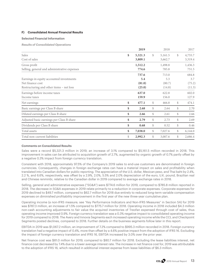# **F) Consolidated Annual Financial Results**

# **Selected Financial Information**

*Results of Consolidated Operations*

|                                              | 2019          |              | 2018    | 2017          |
|----------------------------------------------|---------------|--------------|---------|---------------|
| Sales                                        | \$<br>5,321.3 | \$           | 5,161.5 | \$<br>4,755.7 |
| Cost of sales                                | 3,809.1       |              | 3,662.7 | 3,319.4       |
| Gross profit                                 | 1,512.2       |              | 1,498.8 | 1,436.3       |
| Selling, general and administrative expenses | 774.6         |              | 785.8   | 751.5         |
|                                              | 737.6         |              | 713.0   | 684.8         |
| Earnings in equity accounted investments     | 5.4           |              | 5.3     | 3.7           |
| Net finance cost                             | (81.0)        |              | (80.7)  | (75.2)        |
| Restructuring and other items - net loss     | (25.0)        |              | (14.8)  | (11.3)        |
| Earnings before income taxes                 | 637.0         |              | 622.8   | 602.0         |
| Income taxes                                 | 159.9         |              | 156.0   | 127.9         |
| Net earnings                                 | \$<br>477.1   | \$           | 466.8   | \$<br>474.1   |
| Basic earnings per Class B share             | \$<br>2.68    | \$           | 2.64    | \$<br>2.70    |
| Diluted earnings per Class B share           | \$<br>2.66    | $\mathbb{S}$ | 2.61    | \$<br>2.66    |
| Adjusted basic earnings per Class B share    | \$<br>2.79    | \$           | 2.73    | \$<br>2.69    |
| Dividends per Class B share                  | \$<br>0.68    | \$           | 0.52    | \$<br>0.46    |
| Total assets                                 | \$<br>7,038.0 | \$           | 7,027.6 | \$<br>6,144.0 |
| Total non-current liabilities                | \$<br>2,992.3 | \$           | 3,007.6 | \$<br>2,686.4 |

#### **Comments on Consolidated Results**

Sales were a record \$5,321.3 million in 2019, an increase of 3.1% compared to \$5,161.5 million recorded in 2018. This improvement in sales can be attributed to acquisition growth of 2.7%, augmented by organic growth of 0.7% partly offset by a negative 0.3% impact from foreign currency translation.

Consistent with 2018, approximately 97.5% of the Company's 2019 sales to end-use customers are denominated in foreign currencies. Consequently, changes in foreign exchange rates can have a material impact on sales and profitability when translated into Canadian dollars for public reporting. The appreciation of the U.S. dollar, Mexican peso, and Thai baht by 2.4%, 2.2 %, and 6.6%, respectively, was offset by a 2.9%, 2.0%, 5.5% and 2.0% depreciation of the euro, U.K. pound, Brazilian real and Chinese renminbi, relative to the Canadian dollar in 2019 compared to average exchange rates in 2018.

Selling, general and administrative expenses ("SG&A") were \$774.6 million for 2019, compared to \$785.8 million reported in 2018. The decrease in SG&A expenses in 2019 relate primarily to a reduction in corporate expenses. Corporate expenses for 2019 declined to \$49.7 million, compared to \$62.7 million for 2018 due entirely to reduced long-term variable compensation expenses on diminished profitability improvement in the first year of the new three-year cumulative plan.

Operating income (a non-IFRS measure; see "Key Performance Indicators and Non-IFRS Measures" in Section 5A) for 2019 was \$787.3 million, an increase of 1.5% compared to \$775.7 million for 2018. Operating income in 2018 included \$4.3 million non-cash accounting adjustments to fair value the acquired inventories of Treofan expensed through cost of sales, thus operating income improved 0.9%. Foreign currency translation was a 0.3% negative impact to consolidated operating income for 2019 compared to 2018. The Avery and Innovia Segments each increased operating income while the CCL and Checkpoint Segments posted declines, compared to 2018. Further details on the business segments follow later in this report.

EBITDA in 2019 was \$1,067.2 million, an improvement of 7.2% compared to \$995.3 million recorded in 2018. Foreign currency translation had a negative impact of 0.4%, more than offset by a 4.6% positive impact from the adoption of IFRS 16. Excluding the impact of foreign currency translation and IFRS 16, EBITDA increased by 3.0% over the prior year.

Net finance cost was \$81.0 million for 2019, compared to \$80.7 million for 2018. Excluding the lease liabilities interest, net finance cost decreased by 7.4% due to a lower average interest rate. The increase in net finance cost for, 2019 was attributable to the adoption of IFRS 16, which resulted in additional interest expense from lease liabilities of \$6.3 million.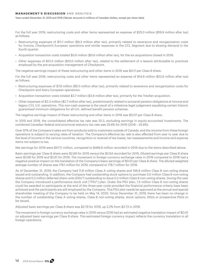Years ended December 31, 2019 and 2018 (Tabular amounts in millions of Canadian dollars, except per share data)

For the full year 2019, restructuring costs and other items represented an expense of \$25.0 million (\$19.9 million after tax) as follows:

- Restructuring expenses of \$11.1 million (\$9.3 million after tax), primarily related to severance and reorganization costs for Innovia, Checkpoint's European operations and similar expenses in the CCL Segment due to slowing demand in the fourth quarter.
- Acquisition transaction costs totaled \$0.6 million (\$0.6 million after tax), for the six acquisitions closed in 2019.
- Other expenses of \$13.3 million (\$10.0 million after tax), related to the settlement of a lawsuit attributable to practices employed by the pre-acquisition management of Checkpoint.

The negative earnings impact of these restructuring and other items in 2019 was \$0.11 per Class B share.

For the full year 2018, restructuring costs and other items represented an expense of \$14.8 million (\$12.6 million after tax) as follows:

- Restructuring expenses of \$7.8 million (\$6.3 million after tax), primarily related to severance and reorganization costs for Checkpoint and Avery European operations.
- Acquisition transaction costs totaled \$3.7 million (\$3.6 million after tax), primarily for the Treofan acquisition.
- Other expenses of \$3.3 million (\$2.7 million after tax), predominantly related to actuarial pension obligations at Innovia and legacy CCL U.K. operations. This non-cash expense is the result of a milestone legal judgement equalizing certain historic guaranteed minimum obligations for all U.K. defined benefit pension schemes.

The negative earnings impact of these restructuring and other items in 2018 was \$0.07 per Class B share.

In 2019 and 2018, the consolidated effective tax rate was 25.3, excluding earnings in equity-accounted investments. The combined Canadian federal and provincial statutory tax rate was 25.8% for 2019 (2018 – 25.8%).

Over 97% of the Company's sales are from products sold to customers outside of Canada, and the income from these foreign operations is subject to varying rates of taxation. The Company's effective tax rate is also affected from year to year due to the level of income in the various countries, recognition or reversal of tax losses, tax reassessments and income and expense items not subject to tax.

Net earnings for 2019 were \$477.1 million, compared to \$466.8 million recorded in 2018 due to the items described above.

Basic earnings per Class B share were \$2.68 for 2019 versus the \$2.64 recorded for 2018. Diluted earnings per Class B share were \$2.66 for 2019 and \$2.61 for 2018. The movement in foreign currency exchange rates in 2019 compared to 2018 had a negative positive impact on the translation of the Company's basic earnings of \$0.01 per Class B share. The diluted weighted average number of shares was 179.1 million for 2019, compared to 178.7 million for 2018.

As of December 31, 2019, the Company had 11.8 million Class A voting shares and 166.8 million Class B non-voting shares issued and outstanding. In addition, the Company had outstanding stock options to purchase 3.0 million Class B non-voting shares and 0.2 million deferred share units (DSU") outstanding to issue 0.2 million Class B non-voting shares. During the year the Company introduced a performance stock unit ("PSU") plan. Under the PSU plan, 1.5 million Class B non-voting shares could be awarded to participants at the end of the three-year cycle provided the financial performance criteria have been achieved and the participants are still employed by the Company. This PSU plan needs be approved at the annual and special shareholder meeting of the Company to be held on May 14, 2020. Since December 31, 2019, there has been no change in the number of outstanding Class A voting shares, Class B non-voting shares, stock options, DSUs or prospective PSUs to be issued.

Adjusted basic earnings per Class B share was \$2.79 for 2019, up 2.2% from \$2.73 in 2018.

The movement in foreign currency exchange rates in 2019 versus 2018 had an estimated negative translation impact of \$0.01 on adjusted basic earnings per Class B share. This estimated foreign currency impact reflects the currency translation in all foreign operations.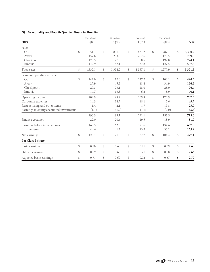# **G) Seasonality and Fourth Quarter Financial Results**

| 2019                                     |               | Unaudited<br>Qtr 1 |              | Unaudited<br>Otr 2 | Unaudited<br>Otr <sub>3</sub> |               | Unaudited<br>Otr 4 | Year          |
|------------------------------------------|---------------|--------------------|--------------|--------------------|-------------------------------|---------------|--------------------|---------------|
|                                          |               |                    |              |                    |                               |               |                    |               |
| Sales                                    |               |                    |              |                    |                               |               |                    |               |
| <b>CCL</b>                               | $\mathcal{S}$ | 851.1              | \$           | 831.5              | \$<br>831.2                   | $\mathcal{S}$ | 787.1              | \$<br>3,300.9 |
| Avery                                    |               | 157.6              |              | 203.3              | 207.6                         |               | 170.5              | 739.0         |
| Checkpoint                               |               | 173.5              |              | 177.3              | 180.5                         |               | 192.8              | 724.1         |
| Innovia                                  |               | 149.9              |              | 142.1              | 137.8                         |               | 127.5              | 557.3         |
| Total sales                              | \$            | 1,332.1            | \$           | 1,354.2            | \$<br>1,357.1                 | \$            | 1,277.9            | \$<br>5,321.3 |
| Segment operating income                 |               |                    |              |                    |                               |               |                    |               |
| <b>CCL</b>                               | \$            | 142.0              | \$           | 117.0              | \$<br>127.2                   | \$            | 108.1              | \$<br>494.3   |
| Avery                                    |               | 27.9               |              | 45.3               | 48.4                          |               | 34.9               | 156.5         |
| Checkpoint                               |               | 20.3               |              | 23.1               | 28.0                          |               | 25.0               | 96.4          |
| Innovia                                  |               | 14.7               |              | 13.3               | 6.2                           |               | 5.9                | 40.1          |
| Operating income                         |               | 204.9              |              | 198.7              | 209.8                         |               | 173.9              | 787.3         |
| Corporate expenses                       |               | 14.3               |              | 14.7               | 18.1                          |               | 2.6                | 49.7          |
| Restructuring and other items            |               | 1.4                |              | 2.1                | 1.7                           |               | 19.8               | 25.0          |
| Earnings in equity accounted investments |               | (1.1)              |              | (1.2)              | (1.1)                         |               | (2.0)              | (5.4)         |
|                                          |               | 190.3              |              | 183.1              | 191.1                         |               | 153.5              | 718.0         |
| Finance cost, net                        |               | 22.0               |              | 20.6               | 19.5                          |               | 18.9               | 81.0          |
| Earnings before income taxes             |               | 168.3              |              | 162.5              | 171.6                         |               | 134.6              | 637.0         |
| Income taxes                             |               | 44.6               |              | 41.2               | 43.9                          |               | 30.2               | 159.9         |
| Net earnings                             | $\mathcal{S}$ | 123.7              | \$           | 121.3              | \$<br>127.7                   | \$            | 104.4              | \$<br>477.1   |
| Per Class B share                        |               |                    |              |                    |                               |               |                    |               |
| Basic earnings                           | \$            | 0.70               | \$           | 0.68               | \$<br>0.71                    | \$            | 0.59               | \$<br>2.68    |
| Diluted earnings                         | $\mathbb{S}$  | 0.69               | $\mathbb{S}$ | 0.68               | \$<br>0.71                    | \$            | 0.58               | \$<br>2.66    |
| Adjusted basic earnings                  | \$            | 0.71               | \$           | 0.69               | \$<br>0.72                    | \$            | 0.67               | \$<br>2.79    |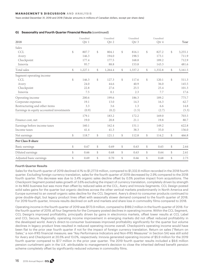Years ended December 31, 2019 and 2018 (Tabular amounts in millions of Canadian dollars, except per share data)

# **G) Seasonality and Fourth Quarter Financial Results (continued)**

| 2018                                     |                                                  | Unaudited<br>Otr 1 |              | Unaudited<br>Qtr 2 |      | Unaudited<br>Otr <sub>3</sub> |              | Unaudited<br>Qtr 4 | Year          |
|------------------------------------------|--------------------------------------------------|--------------------|--------------|--------------------|------|-------------------------------|--------------|--------------------|---------------|
|                                          |                                                  |                    |              |                    |      |                               |              |                    |               |
| Sales                                    |                                                  |                    |              |                    |      |                               |              |                    |               |
| CCL                                      | $\mathbb{S}$                                     | 807.7              | $\mathbb{S}$ | 804.1              | \$   | 816.1                         | \$           | 827.2              | \$<br>3,255.1 |
| Avery                                    |                                                  | 146.3              |              | 194.0              |      | 198.5                         |              | 173.1              | 711.9         |
| Checkpoint                               |                                                  | 177.4              |              | 177.5              |      | 168.8                         |              | 189.2              | 712.9         |
| Innovia                                  |                                                  | 95.7               |              | 88.8               |      | 153.8                         |              | 143.3              | 481.6         |
| Total sales                              | $\mathbb{S}$                                     | 1,227.1            | \$           | 1,264.4            | $\$$ | 1,337.2                       | \$           | 1,332.8            | \$<br>5,161.5 |
| Segment operating income                 |                                                  |                    |              |                    |      |                               |              |                    |               |
| <b>CCL</b>                               | \$                                               | 146.3              | $\mathbb{S}$ | 127.3              | \$   | 117.6                         | $\mathbb{S}$ | 120.1              | \$<br>511.3   |
| Avery                                    |                                                  | 24.0               |              | 44.6               |      | 40.9                          |              | 36.0               | 145.5         |
| Checkpoint                               |                                                  | 22.8               |              | 27.6               |      | 25.5                          |              | 25.4               | 101.3         |
| Innovia                                  |                                                  | 7.5                |              | 0.1                |      | 2.3                           |              | 7.7                | 17.6          |
| Operating income                         |                                                  | 200.6              |              | 199.6              |      | 186.3                         |              | 189.2              | 775.7         |
| Corporate expenses                       |                                                  | 19.1               |              | 13.0               |      | 14.3                          |              | 16.3               | 62.7          |
| Restructuring and other items            |                                                  | 3.3                |              | 3.6                |      | 1.3                           |              | 6.6                | 14.8          |
| Earnings in equity accounted investments |                                                  | (0.9)              |              | (0.2)              |      | (1.5)                         |              | (2.7)              | (5.3)         |
|                                          |                                                  | 179.1              |              | 183.2              |      | 172.2                         |              | 169.0              | 703.5         |
| Finance cost, net                        |                                                  | 19.0               |              | 20.8               |      | 21.1                          |              | 19.8               | 80.7          |
| Earnings before income taxes             |                                                  | 160.1              |              | 162.4              |      | 151.1                         |              | 149.2              | 622.8         |
| Income taxes                             |                                                  | 41.4               |              | 41.3               |      | 38.3                          |              | 35.0               | 156.0         |
| Net earnings                             | $\, \, \raisebox{-1.5pt}{\rlap{$\backslash$}}\,$ | 118.7              | \$           | 121.1              | \$   | 112.8                         | \$           | 114.2              | \$<br>466.8   |
| Per Class B share                        |                                                  |                    |              |                    |      |                               |              |                    |               |
| Basic earnings                           | $\mathbb{S}$                                     | 0.67               | \$           | 0.69               | \$   | 0.63                          | $\mathbb{S}$ | 0.65               | \$<br>2.64    |
| Diluted earnings                         | $\mathbb{S}$                                     | 0.66               | \$           | 0.68               | \$   | 0.63                          | $\$\$        | 0.64               | \$<br>2.61    |
| Adjusted basic earnings                  | \$                                               | 0.69               | \$           | 0.70               | \$   | 0.66                          | \$           | 0.68               | \$<br>2.73    |

# **Fourth Quarter Results**

Sales for the fourth quarter of 2019 declined 4.1% to \$1,277.9 million, compared to \$1,332.8 million recorded in the 2018 fourth quarter. Excluding foreign currency translation, sales for the fourth quarter of 2019 decreased by 2.9% compared to the 2018 fourth quarter. This decrease was due to 3.4% organic sales decline offset by 0.5% positive impact from acquisitions. The Checkpoint Segment posted sales growth of 3.6% excluding the impact of currency translation, completely driven by strength in its MAS business but was more than offset by reduced sales at the CCL, Avery and Innovia Segments. CCL Design posted solid sales gains for the quarter but organic declines across the other vertical markets predominantly in North America and Europe summed to an overall organic sales decline for the CCL Segment. Avery's direct-to consumer products continued to grow double-digit, but legacy product lines offset with seasonally slower demand compared to the fourth quarter of 2018. For 2019 fourth quarter, Innovia results declined on soft end markets and share loss in commodity films compared to 2018.

Operating income in the fourth quarter of 2019 was \$173.9 million, compared to \$189.2 million in the fourth quarter of 2018. For the fourth quarter of 2019, all four Segments for the Company posted declines in operating income. Within the CCL Segment, CCL Design's improved profitability, principally driven by gains in electronics markets, offset lower results at CCL Label and CCL Secure. Regionally, operating income improvement in emerging markets did not offset reduced profitability in the developed world. Avery's direct-to-consumer businesses improved profitability significantly for the quarter but volume declines in legacy product lines resulted in reduced operating income overall. Checkpoint's operating income would have been flat to the prior year fourth quarter if not for the impact of foreign currency translation. Return on sales ("Return on Sales," a non-IFRS financial measure; see "Key Performance Indicators and Non-IFRS Measures" in Section 5A) was still solid for Avery and Checkpoint at 20.5% and 13.0%, respectively. Innovia generated operating income of \$5.9 million for the 2019 fourth quarter compared to \$7.7 million in the prior year quarter. The 2019 fourth quarter results included a \$9.6 million pension curtailment gain in the U.K. attributable to management's decision to close the inherited defined benefit pension scheme completely offset by significantly reduced volumes in commodity films.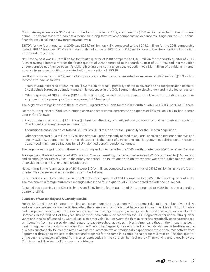Corporate expenses were \$2.6 million in the fourth quarter of 2019, compared to \$16.3 million recorded in the prior-year period. The decrease is attributable to a reduction in long-term variable compensation expense resulting from the 2019 annual financial results falling below target payout levels.

EBITDA for the fourth quarter of 2019 was \$254.7 million, up 4.3% compared to the \$244.2 million for the 2018 comparable period. EBITDA improved \$11.6 million due to the adoption of IFRS 16 and \$13.7 million due to the aforementioned reduction in corporate expenses.

Net finance cost was \$18.9 million for the fourth quarter of 2019 compared to \$19.8 million for the fourth quarter of 2018. A lower average interest rate for the fourth quarter of 2019 compared to the fourth quarter of 2018 resulted in a reduction of comparative net finance costs. Partially offsetting this net finance cost reduction was \$1.4 million of additional interest expense from lease liabilities associated with the adoption of IFRS 16.

For the fourth quarter of 2019, restructuring costs and other items represented an expense of \$19.8 million (\$15.3 million income after tax) as follows:

- Restructuring expenses of \$6.4 million (\$5.2 million after tax), primarily related to severance and reorganization costs for Checkpoint's European operations and similar expenses in the CCL Segment due to slowing demand in the fourth quarter.
- Other expenses of \$13.3 million (\$10.0 million after tax), related to the settlement of a lawsuit attributable to practices employed by the pre-acquisition management of Checkpoint.

The negative earnings impact of these restructuring and other items for the 2019 fourth quarter was \$0.08 per Class B share.

For the fourth quarter of 2018, restructuring costs and other items represented an expense of \$6.6 million (\$5.4 million income after tax) as follows:

- Restructuring expenses of \$2.3 million (\$1.8 million after tax), primarily related to severance and reorganization costs for Checkpoint and Avery European operations.
- Acquisition transaction costs totaled \$1.0 million (\$0.9 million after tax), primarily for the Treofan acquisition.
- Other expenses of \$3.3 million (\$2.7 million after tax), predominantly related to actuarial pension obligations at Innovia and legacy CCL U.K. operations. This non-cash expense is the result of a milestone legal judgement equalizing certain historic guaranteed minimum obligations for all U.K. defined benefit pension schemes.

The negative earnings impact of these restructuring and other items for the 2018 fourth quarter was \$0.03 per Class B share.

Tax expense in the fourth quarter of 2019 was \$30.2 million, resulting in an effective tax rate of 22.8% compared to \$35.0 million and an effective tax rate of 23.9% in the prior-year period. The fourth quarter 2019 tax expense was attributable to a reduction of taxable income in higher taxed jurisdictions.

Net earnings in the fourth quarter of 2019 were \$104.4 million, compared to net earnings of \$114.2 million in last year's fourth quarter. This decrease reflects the items described above.

Basic earnings per Class B share were \$0.59 in the fourth quarter of 2019 compared to \$0.65 in the fourth quarter of 2018. The movement in foreign currency exchange rates in the fourth quarter of 2019 compared to 2018 had no impact.

Adjusted basic earnings per Class B share were \$0.67 for the fourth quarter of 2019, compared to \$0.68 in the corresponding quarter of 2018.

#### **Summary of Seasonality and Quarterly Results**

For the CCL and Innovia Segments the first and second quarters are generally the strongest due to the number of work days and various customer-related activities. Also, there are many products that have a spring-summer bias in North America and Europe such as agricultural chemicals and certain beverage products, which generate additional sales volumes for the Company in the first half of the year. The polymer banknote business within the CCL Segment experiences intra-quarter variations in sales influenced by Central Banks' re-order volatility. For Avery, the third quarter has historically been its strongest, as it benefits from increased demand related to back-to-school activities in North America, although the impact has been diminishing over the previous two years. For the Checkpoint Segment, the second half of the calendar year is healthier as the business substantially follows the retail cycle of its customers, which traditionally experiences more consumer activity from September through to the end of the year and prepares for the same in its supply chain from mid-year on. The final quarter of the year is negatively affected from a sales perspective in the northern hemisphere by Thanksgiving and globally by the Christmas and New Year holiday season shutdowns.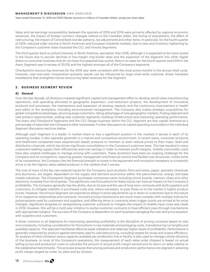Years ended December 31, 2019 and 2018 (Tabular amounts in millions of Canadian dollars, except per share data)

Sales and net earnings comparability between the quarters of 2019 and 2018 were primarily affected by regional economic variances, the impact of foreign currency changes relative to the Canadian dollar, the timing of acquisitions, the effect of restructuring, the impact of Central Bank reorder patterns, tax adjustments and other items. In particular, for the fourth quarter of 2019, reduced order volume in North American and European industrial markets, due to year-end inventory tightening by the Company's customer base impacted the CCL and Innovia Segments.

The third quarter back-to-school intensity in North America, was better than 2018, although it is expected to be more muted in the future due to secular declines in low-margin ring binder sales and the expansion of the Segment into other digital direct-to-consumer business that do not have this seasonal bias evolve. Return on sales for the fourth quarter and 2019 in the Avery Segment was in excess of 20.0% and the highest amongst all of the Company's segments.

Checkpoint's reoccurring revenues for the 2019 year were consistent with the most active months in the annual retail cycle. However, year-over-year comparative quarterly results can be influenced by large chain-wide customer driven hardware installations that strengthen future reoccurring label revenues for the Segment.

# **2 . BUSINESS SEGMENT REVIEW**

# **A) General**

Over the last decade, all divisions invested significant capital and management effort to develop world-class manufacturing operations, with spending allocated to geographic expansion, cost-reduction projects, the development of innovative products and processes, the maintenance and expansion of existing capacity and the continuous improvement in health and safety in the workplace, including environmental management. The Company also makes strategic acquisitions for global competitive advantage, servicing large customers, taking advantage of new geographic markets, finding adjacent and new product opportunities, adding new customer segments, building infrastructure and improving operating performance. The Avery and Checkpoint Segments and the CCL Design business within the CCL Segment are less capital intensive as a percentage of sales than the Company's other businesses. Further discussion on capital spending is provided in the individual Segment discussion sections below.

Although each Segment is a leader in market share or has a significant position in the markets it serves in each of its operating locales, it also operates generally in a mature and competitive environment. In recent years, consumer products and healthcare companies have experienced steady pressure to maintain or even reduce prices to their major retail and distribution channels, which has driven significant consolidation in the Company's customer base. This has resulted in many customers seeking supply-chain efficiencies and cost savings in order to maintain profit margins. Volatile commodity costs have also created challenges to manage pricing with customers. These dynamics have been an ongoing challenge for the Company and its competitors, requiring greater management and financial control and flexible cost structures. Unlike some of its competitors, the Company has the financial strength to invest in the equipment and innovation necessary to constantly strive to be the highest value-added producer in the markets that it serves.

The cost of many of the key raw material inputs for the Company, such as plastic films and resins, paper, specialty chemicals and aluminum, are largely dependent on the supply and demand economics within the petrochemical, energy and base metals industries. The Checkpoint Segment purchases component parts including circuit boards, memory chips and other electronic modules from third parties. The significant cost fluctuations for these inputs can have an impact on the Company's profitability. The Company generally has the ability, due to its size and the use of long-term contracts with both suppliers and customers, to mitigate volatility in purchased costs and, where necessary, to pass these on to the market in higher product prices. However, the Innovia Segment can experience delays in price adjustments up or down to customers due to the nature of its respective relationships and contracts. Innovia's pricing mechanisms are much more complex with multiple indices for polypropylene used by customers and suppliers, and differing terms in contracts when trigger points are arrived at for price changes. Significant progress on renegotiating customer contracts to mitigate the impact of volatile input costs was made in 2019. However, this will be a multi-year initiative to evolve customer contracts to have efficient pass-through mechanisms with appropriate margins. The success of the Company is dependent on each business managing the cost-and-price equation with suppliers and customers.

A driver common to all Segments for maximizing operating profitability is the discipline of pricing contracts based on size and complexity, including consideration for fluctuations in raw materials and packaging costs, manufacturing run lengths and available capacity. This approach facilitates effective asset utilization and relatively higher levels of profitability. Performance is generally measured by product against estimates used to calculate pricing, including targets for scrap and output efficiency. An analysis of total utilization versus capacity available per production line or facility is also used to manage certain divisions of the business. In most of the Company's operations, the measurement of each sales order shipped is based on actual selling prices and production costs to calculate the amount of actual profit margin earned and its return on sales relative to the established benchmarks. This process ensures that pricing policies and production performance are aligned in attaining profit margin targets by order, by plant and by division.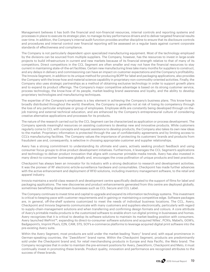Management believes it has both the financial and non-financial resources, internal controls and reporting systems and processes in place to execute its strategic plan, to manage its key performance drivers and to deliver targeted financial results over time. In addition, the Company's internal audit function provides another discipline to ensure that its disclosure controls and procedures and internal control over financial reporting will be assessed on a regular basis against current corporate standards of effectiveness and compliance.

The Company is not particularly dependent upon specialized manufacturing equipment. Most of the technology employed by the divisions can be sourced from multiple suppliers. The Company, however, has the resources to invest in large-scale projects to build infrastructure in current and new markets because of its financial strength relative to that of many of its competitors. Direct competitors in the CCL Segment are often smaller and may not have the financial resources to stay current in maintaining state-of-the-art facilities. Certain new manufacturing lines take many months for suppliers to construct, and any delays in delivery and commissioning can have an impact on customer expectations and the Company's profitability. The Innovia Segment, in addition to its unique method for producing BOPP for label and packaging applications, also provides the Company with the know-how and material science capability in proprietary non-commodity-oriented activities. Finally, the Company also uses strategic partnerships as a method of obtaining exclusive technology in order to support growth plans and to expand its product offerings. The Company's major competitive advantage is based on its strong customer service, process technology, the know-how of its people, market-leading brand awareness and loyalty, and the ability to develop proprietary technologies and manufacturing techniques.

The expertise of the Company's employees is a key element in achieving the Company's business plans. This know-how is broadly distributed throughout the world; therefore, the Company is generally not at risk of losing its competency through the loss of any particular employee or group of employees. Employee skills are constantly being developed through on-thejob training and external technical education, and are enhanced by the Company's entrepreneurial culture of considering creative alternative applications and processes for its products.

The nature of the research carried out by the CCL Segment can be characterized as application or process development. The Company spends meaningful resources on assisting customers to develop new and innovative products. While customers regularly come to CCL with concepts and request assistance to develop products, the Company also takes its own new ideas to the market. Proprietary information is protected through the use of confidentiality agreements and by limiting access to CCL's manufacturing facilities. The Company values the importance of protecting its customers' brands and products from fraudulent use and, consequently, is selective in choosing appropriate customer and supplier relationships.

Avery has a strong commitment to understanding its ultimate end users, actively seeking product feedback and using consumer focus groups to drive product development initiatives. Furthermore, it leverages the CCL Segment's applications and technology to deliver product innovation that aligns with consumer printable media trends. Avery has also invested in many direct-to-consumer businesses globally and, encourages the cross-pollination of unique products and best practices.

Checkpoint has always been an innovator for its industry with a strong dedication to research and development activities. It was the pioneer of RF electronic-article-surveillance hardware and consumables. Checkpoint has made further advances with the active enhancement and deployment of RFID solutions, including inventory management software, to the retail and apparel industry.

Innovia maintains a world-class research and development centre specifically dedicated to the support of films for label and packaging applications. The new discoveries and product enhancements generated from this centre are deployed globally, sometimes benefitting downstream businesses such as CCL Secure and CCL Label.

The Company continues to invest time and capital to upgrade and expand its information technology systems. This investment is critical to keeping pace with customer requirements and in gaining or maintaining a competitive edge. Software packages are, in general, off-the-shelf systems customized to meet the needs of individual business locations. The CCL, Avery, Checkpoint and Innovia Segments communicate with many customers and suppliers electronically, particularly with regard to supply-chain-management solutions and when transferring and confirming design formats and colours. A core attribute of Avery's printable media products is the customized software to enable short-run digital printing in businesses and homes. Avery recognizes that it is critical to develop its software solutions to maintain its market-leading position with consumers. Avery launched WePrint™, expanding its direct-to-consumer software solutions and acquired Nilles', PCN's, Mabel's, GGW's, Badgepoint's, Imprint Plus's, E2N, CAM, STS, SOY's e-commerce platforms to leverage acquired digital print software into the pre-existing Avery suite.

Within the Avery Segment, most products are sold under the market-leading "Avery" brand and, with equal prominence in German-speaking countries, the "Zweckform" brand name. Within the Checkpoint Segment, products are predominantly sold under the Checkpoint brand and, for retail merchandising products in Europe and Asia Pacific, the Meto brand. The Company recognizes that in order to maintain the pre-eminent positions for Avery, Zweckform, Checkpoint and Meto, it must continually invest in promoting these brands. Product quality, innovation and performance are recognized attributes to the success of these brands.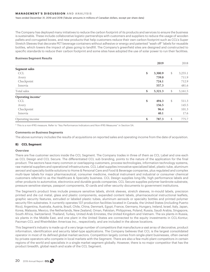Years ended December 31, 2019 and 2018 (Tabular amounts in millions of Canadian dollars, except per share data)

The Company has deployed many initiatives to reduce the carbon footprint of its products and services to ensure the business is sustainable. These include collaborative logistic partnerships with customers and suppliers to reduce the usage of wooden pallets and corrugated boxes, and new products that help customers reduce their own carbon footprint such as CCL's Super Stretch Sleeves that decorate PET beverage containers without adhesive or energy and patented "wash off" labels for reusable bottles, which lowers the impact of glass going to landfill. The Company's greenfield sites are designed and constructed to specific standards to reduce their carbon footprint and some sites have adopted the use of solar power to run their facilities.

# **Business Segment Results**

|                      | 2019          | 2018          |
|----------------------|---------------|---------------|
| <b>Segment sales</b> |               |               |
| <b>CCL</b>           | \$<br>3,300.9 | \$<br>3,255.1 |
| Avery                | 739.0         | 711.9         |
| Checkpoint           | 724.1         | 712.9         |
| Innovia              | 557.3         | 481.6         |
| Total sales          | \$<br>5,321.3 | \$<br>5,161.5 |
| Operating income*    |               |               |
| <b>CCL</b>           | \$<br>494.3   | \$<br>511.3   |
| Avery                | 156.5         | 145.5         |
| Checkpoint           | 96.4          | 101.3         |
| Innovia              | 40.1          | 17.6          |
| Operating income     | \$<br>787.3   | \$<br>775.7   |

\* This is a non-IFRS measure. Refer to "Key Performance Indicators and Non-IFRS Measures" in Section 5A.

# **Comments on Business Segments**

The above summary includes the results of acquisitions on reported sales and operating income from the date of acquisition.

# **B) CCL Segment**

#### **Overview**

There are five customer sectors inside the CCL Segment. The Company trades in three of them as CCL Label and one each as CCL Design and CCL Secure. The differentiated CCL sub branding, points to the nature of the application for the final product. The sectors have many common or overlapping customers, process technologies, information technology systems, raw material suppliers and operational infrastructures. CCL Label supplies innovative specialized label, plastic tube, aluminum aerosol and specialty bottle solutions to Home & Personal Care and Food & Beverage companies, plus regulated and complex multi-layer labels for major pharmaceutical, consumer medicine, medical instrument and industrial or consumer chemical customers referred to as the Healthcare & Specialty business. CCL Design supplies long-life, high performance labels and other products to automotive, electronics and durable goods companies. CCL Secure supplies polymer banknote substrate, pressure sensitive stamps, passport components, ID cards and other security documents to government institutions.

The Segment's product lines include pressure sensitive labels, shrink sleeves, stretch sleeves, in-mould labels, precision printed and die cut metal, glass and plastic components, expanded content labels, pharmaceutical instructional leaflets, graphic security features, extruded or labeled plastic tubes, aluminum aerosols or specialty bottles and printed polymer security film substrates. It currently operates 137 production facilities located in Canada, the United States (including Puerto Rico), Argentina, Australia, Austria, Brazil, Chile, China, Denmark, Egypt, France, Germany, Hungary, Ireland, Israel, Italy, Japan, Korea, Malaysia, Mexico, the Netherlands, New Zealand, Oman, Pakistan, Philippines, Poland, Russia, Saudi Arabia, Singapore, South Africa, Switzerland, Thailand, Turkey, United Arab Emirates, the United Kingdom and Vietnam. The six plants in Russia, six plants in the Middle East, and one plant in the United States are connected to the equity investments in CCL-Kontur, Pacman-CCL and Rheinfelden Americas Inc., respectively, and are included in the above locations.

This Segment's industry is made up of a very large number of competitors that manufacture a vast array of decorative, product information, identification and security label-type applications. The Company believes that CCL is the largest consolidated operator in most of its defined global market sectors. Competition largely comes from single-plant businesses, often owned by private operators who compete in local markets with the Segment. There are also a few multi-plant competitors in certain regions of the world and specialists in a single market segment globally. However, there is no major competitor that has the product breadth, global reach and scale of the CCL Segment.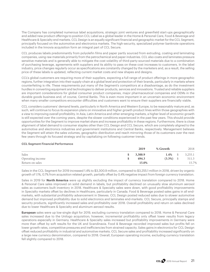The Company has completed numerous label acquisitions, strategic joint ventures and greenfield start-ups geographically and added new product offerings to position CCL Label as a global leader in the Home & Personal Care, Food & Beverage and Healthcare & Specialty end markets. CCL Design is an equally significant financial and geographic market for the CCL Segment, principally focused on the automotive and electronics markets. The high-security, specialized polymer banknote operations included in the Innovia acquisition form an integral part of CCL Secure.

CCL produces labels predominantly from polyolefin films and paper partly sourced from extruding, coating and laminating companies, using raw materials primarily from the petrochemical and paper industries. CCL also coats and laminates pressure sensitive materials and is generally able to mitigate the cost volatility of third-party-sourced materials due to a combination of purchasing leverage, agreements with suppliers and its ability to pass on these cost increases to customers. In the label industry, price changes regularly occur as specifications are constantly changed by the marketers and, as a result, the selling price of these labels is updated, reflecting current market costs and new shapes and designs.

CCL's global customers are requiring more of their suppliers, expecting a full range of product offerings in more geographic regions, further integration into their supply-chain at a global level and protection of their brands, particularly in markets where counterfeiting is rife. These requirements put many of the Segment's competitors at a disadvantage, as do the investment hurdles in converting equipment and technologies to deliver products, services and innovations. Trusted and reliable suppliers are important considerations for global consumer product companies, major pharmaceutical companies and OEMs in the durable goods business and, of course, Central Banks. This is even more important in an uncertain economic environment when many smaller competitors encounter difficulties and customers want to ensure their suppliers are financially viable.

CCL considers customers' demand levels, particularly in North America and Western Europe, to be reasonably mature and, as such, will continue to focus its expansion plans on innovative and higher growth product lines within those geographies with a view to improving overall profitability. In Asia, Latin America and other emerging markets, a higher level of economic growth is still expected over the coming years, despite the slower conditions experienced in the past few years. This should provide opportunities for the Segment to improve market share and increase profitability in these regions. Furthermore, there is close alignment of label demand to consumer staples other than CCL Design and CCL Secure, which are completely aligned to the automotive and electronics industries and government institutions and Central Banks, respectively. Management believes the Segment will attain the sales volumes, geographic distribution and reach mirroring those of its customers over the next few years through its focused strategy and by capitalizing on following customer trends.

#### **CCL Segment Financial Performance**

|                  | 2019    | % Growth  |      | 2018    |
|------------------|---------|-----------|------|---------|
| Sales            | 3,300.9 | $1.4\%$   |      | 3,255.1 |
| Operating income | 494.3   | $(3.3\%)$ | - \$ | 511.3   |
| Return on sales  | 15.0%   |           |      | 15.7%   |

Sales in the CCL Segment for 2019 increased 1.4% to \$3,300.9 million, compared to \$3,255.1 million in 2018, driven by organic growth of 1.1%, 0.7% from acquisition related growth, partially offset by 0.4% negative impact from foreign currency translation.

Sales in 2019 for **North America** were up slightly excluding the impact of currency translation compared to 2018. Home & Personal Care sales improved on solid demand in labels, but profitability declined on unusually slow aluminum aerosol sales as customers built inventory in 2018. Healthcare & Specialty sales were down, with good profitability improvements in Specialty markets offset by declines in Healthcare, particularly in Canada. Food & Beverage posted sales gains in all endmarkets, with substantial profitability advancement in Sleeves. CCL Design posted reduced sales due to slower automotive demand but improved profitability due to solid electronics and laminates end-markets. CCL Secure, principally stamps and security products, significantly increased sales and profitability over 2018. Overall profitability and return on sales declined due to lower Healthcare & Specialty and aluminum aerosol results.

**European** sales were up low-single digit for 2019, excluding currency translation compared to 2018. Home & Personal Care sales increased due to the Unilogo acquisition; however, incremental profitability only offset lower results from legacy operations especially in Germany. Healthcare & Specialty sales increased but profitability improvements in Germany were more than offset by soft results for the UK and Scandinavia. Food & Beverage recorded improved sales but profits fell on lower growth rates, competitive pressures and inefficiencies from strained capacity. Sales gains in electronics for CCL Design offset reduced profitability in industrial and automotive markets. CCL Secure sales and profitability increased significantly on a large new currency denomination, compared to 2018. Overall, European operating income, excluding currency translation fell slightly compared to 2018.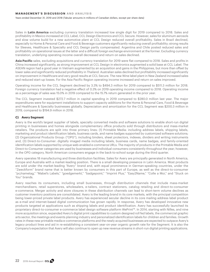Years ended December 31, 2019 and 2018 (Tabular amounts in millions of Canadian dollars, except per share data)

Sales in **Latin America** excluding currency translation increased low single digit for 2019 compared to 2018. Sales and profitability in Mexico increased at CCL Label, CCL Design Electronics and CCL Secure. However, sales for aluminum aerosols and slow volume build for a new automotive plant at CCL Design reduced overall profitability. Sales in Brazil declined, especially to Home & Personal Care and Food & Beverage customers significantly reducing overall profitability; strong results for Sleeves, Healthcare & Specialty and CCL Design partly compensated. Argentina and Chile posted reduced sales and profitability on operational issues at the latter and a difficult foreign exchange environment at the former. Excluding currency translation, underlying operating income overall decreased and return on sales declined.

**Asia Pacific** sales, excluding acquisitions and currency translation for 2019 were flat compared to 2018. Sales and profits in China increased significantly, as strong improvement at CCL Design in electronics augmented a solid base at CCL Label. The ASEAN region had a good year in Vietnam augmented by an acquisition and gains in the Philippines, but more than offset by lower sales and significantly reduced profitability in Thailand. Australian sales declined but profitability increased significantly on improvement in Healthcare and very good results at CCL Secure. The new Wine label plant in New Zealand increased sales and reduced start-up losses. For the Asia Pacific Region operating income increased and return on sales improved.

Operating income for the CCL Segment declined by 3.3% to \$494.3 million for 2019 compared to \$511.3 million for 2018. Foreign currency translation had a negative effect of 0.3% on 2019 operating income compared to 2018. Operating income as a percentage of sales was 15.0% in 2019 compared to the 15.7% return generated in the prior year.

The CCL Segment invested \$272.7 million in capital spending in 2019 compared to \$280.0 million last year. The major expenditures were for equipment installations to support capacity additions for the Home & Personal Care, Food & Beverage and Healthcare & Specialty businesses globally. Depreciation and amortization for the CCL Segment was \$200.3 million in 2019, compared to \$194.9 million in 2018.

# **C) Avery Segment**

Avery is the world's largest supplier of labels, specialty converted media and software solutions to enable short-run digital printing in businesses and homes alongside complementary office products sold through distributors and mass-market retailers. The products are split into three primary lines: (1) Printable Media: including address labels, shipping labels, marketing and product identification labels, business cards, and name badges supported by customized software solutions; (2) Organizational Products Group: ("OPG"), including binders, sheet protectors, indexes, dividers and writing instruments and, (3) Direct-to-Consumer: digitally imaged media including labels, business cards, name badges, and family-oriented identification labels supported by unique web-enabled e-commerce URLs. The majority of products in the Printable Media and Direct-to-Consumer categories are used by businesses and individual consumers consistently throughout the year; however, in the OPG category, North American consumers engage in the back-to-school surge during the third quarter.

Avery operates 18 manufacturing and three distribution facilities. Sales for Avery are principally generated in North America, Europe and Australia with a market-leading position. There is a small developing presence in Latin America. Most products are sold under the market-leading "Avery" brand and, with equal prominence in German-speaking countries, under the "Zweckform" brand name that is better known by consumers in this part of Europe, as well as the direct-to-consumer "pc/nametag," "Mabel's Labels," "goedgemerkt," "badgepoint," "Imprint Plus," "Easy2Name," "Colle a Moi," and "Stuck on You" brands.

Avery reaches its consumers, including small businesses, through distribution channels that include mass-market merchandisers, retail superstores, wholesalers, e-tailers, contract stationers, catalog retailing and direct-to-consumer e-commerce. Merger activity and store closures in these distribution channels can lead to short-term volume declines as customer inventory positions are consolidated. Avery is the leading brand in its core markets, with the principal competition being lower-priced private label products. Avery has experienced secular decline in its core mailing address label product as e-mail and internet-based digital communication has grown rapidly. In response, Avery has developed innovative new products targeted at applications such as shipping labels and product identification. Avery has successfully launched its proprietary direct-to-consumer e-commerce label design software platform WePrint™. In 2014, starting with Nilles, and nine more acquisition since, expanded Avery's digital print capabilities to custom designed roll fed labels, the commercial graphic arts sector, the meetings and events planning industry and personalized identification labels for children and families. Growth rates in these new printable media e-commerce platforms and the newly acquired businesses are expected to outpace Avery's legacy product lines and aid in re-establishing a consistent year-on-year organic growth rate for the Segment. It is also the Company's expectation that Avery will also continue to open up new revenue streams in short-run digital printing applications.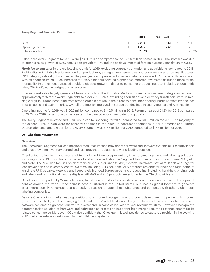# **Avery Segment Financial Performance**

|                  | 2019  | % Growth | 2018  |
|------------------|-------|----------|-------|
| Sales            | 739.0 | 3.8%     | 711.9 |
| Operating income | 156.5 | 7.6%     | 145.5 |
| Return on sales  | 21.2% |          | 20.4% |

Sales in the Avery Segment for 2019 were \$739.0 million compared to the \$711.9 million posted in 2018. The increase was due to organic sales growth of 1.9%, acquisition growth of 1.1% and the positive impact of foreign currency translation of 0.8%.

**North American** sales improved low single digit for 2019, excluding currency translation and acquisitions, compared to 2018. Profitability in Printable Media improved on product mix, strong e-commerce sales and price increases on almost flat sales. OPG category sales slightly exceeded the prior year on improved volumes as customers avoided U.S. trade tariffs associated with off shore sourcing. Price increases for Avery's binders covered higher cost imported raw materials due to these tariffs. Profitability improvement outpaced double-digit sales growth in direct-to-consumer product lines that included badges, kids label, "WePrint", name badges and Avery.com.

**International** sales largely generated from products in the Printable Media and direct-to-consumer categories represent approximately 25% of the Avery Segment's sales for 2019. Sales, excluding acquisitions and currency translation, were up midsingle digit in Europe benefiting from strong organic growth in the direct-to-consumer offering, partially offset by declines in Asia Pacific and Latin America. Overall profitability improved in Europe but declined in Latin America and Asia Pacific.

Operating income for 2019 was \$156.5 million compared to \$145.5 million in 2018. Return on sales of 21.2% for 2019 compared to 20.4% for 2018, largely due to the results in the direct-to-consumer category globally.

The Avery Segment invested \$13.5 million in capital spending for 2019, compared to \$11.6 million for 2018. The majority of the expenditures in 2019 were for capacity additions in the direct-to-consumer operations in North America and Europe. Depreciation and amortization for the Avery Segment was \$17.3 million for 2019 compared to \$17.6 million for 2018.

# **D) Checkpoint Segment**

# **Overview**

The Checkpoint Segment is a leading global manufacturer and provider of hardware and software systems plus security labels and tags providing inventory control and loss-prevention solutions to world-leading retailers.

Checkpoint is a leading manufacturer of technology-driven loss-prevention, inventory-management and labeling solutions, including RF and RFID solutions, to the retail and apparel industry. The Segment has three primary product lines: MAS, ALS and Meto. The MAS line focuses on electronic-article-surveillance ("EAS") systems; hardware, software, labels and tags for loss prevention and inventory control systems including RFID solutions. ALS products are apparel labels and tags, some of which are RFID capable. Meto is a small separately branded European-centric product line, including hand-held pricing tools and labels and promotional in-store displays. All MAS and ALS products are sold under the Checkpoint brand

Checkpoint is supported by 22 manufacturing facilities, nine distribution facilities and four product and software development centres around the world. Checkpoint is head quartered in the United States, but uses its global footprint to generate sales internationally. Checkpoint sells directly to retailers or apparel manufacturers and competes with other global retail labeling companies.

Despite Checkpoint's market-leading position, strong brand recognition and product development pipeline, only modest growth is expected given the changing 'brick and mortar' retail landscape. Large contracts with retailers for hardware and software can create significant quarter-to-quarter and, in some cases, year-to-year revenue volatility. However, Checkpoint's comprehensive solution of hardware and software also creates an important high-margin recurring revenue stream for its related consumables. Moreover, CCL is also confident that Checkpoint is well positioned to capture a position in the evolving RFID market as retailers seek omni-channel fulfillment systems.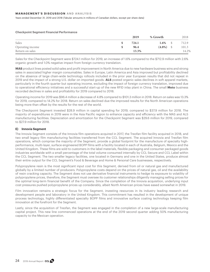Years ended December 31, 2019 and 2018 (Tabular amounts in millions of Canadian dollars, except per share data)

**Checkpoint Segment Financial Performance**

|                  | 2019  | % Growth          | 2018  |
|------------------|-------|-------------------|-------|
| Sales            | 724.1 | 1.6%              | 712.9 |
| Operating income | 96.4  | $(4.8\%)$<br>- \$ | 101.3 |
| Return on sales  | 13.3% |                   | 14.2% |

Sales for the Checkpoint Segment were \$724.1 million for 2019, an increase of 1.6% compared to the \$712.9 million with 2.6% organic growth and 1.0% negative impact from foreign currency translation.

**MAS** product lines posted solid sales and profit improvement in North America due to new hardware business wins and strong sales in associated higher margin consumables. Sales in Europe, Latin America and Asia improved but profitability declined on the absence of large chain-wide technology rollouts included in the prior year European results that did not repeat in 2019 and the impact of a strong U.S. dollar on imported goods. **ALS** posted organic sales declines in soft apparel markets, particularly in the fourth quarter but operating income, excluding the impact of foreign currency translation, improved due to operational efficiency initiatives and a successful start-up of the new RFID inlay plant in China. The small **Meto** business recorded declines in sales and profitability for 2019 compared to 2018.

Operating income for 2019 was \$96.4 million a decrease of 4.8% compared to \$101.3 million in 2018. Return on sales was 13.3% for 2019, compared to 14.2% for 2018. Return on sales declined due the improved results for the North American operations being more than offset by the results for the rest of the world.

The Checkpoint Segment invested \$28.9 million in capital spending for 2019, compared to \$37.9 million for 2018. The majority of expenditures in 2019 were in the Asia Pacific region to enhance capacity and efficiency with the MAS and ALS manufacturing facilities. Depreciation and amortization for the Checkpoint Segment was \$29.6 million for 2019, compared to \$27.9 million for 2018.

# **E) Innovia Segment**

The Innovia Segment consists of the Innovia film operations acquired in 2017, the Treofan film facility acquired in 2018, and two small legacy film manufacturing facilities transferred from the CCL Segment. The acquired Innovia and Treofan film operations, which comprise the majority of the Segment, provide a global footprint for the manufacture of specialty highperformance, multi-layer, surface engineered BOPP films with a facility located in each of Australia, Belgium, Mexico and the United Kingdom. These films are sold to customers in the label materials, flexible packaging and consumer packaged goods industries worldwide with a small percentage of the total volume consumed internally by CCL Secure and CCL Label within the CCL Segment. The two smaller legacy facilities, one located in Germany and one in the United States, produce almost their entire output for the CCL Segment's Food & Beverage and Home & Personal Care businesses, respectively.

Polypropylene resin is the most significant input cost for this Segment, derived from oil or natural gas and manufactured globally by a limited number of producers. Polypropylene costs depend on the prices of natural gas, oil and the availability of resin cracking capacity. The Segment does not use derivative financial instruments to hedge its exposure to volatility of polypropylene prices, therefore, the Segment must oversee its customer relationships diligently managing selling prices for the optimal long-term financial benefit of the Company. Since the completion of the Innovia acquisition, underlying input cost pressures pushed polypropylene prices up considerably, albeit North American prices have eased somewhat in 2019.

Film innovation remains a strategic focus for the Segment, investing resources in its industry leading research and development people and laboratory in the United Kingdom. This commitment has resulted in the development of unique process technology, highly differentiated specialty BOPP films and innovative surface coating technology keeping film innovation at the forefront for the Segment.

Lastly, since the acquisition of Treofan, the Segment was engaged in the completion of a new large-scale manufacturing capital project. This new line commenced operations at the end of the 2019 second quarter adding 50% manufacturing capacity to the Mexican operation.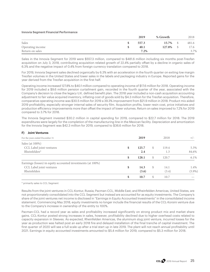## **Innovia Segment Financial Performance**

|                  | 2019  | % Growth | 2018  |
|------------------|-------|----------|-------|
| Sales            | 557.3 | 15.7%    | 481.6 |
| Operating income | 40.1  | 127.8%   | 17.6  |
| Return on sales  | 7.2%  |          | 3.7%  |

Sales in the Innovia Segment for 2019 were \$557.3 million, compared to \$481.6 million including six months post-Treofan acquisition on July 3, 2018, contributing acquisition related growth of 22.4% partially offset by a decline in organic sales of 6.3% and the negative impact of 0.4% from foreign currency translation compared to 2018.

For 2019, Innovia Segment sales declined organically by 6.3% with an acceleration in the fourth quarter on exiting low margin Treofan volumes in the United States and lower sales in the labels and packaging industry in Europe. Reported gains for the year derived from the Treofan acquisition in the first half.

Operating income increased 127.8% to \$40.1 million compared to operating income of \$17.6 million for 2018. Operating income for 2019 included a \$9.6 million pension curtailment gain, recorded in the fourth quarter of the year, associated with the Company's decision to close the legacy U.K. defined benefit plan. The 2018 year included a non-cash acquisition accounting adjustment to fair value acquired inventory, inflating cost of goods sold by \$4.3 million for the Treofan acquisition. Therefore, comparative operating income was \$30.5 million for 2019 a 39.3% improvement from \$21.9 million in 2018. Product mix aided 2019 profitability, especially stronger internal sales of security film. Acquisition profits, lower resin cost, price initiatives and production efficiency improvements more than offset the impact of lower volumes. Return on sales improved to 7.2% for 2019 compared to 3.7% for 2018.

The Innovia Segment invested \$30.2 million in capital spending for 2019, compared to \$22.7 million for 2018. The 2019 expenditures were largely for the completion of the manufacturing line in the Mexican facility. Depreciation and amortization for the Innovia Segment was \$42.3 million for 2019, compared to \$36.6 million for 2018.

| F)<br><b>Joint Ventures</b> |  |
|-----------------------------|--|
|-----------------------------|--|

| For the years ended December 31                             | 2019        |    | 2018  | $+/-$     |
|-------------------------------------------------------------|-------------|----|-------|-----------|
| Sales (at 100%)                                             |             |    |       |           |
| CCL Label joint ventures                                    | \$<br>125.7 | S. | 119.4 | 5.3%      |
| Rheinfelden*                                                | 2.4         |    | 1.3   | 84.6%     |
|                                                             | \$<br>128.1 | \$ | 120.7 | 6.1%      |
| Earnings (losses) in equity accounted investments (at 100%) |             |    |       |           |
| CCL Label joint ventures                                    | 14.3        | \$ | 14.1  | 1.4%      |
| Rheinfelden                                                 | (3.6)       |    | (3.4) | $(5.9\%)$ |
|                                                             | \$<br>10.7  | \$ | 10.7  |           |

\* primarily sales to CCL Segment

Results from the joint ventures in CCL-Kontur, Russia; Pacman-CCL, Middle East; and Rheinfelden Americas, United States, are not proportionately consolidated into the CCL Segment but instead are accounted for as equity investments. The Company's share of the joint ventures net income is disclosed in "Earnings in Equity Accounted Investments" in the consolidated income statement. Commencing May 2018, equity investments no longer include the financial results of the CCL-Korsini venture due to the Company's increase in ownership of the entity to 100%.

Pacman-CCL had a record year as sales and profitability increased significantly on strong product mix and market share gains. CCL-Kontur posted strong increases in sales, however, profitability declined due to higher overhead costs related to capacity expansion in Sleeves. As expected, Rheinfelden Americas, the aluminum slug joint venture, incurred losses for the year as production was halted post an early 2018 fire and delayed installation of the final tranche of capital investment. The first quarter of 2020 will see a full scale up after a trial start up in late 2019. The plant will not reach annual profitability until 2021. Earnings in equity accounted investments amounted to \$5.4 million for 2019, compared to \$5.3 million for 2018.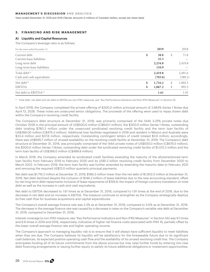Years ended December 31, 2019 and 2018 (Tabular amounts in millions of Canadian dollars, except per share data)

# **3. FINANCING AND RISK MANAGEMENT**

# **A) Liquidity and Capital Resources**

The Company's leverage ratio is as follows:

| For the years ended December 31 | 2019          |    | 2018    |
|---------------------------------|---------------|----|---------|
| Current debt                    | \$<br>38.8    | \$ | 71.8    |
| Current lease liabilities       | 35.3          |    |         |
| Long-term debt                  | 2,234.8       |    | 2,419.8 |
| Long-term lease liabilities     | 110.9         |    |         |
| Total debt $(1)$                | 2,419.8       |    | 2,491.6 |
| Cash and cash equivalents       | (703.6)       |    | (589.1) |
| Net debt $(1)$                  | \$<br>1,716.2 | S  | 1,902.5 |
| <b>EBITDA</b>                   | 1,067.2<br>\$ | \$ | 995.3   |
| Net debt to $EBITDA(1)$         | 1.61          |    | 1.91    |

(1) Total debt, net debt and net debt to EBITDA are non-IFRS measures; see "Key Performance Indicators and Non-IFRS Measures" in Section 5A.

In April 2018, the Company completed the private offering of \$300.0 million principal amount of 3.864% Series 1 Notes due April 13, 2028. These notes are unsecured senior obligations. The proceeds of the offering were used to repay drawn debt within the Company's revolving credit facility.

The Company's debt structure at December 31, 2019, was primarily comprised of the 144A 3.25% private notes due October 2026 in the principal amount of US\$500.0 million (C\$643.1 million), the \$300.0 million Series 1 Notes, outstanding debt totaling \$780.3 million under the unsecured syndicated revolving credit facility and the term loan facility of US\$366.00 million (C\$475.3 million). Additional loan facilities negotiated in 2019 and resident in Mexico and Australia were \$33.4 million and \$37.6 million, respectively. Outstanding contingent letters of credit totaled \$3.6 million; accordingly, there was US\$595.7 million of unused availability on the revolving credit facility at December 31, 2019. The Company's debt structure at December 31, 2018, was principally comprised of the 144A private notes of US\$500.0 million (C\$674.5 million), the \$300.0 million Series 1 Notes, outstanding debt under the syndicated revolving credit facility of \$1,012.2 million and the term loan facility of US\$366.0 million (C\$498.8 million).

In March 2018, the Company amended its syndicated credit facilities extending the maturity of the aforementioned term loan facility from February 2019 to February 2020 and its US\$1.2 billion revolving credit facility from December 2020 to March 2023. In February 2019, the term loan facility was further amended by extending the maturity date to February 2021 and removing the required US\$12.0 million quarterly principal payments.

Net debt was \$1,716.2 million at December 31, 2019, \$186.3 million lower than the net debt of \$1,902.5 million at December 31, 2018. Net debt declined despite the inclusion of \$146.2 million of lease liabilities due to the new accounting standard, offset by net long-term debt repayments inclusive of lease repayments of \$156.8, the impact of foreign currency translation on total debt as well as the increase in cash and cash equivalents.

Net debt to EBITDA decreased to 1.61 times as at December 31, 2019, compared to 1.91 times at the end of 2018, due to the decrease in net debt and an increase in EBITDA. The measure continues to strengthen as the Company strategically deploys its free cash flow for business acquisitions and capital expenditures.

The Company's overall average finance rate was 2.3% as at December 31, 2019, compared to 3.0% as at December 31, 2018. The decrease in the average finance rate was caused by a decrease in rates on the Company's variable rate debt at December 31, 2019, compared to December 31, 2018.

Interest coverage (a non-IFRS measure; see "Key Performance Indicators and Non-IFRS Measures" in Section 5A) was 9.1 times and 8.8 times in 2019 and 2018, respectively, indicative of higher net finance costs associated with IFRS 16, partially offset by the lower overall average finance rate and higher operating income.

The Company's approach to managing liquidity risk is to ensure that it will always have sufficient liquidity to meet liabilities when they are due. The Company believes its liquidity will be satisfactory for the foreseeable future due to its significant cash balances, its expected positive operating cash flow and the availability of its unused revolving credit line. The Company anticipates funding all of its future commitments from the above sources but may raise further funds by entering into new debt financing arrangements or issuing further equity to satisfy its future additional obligations or investment opportunities.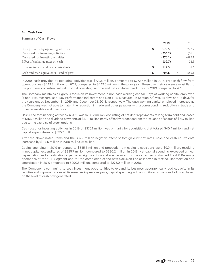# **B) Cash Flow**

# **Summary of Cash Flows**

|                                         | 2019    | 2018    |
|-----------------------------------------|---------|---------|
| Cash provided by operating activities   | 779.5   | 772.7   |
| Cash used for financing activities      | (256.2) | (67.3)  |
| Cash used for investing activities      | (376.1) | (696.1) |
| Effect of exchange rates on cash        | (32.7)  | 22.3    |
| Increase in cash and cash equivalents   | 114.5   | 31.6    |
| Cash and cash equivalents – end of year | 703.6   | 589.1   |

In 2019, cash provided by operating activities was \$779.5 million, compared to \$772.7 million in 2018. Free cash flow from operations was \$443.8 million for 2019, compared to \$442.5 million in the prior year. These two metrics were almost flat to the prior year consistent with almost flat operating income and net capital expenditures for 2019 compared to 2018.

The Company maintains a rigorous focus on its investment in non-cash working capital. Days of working capital employed (a non-IFRS measure; see "Key Performance Indicators and Non-IFRS Measures" in Section 5A) was 24 days and 18 days for the years ended December 31, 2019, and December 31, 2018, respectively. The days working capital employed increased as the Company was not able to match the reduction in trade and other payables with a corresponding reduction in trade and other receivables and inventory.

Cash used for financing activities in 2019 was \$256.2 million, consisting of net debt repayments of long-term debt and leases of \$156.8 million and dividend payments of \$121.1 million partly offset by proceeds from the issuance of shares of \$21.7 million due to the exercise of stock options.

Cash used for investing activities in 2019 of \$376.1 million was primarily for acquisitions that totaled \$40.4 million and net capital expenditures of \$335.7 million.

After the above noted items and the \$32.7 million negative effect of foreign currency rates, cash and cash equivalents increased by \$114.5 million in 2019 to \$703.6 million.

Capital spending in 2019 amounted to \$345.6 million and proceeds from capital dispositions were \$9.9 million, resulting in net capital expenditures of \$335.7 million, compared to \$330.2 million in 2018. Net capital spending exceeded annual depreciation and amortization expense as significant capital was required for the capacity-constrained Food & Beverage operations of the CCL Segment and for the completion of the new extrusion line at Innovia in Mexico. Depreciation and amortization in 2019 amounted to \$290.5 million, compared to \$278.0 million in 2018.

The Company is continuing to seek investment opportunities to expand its business geographically, add capacity in its facilities and improve its competitiveness. As in previous years, capital spending will be monitored closely and adjusted based on the level of cash flow generated.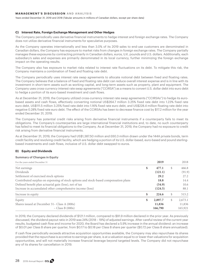Years ended December 31, 2019 and 2018 (Tabular amounts in millions of Canadian dollars, except per share data)

#### **C) Interest Rate, Foreign Exchange Management and Other Hedges**

The Company periodically uses derivative financial instruments to hedge interest and foreign exchange rates. The Company does not utilize derivative financial instruments for speculative purposes.

As the Company operates internationally and less than 3.0% of its 2019 sales to end-use customers are denominated in Canadian dollars, the Company has exposure to market risks from changes in foreign exchange rates. The Company partially manages these exposures by contracting primarily in Canadian dollars, euros, U.K. pounds and U.S. dollars. Additionally, each subsidiary's sales and expenses are primarily denominated in its local currency, further minimizing the foreign exchange impact on the operating results.

The Company also has exposure to market risks related to interest rate fluctuations on its debt. To mitigate this risk, the Company maintains a combination of fixed and floating rate debt.

The Company periodically uses interest rate swap agreements to allocate notional debt between fixed and floating rates. The Company believes that a balance of fixed and floating rate debt can reduce overall interest expense and is in line with its investment in short-term assets such as working capital, and long-term assets such as property, plant and equipment. The Company uses cross-currency interest rate swap agreements ("CCIRSA") as a means to convert U.S. dollar debt into euro debt to hedge a portion of its euro-based investment and cash flows.

As at December 31, 2019, the Company utilized cross-currency interest rate swap agreements ("CCIRSAs") to hedge its eurobased assets and cash flows, effectively converting notional US\$264.7 million 3.25% fixed rate debt into 1.23% fixed rate euro debt, US\$111.5 million 3.25% fixed rate debt into 1.16% fixed rate euro debt, and US\$228.4 million floating rate debt into negative 0.28% fixed rate euro debt. The effect of the CCIRSAs has been to decrease finance cost by \$17.2 million for the year ended December 31, 2019.

The Company has potential credit risks arising from derivative financial instruments if a counterparty fails to meet its obligations. The Company's counterparties are large international financial institutions and, to date, no such counterparty has failed to meet its financial obligations to the Company. As at December 31, 2019, the Company had no exposure to credit risk arising from derivative financial instruments.

As at December 31, 2019, the Company had US\$1,387.50 million and £60.3 million drawn under the 144A private bonds, term credit facility and revolving credit facility, which are hedging a portion of its U.S. dollar-based, euro-based and pound sterlingbased investments and cash flows, inclusive of U.S. dollar debt swapped to euros.

# **D) Equity and Dividends**

#### **Summary of Changes in Equity**

| For the years ended December 31                                                      | 2019          |   | 2018    |
|--------------------------------------------------------------------------------------|---------------|---|---------|
| Net earnings                                                                         | \$<br>477.1   | S | 466.8   |
| <b>Dividends</b>                                                                     | (121.1)       |   | (91.9)  |
| Settlement of exercised stock options                                                | 29.2          |   | 27.2    |
| Contributed surplus on expensing of stock options and stock-based compensation plans | 18.8          |   | 14.4    |
| Defined benefit plan actuarial gain (loss), net of tax                               | (54.9)        |   | 10.6    |
| Increase in accumulated other comprehensive income (loss)                            | (124.5)       |   | 88.1    |
| Increase in equity                                                                   | \$<br>224.6   | S | 515.2   |
| Equity                                                                               | \$<br>2,897.7 | S | 2,673.1 |
| Shares issued at December 31– Class A (000s)                                         | 11,836        |   | 11,836  |
| $- Class B (000s)$                                                                   | 166,790       |   | 165,921 |

In 2019, the Company declared dividends of \$121.1 million, compared to \$91.9 million declared in the prior year. As previously discussed, the dividend payout ratio in 2019 was 24% (2018 – 19%) of adjusted earnings. After careful review of the current year results, budgeted cash flow and income for 2020, the Board has declared a 5.9% increase in the annual dividend: an increase of \$0.01 per Class B share per quarter, from \$0.17 to \$0.18 per Class B share per quarter (\$0.72 per Class B share annualized).

If cash flow periodically exceeds attractive acquisition opportunities available, the Company may also repurchase its shares provided that the repurchase is accretive to earnings per share, is at a valuation equal to or lower than valuations for acquisition opportunities, and will not materially increase financial leverage beyond targeted levels. The Company did not repurchase any of its shares for cancellation in 2019.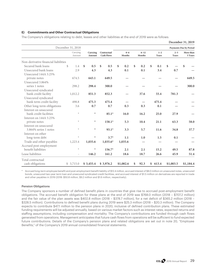# **E) Commitments and Other Contractual Obligations**

The Company's obligations relating to debt, leases and other liabilities at the end of 2019 were as follows:

|                                      |                    |                    |                                  |                   |                    |                  |                  | December 31, 2019             |
|--------------------------------------|--------------------|--------------------|----------------------------------|-------------------|--------------------|------------------|------------------|-------------------------------|
|                                      | December 31, 2018  |                    |                                  |                   |                    |                  |                  | <b>Payments Due by Period</b> |
|                                      | Carrying<br>Amount | Carrying<br>Amount | Contractual<br><b>Cash Flows</b> | $0 - 6$<br>Months | $6 - 12$<br>Months | $1 - 2$<br>Years | $2 - 5$<br>Years | More than<br>5 Years          |
| Non-derivative financial liabilities |                    |                    |                                  |                   |                    |                  |                  |                               |
| Secured bank loans                   | \$<br>1.4          | \$<br>0.5          | \$<br>0.5                        | \$<br>0.2         | \$<br>0.2          | \$<br>0.1        | \$               | \$                            |
| Unsecured bank loans                 | 2.9                | 4.3                | 4.3                              | 0.1               | 0.1                | 3.4              | 0.7              |                               |
| Unsecured 144A 3.25%                 |                    |                    |                                  |                   |                    |                  |                  |                               |
| private notes                        | 674.5              | 643.1              | 649.5                            |                   |                    |                  |                  | 649.5                         |
| Unsecured 3.864%                     |                    |                    |                                  |                   |                    |                  |                  |                               |
| series 1 notes                       | 298.2              | 298.4              | 300.0                            |                   |                    |                  |                  | 300.0                         |
| Unsecured syndicated                 |                    |                    |                                  |                   |                    |                  |                  |                               |
| bank credit facility                 | 1,012.2            | 851.3              | 852.3                            |                   | 37.6               | 33.4             | 781.3            |                               |
| Unsecured syndicated                 |                    |                    |                                  |                   |                    |                  |                  |                               |
| bank term credit facility            | 498.8              | 475.3              | 475.4                            |                   |                    | 475.4            |                  |                               |
| Other long-term obligations          | 3.6                | 0.7                | 0.7                              | 0.3               | 0.3                | 0.1              |                  |                               |
| Interest on unsecured                |                    |                    |                                  |                   |                    |                  |                  |                               |
| bank credit facilities               | $\star$            | $\star$            | $85.1*$                          | 16.0              | 16.2               | 25.0             | 27.9             |                               |
| Interest on 144A 3.25%               |                    |                    |                                  |                   |                    |                  |                  |                               |
| private notes                        | $\star$            | $\star$            | $158.1*$                         | 5.3               | 10.4               | 21.1             | 63.3             | 58.0                          |
| Interest on unsecured                |                    |                    |                                  |                   |                    |                  |                  |                               |
| 3.864% series 1 notes                | $\star$            | $\star$            | $93.1*$                          | 3.3               | 5.7                | 11.6             | 34.8             | 37.7                          |
| Interest on other                    |                    |                    |                                  |                   |                    |                  |                  |                               |
| long-term debt                       | $\ast$             | $\star$            | $3.7*$                           | 1.1               | 1.0                | 1.5              | 0.1              |                               |
| Trade and other payables             | 1,223.4            | 1,035.6            | $1,035.6*$                       | 1,035.6           |                    |                  |                  |                               |
| Accrued post-employment              |                    |                    |                                  |                   |                    |                  |                  |                               |
| benefit liabilities                  | $\star$            | $\star$            | $156.7*$                         | 2.1               | 2.1                | 15.2             | 49.5             | 87.8                          |
| Lease liabilities                    |                    | 146.2              | 161.2                            | 18.6              | 18.7               | 26.6             | 45.9             | 51.4                          |
| Total contractual                    |                    |                    |                                  |                   |                    |                  |                  |                               |
| cash obligations                     | \$3,715.0          | \$3,455.4          | \$3,976.2                        | \$1,082.6         | \$<br>92.3         | \$<br>613.4      | \$1,003.5        | \$1,184.4                     |

Accrued long-term employee benefit and post-employment benefit liability of \$12.4 million, accrued interest of \$8.0 million on unsecured notes, unsecured bonds, unsecured two-year term loan and unsecured syndicated credit facilities, and accrued interest of \$1.5 million on derivatives are reported in trade and other payables in 2019 (2018: \$50.8 million, \$9.2 million and \$1.6 million, respectively).

# **Pension Obligations**

The Company sponsors a number of defined benefit plans in countries that give rise to accrued post-employment benefit obligations. The accrued benefit obligation for these plans at the end of 2019 was \$768.0 million (2018 – \$707.2 million) and the fair value of the plan assets was \$402.8 million (2018 – \$378.7 million), for a net deficit of \$365.2 million (2018 – \$328.5 million). Contributions to defined benefit plans during 2019 were \$25.3 million (2018 – \$20.3 million). The Company expects to contribute \$47.1 million to the pension plans in 2020, inclusive of defined contribution plans. These estimated funding requirements will be adjusted annually, based on various market factors such as interest rates, expected returns and staffing assumptions, including compensation and mortality. The Company's contributions are funded through cash flows generated from operations. Management anticipates that future cash flows from operations will be sufficient to fund expected future contributions. Details of the Company's pension plans and related obligations are set out in note 20, "Employee Benefits," of the Company's 2019 annual consolidated financial statements.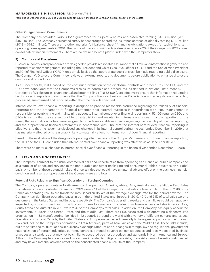Years ended December 31, 2019 and 2018 (Tabular amounts in millions of Canadian dollars, except per share data)

# **Other Obligations and Commitments**

The Company has provided various loan guarantees for its joint ventures and associates totaling \$42.3 million (2018 – \$46.3 million). The Company has posted surety bonds through accredited insurance companies globally totaling \$71.3 million (2018 – \$74.2 million). There are no other material "off-balance sheet" financing obligations except for typical long-term operating lease agreements in 2018. The nature of these commitments is described in note 26 of the Company's 2019 annual consolidated financial statements. There are no defined benefit plans funded with the Company's stock.

# **F) Controls and Procedures**

Disclosure controls and procedures are designed to provide reasonable assurance that all relevant information is gathered and reported to senior management, including the President and Chief Executive Officer ("CEO") and the Senior Vice President and Chief Financial Officer ("CFO"), on a timely basis so that appropriate decisions can be made regarding public disclosure. The Company's Disclosure Committee reviews all external reports and documents before publication to enhance disclosure controls and procedures.

As at December 31, 2019, based on the continued evaluation of the disclosure controls and procedures, the CEO and the CFO have concluded that the Company's disclosure controls and procedures, as defined in National Instrument 52-109, Certificate of Disclosure in Issuers Annual and Interim Filings ("NI 52-109"), are effective to ensure that information required to be disclosed in reports and documents that the Company files or submits under Canadian securities legislation is recorded, processed, summarized and reported within the time periods specified.

Internal control over financial reporting is designed to provide reasonable assurance regarding the reliability of financial reporting and the preparation of financial statements for external purposes in accordance with IFRS. Management is responsible for establishing and maintaining adequate internal control over financial reporting. NI 52-109 requires CEOs and CFOs to certify that they are responsible for establishing and maintaining internal control over financial reporting for the issuer, that internal control has been designed to provide reasonable assurance regarding the reliability of financial reporting and the preparation of financial statements in accordance with IFRS, that the internal control over financial reporting is effective, and that the issuer has disclosed any changes in its internal control during the year ended December 31, 2019 that has materially affected or is reasonably likely to materially affect its internal control over financial reporting.

Based on the evaluation of the design and operating effectiveness of the Company's internal control over financial reporting, the CEO and the CFO concluded that internal control over financial reporting was effective as at December 31, 2019.

There were no material changes in internal control over financial reporting in the financial year ended December 31, 2019.

# **4 . RISKS AND UNCERTAINTIES**

The Company is subject to the usual commercial risks and uncertainties from operating as a Canadian public company and as a supplier of goods and services to the non-durable consumer packaging and consumer durables industries on a global basis. A number of these potential risks and uncertainties that could have a material adverse effect on the business, financial condition and results of operations of the Company are as follows:

# **Potential Risks Relating to Significant Operations in Foreign Countries**

The Company operates plants in North America, Europe, Latin America, Africa, Asia, Australia and the Middle East. Sales to customers located outside of Canada in 2019 were 97% of the Company's total sales, a level similar to that in 2018. Non-Canadian operating results are translated into Canadian dollars at the average exchange rate for the period covered. The Company has significant operating bases in both the United States and Europe. In 2019, 40% and 31% of total sales were to customers in the United States and Europe, respectively. The Company's operating results and cash flows could be negatively impacted by slower or declining growth rates in these key markets. The sales from business units in Latin America, Asia, South Africa and Australia in 2019 were 26% of the Company's total sales. In addition, the Company has equity accounted investments in Russia, the United States and the Middle East. There are risks associated with operating a decentralized organization in 183 manufacturing facilities in 42 countries around the world with a variety of different cultures and values. Operations outside of Canada, the United States and Europe are perceived generally to have greater political and economic risks and include the Company's operations in Latin America, parts of Asia, Russia and the Middle East. These risks include, but are not limited to, fluctuations in currency exchange rates, inflation, changes in foreign law and regulations, government nationalization of certain industries, currency controls, potential adverse tax consequences and locally accepted business practices and standards that may not be similar to accepted business practices and standards in North America and Europe. Although the Company has controls and procedures intended to mitigate these risks, these risks cannot be entirely eliminated and may have a material adverse effect on the consolidated financial results of the Company.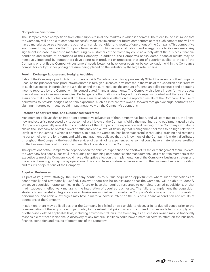# **Competitive Environment**

The Company faces competition from other suppliers in all the markets in which it operates. There can be no assurance that the Company will be able to compete successfully against its current or future competitors or that such competition will not have a material adverse effect on the business, financial condition and results of operations of the Company. This competitive environment may preclude the Company from passing on higher material, labour and energy costs to its customers. Any significant increase in in-house manufacturing by customers of the Company could adversely affect the business, financial condition and results of operations of the Company. In addition, the Company's consolidated financial results may be negatively impacted by competitors developing new products or processes that are of superior quality to those of the Company or that fit the Company's customers' needs better, or have lower costs; or by consolidation within the Company's competitors or by further pricing pressure being placed on the industry by the large retail chains.

# **Foreign Exchange Exposure and Hedging Activities**

Sales of the Company's products to customers outside Canada account for approximately 97% of the revenue of the Company. Because the prices for such products are quoted in foreign currencies, any increase in the value of the Canadian dollar relative to such currencies, in particular the U.S. dollar and the euro, reduces the amount of Canadian dollar revenues and operating income reported by the Company in its consolidated financial statements. The Company also buys inputs for its products in world markets in several currencies. Exchange rate fluctuations are beyond the Company's control and there can be no assurance that such fluctuations will not have a material adverse effect on the reported results of the Company. The use of derivatives to provide hedges of certain exposures, such as interest rate swaps, forward foreign exchange contracts and aluminum futures contracts, could impact negatively on the Company's operations.

# **Retention of Key Personnel and Experienced Workforce**

Management believes that an important competitive advantage of the Company has been, and will continue to be, the knowhow and expertise possessed by its personnel at all levels of the Company. While the machinery and equipment used by the Company are generally available to competitors of the Company, the experience and training of the Company's workforce allows the Company to obtain a level of efficiency and a level of flexibility that management believes to be high relative to levels in the industries in which it competes. To date, the Company has been successful in recruiting, training and retaining its personnel over the long term, and while management believes that the know-how of the Company is widely distributed throughout the Company, the loss of the services of certain of its experienced personnel could have a material adverse effect on the business, financial condition and results of operations of the Company.

The operations of the Company are dependent on the abilities, experience and efforts of its senior management team. To date, the Company has been successful in recruiting and retaining competent senior management. Loss of certain members of the executive team of the Company could have a disruptive effect on the implementation of the Company's business strategy and the efficient running of day-to-day operations. This could have a material adverse effect on the business, financial condition and results of operations of the Company.

#### **Acquired Businesses**

As part of its growth strategy, the Company continues to pursue acquisition opportunities where such transactions are economically and strategically justified. However, there can be no assurance that the Company will be able to identify attractive acquisition opportunities in the future or have the required resources to complete desired acquisitions, or that it will succeed in effectively managing the integration of acquired businesses. The failure to implement the acquisition strategy, to successfully integrate acquired businesses or joint ventures into the Company's structure, or to control operating performance and achieve synergies may have a material adverse effect on the business, financial condition and results of operations of the Company.

In addition, there may be liabilities that the Company has failed or was unable to discover in its due diligence prior to the consummation of the acquisition. In particular, to the extent that prior owners of acquired businesses failed to comply with or otherwise violated applicable laws, including environmental laws, the Company, as a successor owner, may be financially responsible for these violations. A discovery of any material liabilities could have a material adverse effect on the business, financial condition and results of operations of the Company.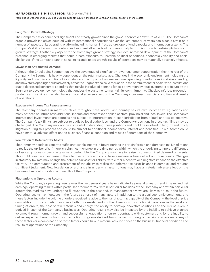Years ended December 31, 2019 and 2018 (Tabular amounts in millions of Canadian dollars, except per share data)

#### **Long-Term Growth Strategy**

The Company has experienced significant and steady growth since the global economic downturn of 2009. The Company's organic growth initiatives coupled with its international acquisitions over the last number of years can place a strain on a number of aspects of its operating platform including human infrastructure, operational capacity and information systems. The Company's ability to continually adapt and augment all aspects of its operational platform is critical to realizing its long-term growth strategy. Another key aspect to the Company's growth strategy includes increased development of the Company's presence in emerging markets that could create exposure to unstable political conditions, economic volatility and social challenges. If the Company cannot adjust to its anticipated growth, results of operations may be materially adversely affected.

# **Lower than Anticipated Demand**

Although the Checkpoint Segment enjoys the advantage of significantly lower customer concentration than the rest of the Company, the Segment is heavily dependent on the retail marketplace. Changes in the economic environment including the liquidity and financial condition of its customers, the impact of online customer spending or reductions in retailer spending and new store openings could adversely affect the Segment's sales. A reduction in the commitment for chain-wide installations due to decreased consumer spending that results in reduced demand for loss prevention by retail customers or failure by the Segment to develop new technology that entices the customer to maintain its commitment to Checkpoint's loss prevention products and services may also have a material adverse effect on the Company's business, financial condition and results of operations.

# **Exposure to Income Tax Reassessments**

The Company operates in many countries throughout the world. Each country has its own income tax regulations and many of these countries have additional income and other taxes applied at state, provincial and local levels. The Company's international investments are complex and subject to interpretation in each jurisdiction from a legal and tax perspective. The Company's tax filings are subject to audit by local authorities, and the Company's positions in these tax filings may be challenged. The Company may not be successful in defending these positions and could be involved in lengthy and costly litigation during this process and could be subject to additional income taxes, interest and penalties. This outcome could have a material adverse effect on the business, financial condition and results of operations of the Company.

# **Realization of Deferred Tax Assets**

The Company needs to generate sufficient taxable income in future periods in certain foreign and domestic tax jurisdictions to realize the tax benefit. If there is a significant change in the time period within which the underlying temporary difference or loss carry-forwards become taxable or deductible, the Company may have to revise its unrecognized deferred tax assets. This could result in an increase in the effective tax rate and could have a material adverse effect on future results. Changes in statutory tax rate may change the deferred tax asset or liability, with either a positive or a negative impact on the effective tax rate. The computation and assessment of the ability to realize the deferred tax asset balance is complex and requires significant judgment. New legislation or a change in underlying assumptions may have a material adverse effect on the business, financial condition and results of the Company.

# **Fluctuations in Operating Results**

While the Company's operating results over the past several years have indicated a general upward trend in sales and net earnings, operating results within particular product forms, within particular facilities of the Company and within particular geographic markets have undergone fluctuations in the past and, in management's view, are likely to do so in the future. Operating results may fluctuate in the future as a result of many factors in addition to the global economic conditions, and these factors include the volume of orders received relative to the manufacturing capacity of the Company, the level of price competition (from competing suppliers both in domestic and in other lower-cost jurisdictions), variations in the level and timing of orders, the cost of raw materials and energy, the ability to develop innovative solutions and the mix of revenue derived in each of the Company's businesses. Operating results may also be impacted by the inability to achieve planned volumes through normal growth and successful renegotiation of current contracts with customers and by the inability to deliver expected benefits from cost reduction programs derived from the restructuring of certain business units. Any of these factors or a combination of these factors could have a material adverse effect on the business, financial condition and results of operations of the Company.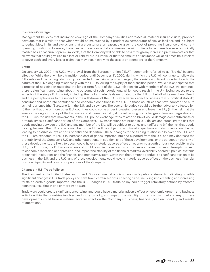#### **Insurance Coverage**

Management believes that insurance coverage of the Company's facilities addresses all material insurable risks, provides coverage that is similar to that which would be maintained by a prudent owner/operator of similar facilities and is subject to deductibles, limits and exclusions that are customary or reasonable given the cost of procuring insurance and current operating conditions. However, there can be no assurance that such insurance will continue to be offered on an economically feasible basis or at current premium levels, that the Company will be able to pass through any increased premium costs or that all events that could give rise to a loss or liability are insurable, or that the amounts of insurance will at all times be sufficient to cover each and every loss or claim that may occur involving the assets or operations of the Company.

# **Brexit**

On January 31, 2020, the U.K.'s withdrawal from the European Union ("E.U."), commonly referred to as "Brexit," became effective. While there will be a transition period until December 31, 2020, during which the U.K. will continue to follow the E.U.'s rules and the trading relationship is expected to remain largely unchanged, there exists significant uncertainty as to the nature of the U.K.'s ongoing relationship with the E.U. following the expiry of the transition period. While it is anticipated that a process of negotiation regarding the longer term future of the U.K.'s relationship with members of the E.U. will continue, there is significant uncertainty about the outcome of such negotiations, which could result in the U.K. losing access to the aspects of the single E.U. market, including the global trade deals negotiated by the E.U. on behalf of its members. Brexit and the perceptions as to the impact of the withdrawal of the U.K. may adversely affect business activity, political stability, consumer and corporate confidence and economic conditions in the U.K., in those countries that have adopted the euro as their currency (the "Eurozone"), in the E.U. and elsewhere. The economic outlook could be further adversely affected by: (i) the risk that one or more other E.U. countries could come under increasing pressure to leave the E.U; (ii) the risk that the euro as the single currency of the Eurozone could cease to exist; (iii) the risk arising from changes in laws and regulations in the U.K.; (iv) the risk that movements in the U.K. pound exchange rates related to Brexit could damage competitiveness or profitability as a significant portion of the Company's U.K. transactions are priced in U.S. dollars and euros; (v) the risk that goods moving between the U.K. and any member of the E.U. will be subject to duties and tariffs; and (vi) the risk that goods moving between the U.K. and any member of the E.U. will be subject to additional inspections and documentation checks, leading to possible delays at ports of entry and departure. These changes to the trading relationship between the U.K. and the E.U. are expected to result in increased cost of goods imported into and exported from the U.K. and may decrease the profitability of the Company's U.K. and other operations. In addition, any of these developments, or the perception that any of these developments are likely to occur, could have a material adverse effect on economic growth or business activity in the U.K., the Eurozone, the E.U. or elsewhere and could result in the relocation of businesses, cause business interruptions, lead to economic recession or depression, and impact the stability of the financial markets, availability of credit, political systems or financial institutions and the financial and monetary system. Given that the Company conducts a significant portion of its business in the E.U. and the U.K., any of these developments could have a material adverse effect on the business, financial position, liquidity and results of operations of the Company.

# **Changes in U.S. Trade Policies**

The President of the United States and other U.S. governmental officials have made public statements indicating possible significant changes in U.S. trade policy and have taken certain actions impacting trade, including implementing and increasing tariffs on certain goods imported into the U.S. Changes in U.S. trade policy could trigger retaliatory actions by affected countries, resulting in one or more trade wars.

Trade wars could create significant uncertainty and could have a material adverse effect on economic growth and business activity within the countries involved and more broadly, and impact the stability of the financial markets. Any of these developments could have a material adverse effect on the Company's business, financial position, liquidity and results of operations.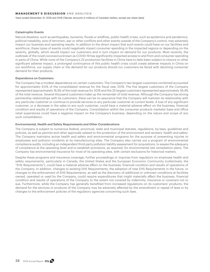Years ended December 31, 2019 and 2018 (Tabular amounts in millions of Canadian dollars, except per share data)

# **Catastrophic Events**

Natural disasters, such as earthquakes, tsunamis, floods or wildfires, public health crises, such as epidemics and pandemics, political instability, acts of terrorism, war or other conflicts and other events outside of the Company's control, may adversely impact our business and operating results. In addition to the direct impact that such events could have on our facilities and workforce, these types of events could negatively impact consumer spending in the impacted regions or depending on the severity, globally, which would impact our customers and in turn impact on demand for our products. Most recently, the outbreak of the novel coronavirus known as COVID-19 has significantly impacted access to and from and consumer spending in parts of China. While none of the Company's 22 production facilities in China have to date been subject to closure or other significant adverse impact, a prolonged continuance of this public health crisis could create adverse impacts in China on our workforce, our supply chain or the demand for our products should our customers be faced with declining consumer demand for their products.

#### **Dependence on Customers**

The Company has a modest dependence on certain customers. The Company's two largest customers combined accounted for approximately 9.0% of the consolidated revenue for the fiscal year 2019. The five largest customers of the Company represented approximately 16.5% of the total revenue for 2019 and the 25 largest customers represented approximately 36.4% of the total revenue. Several thousand customers make up the remainder of total revenue. Although the Company has strong partnership relationships with its customers, there can be no assurance that the Company will maintain its relationship with any particular customer or continue to provide services to any particular customer at current levels. A loss of any significant customer, or a decrease in the sales to any such customer, could have a material adverse effect on the business, financial condition and results of operations of the Company. Consolidation within the consumer products marketer base and office retail superstores could have a negative impact on the Company's business, depending on the nature and scope of any such consolidation.

#### **Environmental, Health and Safety Requirements and Other Considerations**

The Company is subject to numerous federal, provincial, state and municipal statutes, regulations, by-laws, guidelines and policies, as well as permits and other approvals related to the protection of the environment and workers' health and safety. The Company maintains active health and safety and environmental programs for the purpose of preventing injuries to employees and pollution incidents at its manufacturing sites. The Company also carries out a program of environmental compliance audits, including an independent third-party pollution liability assessment for acquisitions, to assess the adequacy of compliance at the operating level and to establish provisions, as required, for environmental site remediation plans. The Company has environmental insurance for most of its operating sites, with certain exclusions for historical matters.

Despite these programs and insurance coverage, further proceedings or inquiries from regulators on employee health and safety requirements, particularly in Canada, the United States and the European Economic Community (collectively, the "EHS Requirements"), could have a material adverse effect on the business, financial condition and results of operations of the Company. In addition, changes to existing EHS Requirements, the adoption of new EHS Requirements in the future, or changes to the enforcement of EHS Requirements, as well as the discovery of additional or unknown conditions at facilities owned, operated or used by the Company, could require expenditures that might materially affect the business, financial condition and results of operations of the Company to the extent not covered by indemnity, insurance or covenant not to sue. Furthermore, while the Company has generally benefited from increased regulations on its customers' products, the demand for the services or products of the Company may be adversely affected by the amendment or repeal of laws or by changes to the enforcement policies of the regulatory agencies concerning such laws.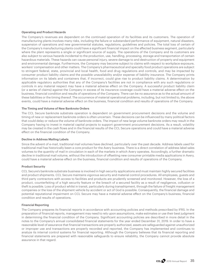#### **Operating and Product Hazards**

The Company's revenues are dependent on the continued operation of its facilities and its customers. The operation of manufacturing plants involves many risks, including the failure or substandard performance of equipment, natural disasters, suspension of operations and new governmental statutes, regulations, guidelines and policies. The total loss of certain of the Company's manufacturing plants could have a significant financial impact on the affected business segment, particularly where the plant represents a single or significant source of supply. The operations of the Company and its customers are also subject to various hazards incidental to the production, use, handling, processing, storage and transportation of certain hazardous materials. These hazards can cause personal injury, severe damage to and destruction of property and equipment and environmental damage. Furthermore, the Company may become subject to claims with respect to workplace exposure, workers' compensation and other matters. The Company's pharmaceutical and specialty food product operations are subject to stringent federal, state, provincial and local health, food and drug regulations and controls, and may be impacted by consumer product liability claims and the possible unavailability and/or expense of liability insurance. The Company prints information on its labels and containers that, if incorrect, could give rise to product liability claims. A determination by applicable regulatory authorities that any of the Company's facilities are not in compliance with any such regulations or controls in any material respect may have a material adverse effect on the Company. A successful product liability claim (or a series of claims) against the Company in excess of its insurance coverage could have a material adverse effect on the business, financial condition and results of operations of the Company. There can be no assurance as to the actual amount of these liabilities or the timing thereof. The occurrence of material operational problems, including, but not limited to, the above events, could have a material adverse effect on the business, financial condition and results of operations of the Company.

### **The Timing and Volume of New Banknote Orders**

The CCL Secure banknote substrate operation is dependent on government procurement decisions and the volume and timing of new or replacement banknote orders is often uncertain. These decisions can be influenced by many political factors that could delay or reduce the volume of banknote orders. The impact of new large volume banknote orders may result in the Company having to invest in material capital projects to support government procurement decisions. As a result, volatility may be created in the cash flows and in the financial results of the CCL Secure operations and could have a material adverse effect on the financial condition of the Company.

### **Decline in Address Mailing Labels**

Since the advent of e-mail, traditional mail volumes have declined, particularly over the past decade. Address labels used for traditional mail has historically been a core product for the Avery business. There is a direct correlation of address label sales volumes to the quantity of mail in circulation in each of the markets in which Avery operates. Accordingly, a further dramatic decline in traditional mail volume, without the introduction of offsetting new consumer printable media applications in Avery, could have a material adverse effect on the business, financial condition and results of operations of the Company.

### **Product Security**

CCL Secure's banknote substrate business is involved in high security applications and must maintain highly secured facilities and product shipments. CCL Secure maintains vigorous security and material control procedures. All employees, guests and third party contractors with access to facilities and products are prudently screened and monitored. However, the loss of a product, counterfeiting of a high security feature or the breach of a secured facility as a result of negligence, collusion or theft is possible. Loss of product whilst in transit, particularly during transshipment, through the failure of freight management companies or the loss of the shipment vehicle by accident or act of God is possible. Consequently, the financial damage and potential reputational impairment on CCL Secure may have a material adverse effect on the Company's business, financial condition and results of operations.

### **Financial Reporting**

The Company prepares its financial reports in accordance with accounting policies and methods prescribed by IFRS. In the preparation of financial reports, management may need to rely upon assumptions, make estimates or use their best judgment in determining the financial condition of the Company. Significant accounting policies are described in more detail in the notes to the Company's annual consolidated financial statements for the year ended December 31, 2019. In order to have a reasonable level of assurance that financial transactions are properly authorized, assets are safeguarded against unauthorized or improper use and transactions are properly recorded and reported, the Company has implemented and continues to analyze its internal control systems for financial reporting. Although the Company believes that its financial reporting and financial statements are prepared with reasonable safeguards to ensure reliability, the Company cannot provide absolute assurance in that regard.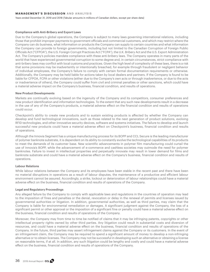#### **MANAGEMENT'S DISCUSSION AND ANALYSIS**

Years ended December 31, 2019 and 2018 (Tabular amounts in millions of Canadian dollars, except per share data)

#### **Compliance with Anti-Bribery and Export Laws**

Due to the Company's global operations, the Company is subject to many laws governing international relations, including those that prohibit improper payments to government officials and commercial customers, and which may restrict where the Company can do business, what information or products the Company can supply to certain countries and what information the Company can provide to foreign governments, including but not limited to the Canadian Corruption of Foreign Public Officials Act ("CFPOA"), the U.S. Foreign Corrupt Practices Act ("FCPA"), the U.K. Bribery Act and the U.S. Export Administration Act. The Company's policies mandate compliance with these anti-bribery laws. The Company operates in many parts of the world that have experienced governmental corruption to some degree and, in certain circumstances, strict compliance with anti-bribery laws may conflict with local customs and practices. Given the high level of complexity of these laws, there is a risk that some provisions may be inadvertently or intentionally breached, for example through fraudulent or negligent behavior of individual employees, the Company's failure to comply with certain formal documentation requirements or otherwise. Additionally, the Company may be held liable for actions taken by local dealers and partners. If the Company is found to be liable for CFPOA, FCPA or other violations (either due to the Company's own acts or through inadvertence, or due to the acts or inadvertence of others), the Company could suffer from civil and criminal penalties or other sanctions, which could have a material adverse impact on the Company's business, financial condition, and results of operations.

### **New Product Developments**

Markets are continually evolving based on the ingenuity of the Company and its competitors, consumer preferences and new product identification and information technologies. To the extent that any such new developments result in a decrease in the use of any of the Company's products, a material adverse effect on the financial condition and results of operations could occur.

Checkpoint's ability to create new products and to sustain existing products is affected by whether the Company can develop and fund technological innovations, such as those related to the next generation of product solutions, evolving RFID technologies, and other innovative security devices, software and systems initiatives. The failure to develop and launch successful new products could have a material adverse effect on Checkpoint's business, financial condition and results of operations.

Although the Innovia Segment has a unique manufacturing process for its BOPP and CCL Secure is the leading manufacturer of polymer banknote substrate, it is dependent on its ability to constantly evolve the technological capabilities of its products to meet the demands of its customer base. New scientific advancements in polymer film manufacturing could curtail the use of Innovia's BOPP, while the advancement of e-commerce and cashless societies may outmode the need for polymer banknotes. Failure to invest in intellectual properties and perpetually innovate may result in lower demand for films and banknote substrate and could have a material adverse effect on the Company's business, financial condition and results of operations.

## **Labour Relations**

While labour relations between the Company and its employees have been stable in the recent past and there have been no material disruptions in operations as a result of labour disputes, the maintenance of a productive and efficient labour environment cannot be assured. Accordingly, a strike, lockout or deterioration of labour relationships could have a material adverse effect on the business, financial condition and results of operations of the Company.

#### **Legal and Regulatory Proceedings**

Any alleged failure by the Company to comply with applicable laws and regulations in the countries of operation may lead to the imposition of fines and penalties or the denial, revocation or delay in the renewal of permits and licenses issued by governmental authorities or litigation. In addition, governmental authorities, as well as third parties, may claim that the Company is liable for environmental remediation or damages. A significant judgment against the Company, the loss of a significant permit or other approval or the imposition of a significant fine or penalty could have a material adverse effect on the business, financial condition and results of operations of the Company.

Moreover, the Company may from time to time be notified of claims that it may be infringing patents, copyrights or other intellectual property rights owned by other third parties. Any litigation could result in substantial costs and diversion of resources, and could have a material adverse effect on the business, financial condition and results of operations of the Company. In the future, third parties may assert infringement claims against the Company or its customers. In the event of an infringement claim, the Company may be required to spend a significant amount of money to develop a non-infringing alternative or to obtain licenses. The Company may not be successful in developing such an alternative or obtaining a license on reasonable terms, if at all. In addition, any such litigation could be lengthy and costly and could have a material adverse effect on the business, financial condition and results of operations of the Company.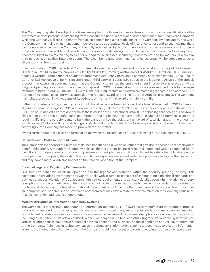The Company may also be subject to claims arising from its failure to manufacture a product to the specifications of its customers or from personal injury arising from a consumer's use of a product or component manufactured by the Company. While the Company will seek indemnity from its customers for claims made against the Company by consumers, and while the Company maintains what management believes to be appropriate levels of insurance to respond to such claims, there can be no assurance that the Company will be fully indemnified by its customers or that insurance coverage will continue to be available or, if available, will be adequate to cover all costs arising from such claims. In addition, the Company could become subject to claims relating to its prior or acquired businesses, including environmental and tax matters, or claims by third parties, such as distributors or agents. There can be no assurance that insurance coverage will be adequate to cover all costs arising from such claims.

Specifically, during 2018, the Federal Court of Australia awarded a judgment and costs against a subsidiary of the Company, CCL Secure Pty Ltd. (formerly Innovia Security Pty Ltd.) ("ISPL"), totaling Australian dollars ("AUD") 70.0 million (C\$63.8 million), finding a wrongful termination of an agency agreement with Benoy Berry and a company controlled by him, Global Secure Currency Ltd. (collectively "Berry"), an arm's length third party in Nigeria. ISPL appealed the judgment. As part of the appeals process, the Australian court mandated that the Company guarantee the entire judgment in order to stay execution of the judgment pending resolution of the appeal. On appeal in 2019, the Australian court of appeals reduced the total damages awarded to Berry to AUD 4.8 million (C\$4.4 million) including interest and Berry's estimated legal costs, and awarded ISPL a portion of its appeal costs. Berry has appealed the reduced award to the Final Court of Appeals in Australia. The Company maintains a provision in its accounts of its estimate of the likely final award and liability of ISPL.

In the first quarter of 2019, a hearing on a jurisdictional issue was heard in respect of a lawsuit launched in 2011 by Berry in Nigerian Federal Court against ISPL and Innovia Films Ltd. (collectively "IFL"), as well as other defendants not affiliated with ISPL. The court denied IFL's motion to dismiss the lawsuit on the jurisdictional issue. IFL is appealing that decision. The lawsuit alleges that IFL and the co-defendants committed to build a banknote substrate plant in Nigeria and Berry seeks an order requiring IFL and the co-defendants to build the plant or in lieu thereof, grant an award of total damages in the amount of €1.5 billion (C\$2.2 billion). IFL intends to vigorously defend this claim, which the Company considers to be without merit and accordingly, the Company has made no provision for the matter.

Events surrounding these cases occurred at a time when the Reserve Bank of Australia had a 50% equity interest in ISPL.

### **Defined Benefit Post-Employment Plans**

The Company is the sponsor of a number of defined benefit plans in twelve countries that give rise to accrued post-employment benefit obligations. Although the Company believes that its current financial resources combined with its expected future cash flows from operations and returns on post-employment plan assets will be sufficient to satisfy the obligations under these plans in future years, the cash outflow and higher expenses associated with these plans may be higher than expected and may have a material adverse impact on the financial condition of the Company.

### **Breach of Legal and Regulatory Requirements**

CCL Secure's banknote substrate operation has the highest accreditation within the security printing industry. This accreditation provides governments and Central Banks with assurance in respect of safeguarding high ethical standards and business practices. Violation of CCL Secure's highly strict requirements and constant detailed oversight in relation to bribery, corruption and anti-competitive activities remains a risk in an industry expecting the highest ethical standards. Consequently, the financial damage and potential reputational impairment on CCL Secure that could arise if the standards and practices are compromised, or perceived to have been compromised, may have a material adverse effect on the Company's business, financial condition and results of operations.

### **Material Disruption of Information Technology Systems**

The Company is increasingly dependent on information technology ("IT") systems to manufacture its products, process transactions, respond to customer questions, manage inventory, purchase, sell and ship goods on a timely basis and maintain cost-efficient operations as well as maintain its e-commerce websites. Any material disruption or slowdown of the systems, including a disruption or slowdown caused by the Company's failure to successfully upgrade its systems, system failures, viruses or other causes could have a material adverse effect on the business, financial condition and results of operations of the Company. If changes in technology cause the Company's information systems to become obsolete, or if information systems are inadequate to handle growth, the Company could incur losses and costs due to interruption of its operations.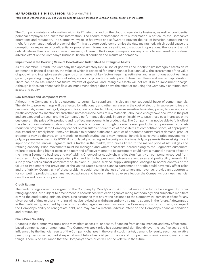#### **MANAGEMENT'S DISCUSSION AND ANALYSIS**

Years ended December 31, 2019 and 2018 (Tabular amounts in millions of Canadian dollars, except per share data)

The Company maintains information within its IT networks and on the cloud to operate its business, as well as confidential personal employee and customer information. The secure maintenance of this information is critical to the Company's operations and reputation. The Company invests in hardware and software to prevent the risk of intrusion, tampering and theft. Any such unauthorized breach of the IT infrastructure could compromise the data maintained, which could cause the corruption or exposure of confidential or proprietary information, a significant disruption in operations, the loss or theft of critical data and financial resources and meaningful harm to the Company's reputation, any of which could result in a material adverse effect on the Company's business, financial condition and results of operations.

#### **Impairment in the Carrying Value of Goodwill and Indefinite-Life Intangible Assets**

As of December 31, 2019, the Company had approximately \$2.8 billion of goodwill and indefinite-life intangible assets on its statement of financial position, the value of which is reviewed for impairment at least annually. The assessment of the value of goodwill and intangible assets depends on a number of key factors requiring estimates and assumptions about earnings growth, operating margins, discount rates, economic projections, anticipated future cash flows and market capitalization. There can be no assurance that future reviews of goodwill and intangible assets will not result in an impairment charge. Although it does not affect cash flow, an impairment charge does have the effect of reducing the Company's earnings, total assets and equity.

#### **Raw Materials and Component Parts**

Although the Company is a large customer to certain key suppliers, it is also an inconsequential buyer of some materials. The ability to grow earnings will be affected by inflationary and other increases in the cost of electronic sub-assemblies and raw materials, aluminum ingot, slugs and foils, resins, extruded films, pressure sensitive laminates, paper, binder rings and plastic components. Inflationary and other increases in the costs of raw materials, labour and energy have occurred in the past and are expected to recur, and the Company's performance depends in part on its ability to pass these cost increases on to customers in the price of its products and to effect improvements in productivity. The Company may not be able to fully offset the effects of raw material costs and other sourced components through price increases, productivity improvements or costreduction programs. If the Company cannot obtain sufficient quantities of these items at competitive prices, of appropriate quality and on a timely basis, it may not be able to produce sufficient quantities of product to satisfy market demand, product shipments may be delayed, or its material or manufacturing costs may increase. Innovia is sensitive to price movements in polypropylene resin used in its BOPP films for label, packaging and security applications. Polypropylene is the most significant input cost for the Innovia Segment and is traded in the market, with prices linked to the market price of natural gas and refining capacity. Price movements must be managed and where necessary, passed along to the Segment's customers. Failure to pass along higher costs in a timely and effective manner to its customers could have a material adverse effect on the Innovia Segment's business and profitability. Checkpoint's supply chain relies significantly on components sourced from factories in Asia, therefore, supply disruption and tariff changes could adversely affect sales and profitability. Avery's U.S. supply chain relies almost completely on its plant in Tijuana, Mexico; supply disruption, changes to border controls or the failure to implement the provisions of the United States-Mexico-Canada Agreement on trade could adversely affect sales and profitability. Overall, any of these problems could result in the loss of customers and revenue, provide an opportunity for competing products to gain market acceptance and have a material adverse effect on the Company's business, financial condition and results of operations.

# **Credit Ratings**

The credit ratings currently assigned to the Company by Moody's and S&P, or that may in the future be assigned by other rating agencies, are subject to amendment in accordance with each agency's rating methodology and subjective modifiers driving the credit rating opinion. There is no assurance that any rating assigned to the Company will remain in effect for any given period of time or that any rating will not be revised or withdrawn entirely by a rating agency in the future. A downgrade in the credit rating assigned by one or more rating agencies could increase the Company's cost of borrowing or impact the Company's ability to renegotiate debt, and may have a material adverse effect on the Company's financial condition and profitability.

#### **Share Price Volatility**

Changes in the Company's stock price may affect access to, or cost of, financing from capital markets and may affect stockbased compensation arrangements. The Company's stock price has appreciated significantly over the last five years and is influenced by the financial results of the Company, changes in the overall stock market, demand for equity securities, relative peer group performance, market expectation of future financial performance and competitive dynamics among many other things. There is no assurance that the Company's share price will not be volatile in the future.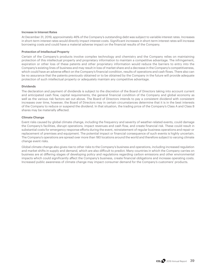#### **Increase in Interest Rates**

At December 31, 2019, approximately 46% of the Company's outstanding debt was subject to variable interest rates. Increases in short-term interest rates would directly impact interest costs. Significant increases in short-term interest rates will increase borrowing costs and could have a material adverse impact on the financial results of the Company.

#### **Protection of Intellectual Property**

Certain of the Company's products involve complex technology and chemistry and the Company relies on maintaining protection of this intellectual property and proprietary information to maintain a competitive advantage. The infringement, expiration or other loss of these patents and other proprietary information would reduce the barriers to entry into the Company's existing lines of business and may result in loss of market share and a decrease in the Company's competitiveness, which could have an adverse effect on the Company's financial condition, results of operations and cash flows. There also can be no assurance that the patents previously obtained or to be obtained by the Company in the future will provide adequate protection of such intellectual property or adequately maintain any competitive advantage.

#### **Dividends**

The declaration and payment of dividends is subject to the discretion of the Board of Directors taking into account current and anticipated cash flow, capital requirements, the general financial condition of the Company and global economy as well as the various risk factors set out above. The Board of Directors intends to pay a consistent dividend with consistent increases over time, however, the Board of Directors may in certain circumstances determine that it is in the best interests of the Company to reduce or suspend the dividend. In that situation, the trading price of the Company's Class A and Class B shares may be materially affected.

#### **Climate Change**

Event risks caused by global climate change, including the frequency and severity of weather-related events, could damage the Company's facilities, disrupt operations, impact revenues and cash flow, and create financial risk. These could result in substantial costs for emergency response efforts during the event, reinstatement of regular business operations and repair or replacement of premises and equipment. The potential impact or financial consequence of such events is highly uncertain. The Company's operations are spread over more than 180 locations around the world and therefore subject to varying climate change event risks.

Global climate change also gives rise to other risks to the Company's business and operations, including increased regulation and market shifts in supply and demand, which are also difficult to predict. Many countries in which the Company carries on business are at differing stages of developing policy and regulations regarding carbon emissions and other environmental impacts which could significantly affect the Company's business, create financial obligations and increase operating costs. Increased public awareness of climate change may impact consumer demand for the Company's customers' products.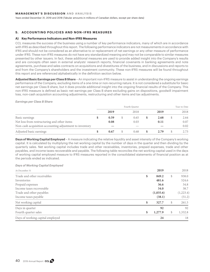#### **MANAGEMENT'S DISCUSSION AND ANALYSIS**

Years ended December 31, 2019 and 2018 (Tabular amounts in millions of Canadian dollars, except per share data)

## **5. ACCOUNTING POLICIES AND NON-IFRS MEASURES**

#### **A) Key Performance Indicators and Non-IFRS Measures**

CCL measures the success of the business using a number of key performance indicators, many of which are in accordance with IFRS as described throughout this report. The following performance indicators are not measurements in accordance with IFRS and should not be considered as an alternative to or replacement of net earnings or any other measure of performance under IFRS. These non-IFRS measures do not have any standardized meaning and may not be comparable to similar measures presented by other issuers. In fact, these additional measures are used to provide added insight into the Company's results and are concepts often seen in external analysts' research reports, financial covenants in banking agreements and note agreements, purchase and sales contracts on acquisitions and divestitures of the business, and in discussions and reports to and from the Company's shareholders and the investment community. These non-IFRS measures will be found throughout this report and are referenced alphabetically in the definition section below.

**Adjusted Basic Earnings per Class B Share** – An important non-IFRS measure to assist in understanding the ongoing earnings performance of the Company, excluding items of a one-time or non-recurring nature. It is not considered a substitute for basic net earnings per Class B share, but it does provide additional insight into the ongoing financial results of the Company. This non-IFRS measure is defined as basic net earnings per Class B share excluding gains on dispositions, goodwill impairment loss, non-cash acquisition accounting adjustments, restructuring and other items and tax adjustments.

*Earnings per Class B Share*

|                                                         |      | Fourth Quarter  |      | Year-to-Date |
|---------------------------------------------------------|------|-----------------|------|--------------|
|                                                         | 2019 | 2018            | 2019 | 2018         |
| Basic earnings                                          | 0.59 | \$<br>0.65      | 2.68 | 2.64         |
| Net loss from restructuring and other items             | 0.08 | 0.03            | 0.11 | 0.07         |
| Non-cash acquisition accounting adjustment to inventory |      | $\qquad \qquad$ |      | 0.02         |
| Adjusted basic earnings                                 | 0.67 | 0.68            | 2.79 | 2.73         |

**Days of Working Capital Employed** – A measure indicating the relative liquidity and asset intensity of the Company's working capital. It is calculated by multiplying the net working capital by the number of days in the quarter and then dividing by the quarterly sales. Net working capital includes trade and other receivables, inventories, prepaid expenses, trade and other payables, and income taxes recoverable and payable. The following table reconciles the net working capital used in the days of working capital employed measure to IFRS measures reported in the consolidated statements of financial position as at the periods ended as indicated.

*Days of Working Capital Employed*

| At December 31                   | 2019               | 2018      |
|----------------------------------|--------------------|-----------|
| Trade and other receivables      | \$<br>849.2<br>S   | 938.0     |
| Inventories                      | 481.6              | 524.6     |
| Prepaid expenses                 | 36.6               | 34.8      |
| Income taxes recoverable         | 34.0               | 38.7      |
| Trade and other payables         | (1,035.6)          | (1,223.4) |
| Income taxes payable             | (38.1)             | (51.2)    |
| Net working capital              | \$<br>327.7<br>S   | 261.5     |
| Days in quarter                  | 92                 | 92        |
| Fourth quarter sales             | \$<br>1,277.9<br>S | 1,332.8   |
| Days of working capital employed | 24                 | 18        |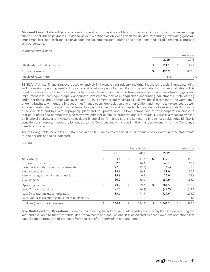**Dividend Payout Ratio** – The ratio of earnings paid out to the shareholders. It provides an indication of how well earnings support the dividend payments. Dividend payout is defined as dividends declared divided by earnings, excluding goodwill impairment loss, non-cash acquisition accounting adjustments, restructuring and other items, and tax adjustments, expressed as a percentage.

*Dividend Payout Ratio* 

|                               |    |       | Year-to-Date |
|-------------------------------|----|-------|--------------|
|                               |    | 2019  | 2018         |
| Dividends declared per equity | S. | 121.1 | 91.9         |
| Adjusted earnings             | S  | 496.9 | 482.5        |
| Dividend payout ratio         |    | 24%   | 19%          |

**EBITDA** – A critical financial measure used extensively in the packaging industry and other industries to assist in understanding and measuring operating results. It is also considered as a proxy for cash flow and a facilitator for business valuations. This non-IFRS measure is defined as earnings before net finance cost, income taxes, depreciation and amortization, goodwill impairment loss, earnings in equity accounted investments, non-cash acquisition accounting adjustments, restructuring and other items. The Company believes that EBITDA is an important measure as it allows the assessment of the Company's ongoing business without the impact of net finance costs, depreciation and amortization and income tax expenses, as well as non-operating factors and unusual items. As a proxy for cash flow, it is intended to indicate the Company's ability to incur or service debt and to invest in property, plant and equipment, and it allows comparison of the Company's business to that of its peers and competitors who may have different capital or organizational structures. EBITDA is a measure tracked by financial analysts and investors to evaluate financial performance and is a key metric in business valuations. EBITDA is considered an important measure by lenders to the Company and is included in the financial covenants for the Company's bank lines of credit.

The following table reconciles EBITDA measures to IFRS measures reported in the annual consolidated income statements for the periods ended as indicated.

*EBITDA*

|                                                  |             | Fourth Quarter |               | Year-to-Date |
|--------------------------------------------------|-------------|----------------|---------------|--------------|
|                                                  | 2019        | 2018           | 2019          | 2018         |
| Net earnings                                     | \$<br>104.4 | \$<br>114.2    | \$<br>477.1   | \$<br>466.8  |
| Corporate expense                                | 2.6         | 16.3           | 49.7          | 62.7         |
| Earnings in equity accounted investments         | (2.0)       | (2.7)          | (5.4)         | (5.3)        |
| Finance cost, net                                | 18.9        | 19.8           | 81.0          | 80.7         |
| Restructuring and other items - net loss         | 19.8        | 6.6            | 25.0          | 14.8         |
| Income taxes                                     | 30.2        | 35.0           | 159.9         | 156.0        |
| Operating income                                 | \$<br>173.9 | \$<br>189.2    | \$<br>787.3   | \$<br>775.7  |
| Less: Corporate expense                          | (2.6)       | (16.3)         | (49.7)        | (62.7)       |
| Add: Depreciation and amortization               | 83.4        | 71.3           | 329.6         | 278.0        |
| Add: Non-cash accounting adjustment to inventory |             |                |               | 4.3          |
| EBITDA (a non-IFRS measure)                      | \$<br>254.7 | \$<br>244.2    | \$<br>1,067.2 | \$<br>995.3  |

**Free Cash Flow from Operations** – A measure indicating the relative amount of cash generated by the Company during the year and available to fund dividends, debt repayments and acquisitions. It is calculated as cash flow from operations less capital expenditures, net of proceeds from the sale of property, plant and equipment.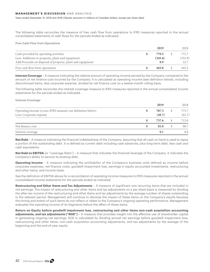#### **MANAGEMENT'S DISCUSSION AND ANALYSIS**

Years ended December 31, 2019 and 2018 (Tabular amounts in millions of Canadian dollars, except per share data)

The following table reconciles the measure of free cash flow from operations to IFRS measures reported in the annual consolidated statements of cash flows for the periods ended as indicated.

*Free Cash Flow from Operations* 

|                                                           | 2019    | 2018    |
|-----------------------------------------------------------|---------|---------|
| Cash provided by operating activities                     | 779.5   | 772.7   |
| Less: Additions to property, plant and equipment          | (345.6) | (352.9) |
| Add:Proceeds on disposal of property, plant and equipment | 9.9     | 22.7    |
| Free cash flow from operations                            | 443.8   | 442.5   |

**Interest Coverage** – A measure indicating the relative amount of operating income earned by the Company compared to the amount of net finance cost incurred by the Company. It is calculated as operating income (see definition below), including discontinued items, less corporate expense, divided by net finance cost on a twelve-month rolling basis.

The following table reconciles the interest coverage measure to IFRS measures reported in the annual consolidated income statements for the periods ended as indicated.

*Interest Coverage*

|                                                                                        |   | 2019            | 2018            |
|----------------------------------------------------------------------------------------|---|-----------------|-----------------|
| Operating income (a non-IFRS measure; see definition below)<br>Less: Corporate expense | 荚 | 787.3<br>(49.7) | 775.7<br>(62.7) |
|                                                                                        |   | 737.6           | 713.0           |
| Net finance cost                                                                       |   | 81.0            | 80.7            |
| Interest coverage                                                                      |   | 9.1             | 8.8             |

**Net Debt** – A measure indicating the financial indebtedness of the Company, assuming that all cash on hand is used to repay a portion of the outstanding debt. It is defined as current debt including cash advances, plus long-term debt, less cash and cash equivalents.

**Net Debt to EBITDA** (or "Leverage Ratio") – A measure that indicates the financial leverage of the Company. It indicates the Company's ability to service its existing debt.

**Operating Income** – A measure indicating the profitability of the Company's business units defined as income before corporate expenses, net finance costs, goodwill impairment loss, earnings in equity accounted investments, restructuring and other items, and income taxes.

See the definition of EBITDA above for a reconciliation of operating income measures to IFRS measures reported in the annual consolidated income statements for the periods ended as indicated.

**Restructuring and Other Items and Tax Adjustments** – A measure of significant non-recurring items that are included in net earnings. The impact of restructuring and other items and tax adjustments on a per share basis is measured by dividing the after-tax income of the restructuring and other items and tax adjustments by the average number of shares outstanding in the relevant period. Management will continue to disclose the impact of these items on the Company's results because the timing and extent of such items do not reflect or relate to the Company's ongoing operating performance. Management evaluates the operating income of its Segments before the effect of these items.

**Return on Equity before goodwill impairment loss, restructuring and other items non-cash acquisition accounting adjustments, and tax adjustments ("ROE")** – A measure that provides insight into the effective use of shareholder capital in generating ongoing net earnings. ROE is calculated by dividing annual net earnings before goodwill impairment loss, restructuring and other items, non-cash acquisition accounting adjustments, and tax adjustments by the average of the beginning and the end-of-year equity.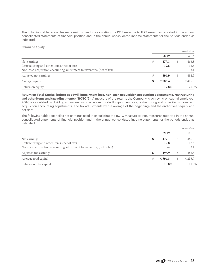The following table reconciles net earnings used in calculating the ROE measure to IFRS measures reported in the annual consolidated statements of financial position and in the annual consolidated income statements for the periods ended as indicated.

*Return on Equity* 

|                                                                       |               |    | Year-to-Date |
|-----------------------------------------------------------------------|---------------|----|--------------|
|                                                                       | 2019          |    | 2018         |
| Net earnings                                                          | \$<br>477.1   | S  | 466.8        |
| Restructuring and other items, (net of tax)                           | 19.8          |    | 12.6         |
| Non-cash acquisition accounting adjustment to inventory, (net of tax) |               |    | 3.1          |
| Adjusted net earnings                                                 | \$<br>496.9   | S  | 482.5        |
| Average equity                                                        | \$<br>2,785.4 | \$ | 2,415.5      |
| Return on equity                                                      | 17.8%         |    | 20.0%        |

**Return on Total Capital before goodwill impairment loss, non-cash acquisition accounting adjustments, restructuring and other items and tax adjustments ("ROTC")** – A measure of the returns the Company is achieving on capital employed. ROTC is calculated by dividing annual net income before goodwill impairment loss, restructuring and other items, non-cash acquisition accounting adjustments, and tax adjustments by the average of the beginning- and the end-of-year equity and net debt.

The following table reconciles net earnings used in calculating the ROTC measure to IFRS measures reported in the annual consolidated statements of financial position and in the annual consolidated income statements for the periods ended as indicated.

|                                                                       |               |   | Year-to-Date |
|-----------------------------------------------------------------------|---------------|---|--------------|
|                                                                       | 2019          |   | 2018         |
| Net earnings                                                          | \$<br>477.1   | S | 466.8        |
| Restructuring and other items, (net of tax)                           | 19.8          |   | 12.6         |
| Non-cash acquisition accounting adjustment to inventory, (net of tax) |               |   | 3.1          |
| Adjusted net earnings                                                 | \$<br>496.9   | S | 482.5        |
| Average total capital                                                 | \$<br>4,594.8 | S | 4,253.7      |
| Return on total capital                                               | 10.8%         |   | 11.3%        |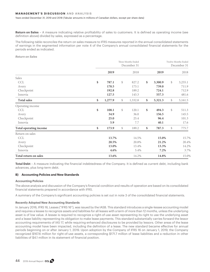#### **MANAGEMENT'S DISCUSSION AND ANALYSIS**

Years ended December 31, 2019 and 2018 (Tabular amounts in millions of Canadian dollars, except per share data)

**Return on Sales** – A measure indicating relative profitability of sales to customers. It is defined as operating income (see definition above) divided by sales, expressed as a percentage.

The following table reconciles the return on sales measure to IFRS measures reported in the annual consolidated statements of earnings in the segmented information per note 4 of the Company's annual consolidated financial statements for the periods ended as indicated.

### *Return on Sales*

|                        |               |        | Three Months Ended<br>December 31 |               | Twelve Months Ended<br>December 31 |
|------------------------|---------------|--------|-----------------------------------|---------------|------------------------------------|
|                        | 2019          |        | 2018                              | 2019          | 2018                               |
| Sales                  |               |        |                                   |               |                                    |
| <b>CCL</b>             | \$<br>787.1   | \$     | 827.2                             | \$<br>3,300.9 | \$<br>3,255.1                      |
| Avery                  | 170.5         |        | 173.1                             | 739.0         | 711.9                              |
| Checkpoint             | 192.8         |        | 189.2                             | 724.1         | 712.9                              |
| Innovia                | 127.5         |        | 143.3                             | 557.3         | 481.6                              |
| Total sales            | \$<br>1,277.9 | $\$\,$ | 1,332.8                           | \$<br>5,321.3 | \$<br>5,161.5                      |
| Operating income       |               |        |                                   |               |                                    |
| <b>CCL</b>             | \$<br>108.1   | \$     | 120.1                             | \$<br>494.3   | \$<br>511.3                        |
| Avery                  | 34.9          |        | 36.0                              | 156.5         | 145.5                              |
| Checkpoint             | 25.0          |        | 25.4                              | 96.4          | 101.3                              |
| Innovia                | 5.9           |        | 7.7                               | 40.1          | 17.6                               |
| Total operating income | \$<br>173.9   | \$     | 189.2                             | \$<br>787.3   | \$<br>775.7                        |
| Return on sales        |               |        |                                   |               |                                    |
| <b>CCL</b>             | 13.7%         |        | 14.5%                             | 15.0%         | 15.7%                              |
| Avery                  | 20.5%         |        | 20.8%                             | 21.2%         | 20.4%                              |
| Checkpoint             | 13.0%         |        | 13.4%                             | 13.3%         | 14.2%                              |
| Innovia                | 4.6%          |        | 5.4%                              | 7.2%          | 3.7%                               |
| Total return on sales  | 13.6%         |        | 14.2%                             | 14.8%         | 15.0%                              |

**Total Debt** – A measure indicating the financial indebtedness of the Company. It is defined as current debt, including bank advances, plus long-term debt.

### **B) Accounting Policies and New Standards**

#### **Accounting Policies**

The above analysis and discussion of the Company's financial condition and results of operation are based on its consolidated financial statements prepared in accordance with IFRS.

A summary of the Company's significant accounting policies is set out in note 3 of the consolidated financial statements.

#### **Recently Adopted New Accounting Standards**

In January 2016, IFRS 16, Leases ("IFRS 16"), was issued by the IASB. This standard introduces a single-lessee accounting model and requires a lessee to recognize assets and liabilities for all leases with a term of more than 12 months, unless the underlying asset is of low value. A lessee is required to recognize a right-of-use asset representing its right to use the underlying asset and a lease liability representing its obligation to make lease payments. This standard substantially carries forward the lessor accounting requirements of IAS 17, while requiring enhanced disclosures to be provided by lessors. Other areas of the lease accounting model have been impacted, including the definition of a lease. The new standard became effective for annual periods beginning on or after January 1, 2019. Upon adoption by the Company of IFRS 16 on January 1, 2019, the Company recognized \$167.6 million for right-of-use assets, a corresponding \$171.7 million of lease liabilities and a reduction in other liabilities of \$4.1 million in its statement of financial position.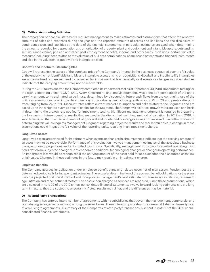## **C) Critical Accounting Estimates**

The preparation of financial statements requires management to make estimates and assumptions that affect the reported amounts of sales and expenses during the year and the reported amounts of assets and liabilities and the disclosure of contingent assets and liabilities at the date of the financial statements. In particular, estimates are used when determining the amounts recorded for depreciation and amortization of property, plant and equipment and intangible assets, outstanding self-insurance claims, pension and other post-employment benefits, income and other taxes, provisions, certain fair value measures including those related to the valuation of business combinations, share-based payments and financial instruments and also in the valuation of goodwill and intangible assets.

#### **Goodwill and Indefinite-Life Intangibles**

Goodwill represents the excess of the purchase price of the Company's interest in the businesses acquired over the fair value of the underlying net identifiable tangible and intangible assets arising on acquisitions. Goodwill and indefinite-life intangibles are not amortized but are required to be tested for impairment at least annually or if events or changes in circumstances indicate that the carrying amount may not be recoverable.

During the 2019 fourth quarter, the Company completed its impairment test as at September 30, 2019. Impairment testing for the cash-generating units ("CGU"), CCL, Avery, Checkpoint, and Innovia Segments, was done by a comparison of the unit's carrying amount to its estimated value in use, determined by discounting future cash flows from the continuing use of the unit. Key assumptions used in the determination of the value in use include growth rates of 2% to 7% and pre-tax discount rates ranging from 7% to 12%. Discount rates reflect current market assumptions and risks related to the Segments and are based upon the weighted average cost of capital for the Segment. The Company's historical growth rates are used as a basis in determining the growth rate applied for impairment testing. Significant management judgment is required in preparing the forecasts of future operating results that are used in the discounted cash flow method of valuation. In 2019 and 2018, it was determined that the carrying amount of goodwill and indefinite-life intangibles was not impaired. Since the process of determining fair values requires management judgment regarding projected results and market multiples, a change in these assumptions could impact the fair value of the reporting units, resulting in an impairment charge.

#### **Long-Lived Assets**

Long-lived assets are reviewed for impairment when events or changes in circumstances indicate that the carrying amount of an asset may not be recoverable. Performance of this evaluation involves management estimates of the associated business plans, economic projections and anticipated cash flows. Specifically, management considers forecasted operating cash flows, which are subject to change due to economic conditions, technological changes or changes in operating performance. An impairment loss would be recognized if the carrying amount of the asset held for use exceeded the discounted cash flow or fair value. Changes in these estimates in the future may result in an impairment charge.

### **Employee Benefits**

The Company accrues its obligation under employee benefit plans and related costs net of plan assets. Pension costs are determined periodically by independent actuaries. The actuarial determination of the accrued benefit obligations for the plans uses the projected unit credit method and incorporates management's best estimate of future salary escalation, retirement age, inflation and other actuarial factors. The cost is then charged as services are rendered. Since these assumptions, which are disclosed in note 20 of the 2019 annual consolidated financial statements, involve forward-looking estimates and are long term in nature, they are subject to uncertainty. Actual results may differ, and the differences may be material.

### **D) Related Party Transactions**

The Company has entered into a number of agreements with its subsidiaries that govern the management, commercial and cost-sharing arrangements with and among the subsidiaries. These inter-company structures are established on terms typical of arm's length agreements. A summary of the Company's related party transactions is set out in note 27 of the 2019 annual consolidated financial statements.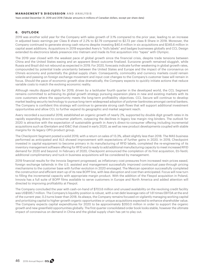#### **MANAGEMENT'S DISCUSSION AND ANALYSIS**

Years ended December 31, 2019 and 2018 (Tabular amounts in millions of Canadian dollars, except per share data)

## **6. O U T LO O K**

2019 was another solid year for the Company with sales growth of 3.1% compared to the prior year, leading to an increase in adjusted basic earnings per Class B share of 2.2% to \$2.79 compared to \$2.73 per class B Share in 2018. Moreover, the Company continued to generate strong cash returns despite investing \$40.4 million in six acquisitions and \$345.6 million in capital asset additions. Acquisitions in 2019 expanded Avery's "kid's labels" and badges businesses globally and CCL Design extended its electronics labels presence into Vietnam and made its first acquisition into "tapes" with Olympic.

The 2019 year closed with the weakest pace of global growth since the financial crisis, despite trade tensions between China and the United States easing and an apparent Brexit outcome finalized. Eurozone growth remained sluggish, while Russia and Brazil did not rebound as expected in 2019. For 2020, forecasts indicate further weakening in global growth rates, compounded by potential trade uncertainty between the United States and Europe and the impact of the coronavirus on China's economy and potentially the global supply chain. Consequently, commodity and currency markets could remain volatile and passing on foreign exchange movement and input cost changes to the Company's customer base will remain in focus. Should the pace of economic growth slow dramatically, the Company expects to quickly initiate actions that reduce variable costs to match the evolving economic reality.

Although results dipped slightly for 2019, driven by a lackluster fourth quarter in the developed world, the CCL Segment remains committed to achieving its global growth strategy pursuing expansion plans in new and existing markets with its core customers where the opportunity meets the long-term profitability objectives. CCL Secure will continue to develop market leading security technology to pursue long-term widespread adoption of polymer banknotes amongst central bankers. The Company is confident this strategy will continue to generate strong cash flows that will support additional investment opportunities and allow CCL to further expand its geographic and market segment reach.

Avery recorded a successful 2019, established an organic growth of nearly 2%, supported by double digit growth rates in its rapidly expanding direct-to-consumer platform, outpacing the declines in legacy low margin ring binders. The outlook for 2020 is attractive with the expectation of sustainable growth in Avery's direct-to-consumer offering including incremental acquisitions such as IDentalam and ID&C that closed in early 2020, as well as new product developments coupled with stable margins for its legacy OPG product group.

The Checkpoint Segment posted a solid 2019, with a return on sales of 13.3%, albeit slightly less than 2018. The MAS business performed as anticipated and ALS showed improvement with expectations of further gains in 2020. In 2019, Checkpoint invested in capital equipment to become primary in its manufacturing of RFID labels, completed the re-engineering of its inventory management software offering for RFID and is ready to add additional manufacturing capacity to meet increased RFID demand for 2020 and beyond. In February of 2020, Checkpoint announced the completion of its first acquisition, Eti-Textil; additional complimentary and tuck-in business acquisitions will be considered by management.

2019 financial results for the Innovia Segment progressed, as inflationary cost pressures from increased resin prices eased, foreign exchange tailwinds in the U.S. assisted and management successfully improved contractual pass-through pricing mechanisms to the customer base with further evolution in 2020 envisaged. The Mexican operation successfully completed the construction and efficient start-up of its new BOPP line, with less disruption and cost than anticipated. Focus will now turn to filling the incremental capacity with appropriate margin product. With the addition of the Flexpol acquisition in Poland, Innovia has a full suite of BOPP films available to serve customers in Europe and North America and added attention will directed to improving profitability at Flexpol.

The Company concluded the year with cash-on-hand of \$703.6 million and unused availability on the revolving credit facility was US\$595.7 million. The Company's liquidity position is robust, with a net debt leverage ratio of 1.61 times EBITDA at the end of the current year, 0.3 turns lower than 2018. As always, the Company remains focused on vigilantly managing working capital and prioritizing capital to higher-growth organic opportunities or unique acquisitions expected to enhance shareholder value. The Company expects capital expenditures for 2020 to be approximately \$350.0 million in order to support the organic growth and new greenfield opportunities globally. The first quarter consolidated order book looks stable, however the ultimate impact of coronavirus on demand in China and the global supply chain has yet to play out.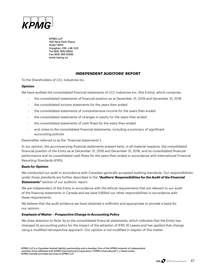

KPMG LLP 100 New Park Place, Suite 1400 Vaughan, ON L4K 0J3 Tel 905-265 5900 Fax 905-265 6390 www.kpmg.ca

# **INDEPENDENT AUDITORS' REPORT**

To the Shareholders of CCL Industries Inc.

# *Opinion*

We have audited the consolidated financial statements of CCL Industries Inc. (the Entity), which comprise:

- the consolidated statements of financial position as at December 31, 2019 and December 31, 2018
- the consolidated income statements for the years then ended
- the consolidated statements of comprehensive income for the years then ended
- the consolidated statements of changes in equity for the years then ended
- the consolidated statements of cash flows for the years then ended
- and notes to the consolidated financial statements, including a summary of significant accounting policies

(hereinafter referred to as the "financial statements").

In our opinion, the accompanying financial statements present fairly, in all material respects, the consolidated financial position of the Entity as at December 31, 2019 and December 31, 2018, and its consolidated financial performance and its consolidated cash flows for the years then ended in accordance with International Financial Reporting Standards (IFRS).

# *Basis for Opinion*

We conducted our audit in accordance with Canadian generally accepted auditing standards. Our responsibilities under those standards are further described in the *"Auditors' Responsibilities for the Audit of the Financial*  **Statements"** section of our auditors' report.

We are independent of the Entity in accordance with the ethical requirements that are relevant to our audit of the financial statements in Canada and we have fulfilled our other responsibilities in accordance with these requirements.

We believe that the audit evidence we have obtained is sufficient and appropriate to provide a basis for our opinion.

# *Emphasis of Matter – Prospective Change in Accounting Policy*

We draw attention to Note 3q to the consolidated financial statements, which indicates that the Entity has changed its accounting policy for the impact of the adoption of IFRS 16 Leases and has applied that change using a modified retrospective approach. Our opinion is not modified in respect of this matter.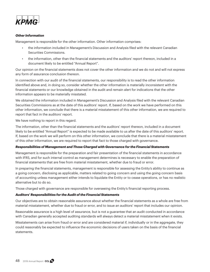

# *Other Information*

Management is responsible for the other information. Other information comprises:

- the information included in Management's Discussion and Analysis filed with the relevant Canadian Securities Commissions.
- the information, other than the financial statements and the auditors' report thereon, included in a document likely to be entitled "Annual Report".

Our opinion on the financial statements does not cover the other information and we do not and will not express any form of assurance conclusion thereon.

In connection with our audit of the financial statements, our responsibility is to read the other information identified above and, in doing so, consider whether the other information is materially inconsistent with the financial statements or our knowledge obtained in the audit and remain alert for indications that the other information appears to be materially misstated.

We obtained the information included in Management's Discussion and Analysis filed with the relevant Canadian Securities Commissions as at the date of this auditors' report. If, based on the work we have performed on this other information, we conclude that there is a material misstatement of this other information, we are required to report that fact in the auditors' report.

We have nothing to report in this regard.

The information, other than the financial statements and the auditors' report thereon, included in a document likely to be entitled "Annual Report" is expected to be made available to us after the date of this auditors' report. If, based on the work we will perform on this other information, we conclude that there is a material misstatement of this other information, we are required to report that fact to those charged with governance.

# *Responsibilities of Management and Those Charged with Governance for the Financial Statements*

Management is responsible for the preparation and fair presentation of the financial statements in accordance with IFRS, and for such internal control as management determines is necessary to enable the preparation of financial statements that are free from material misstatement, whether due to fraud or error.

In preparing the financial statements, management is responsible for assessing the Entity's ability to continue as a going concern, disclosing as applicable, matters related to going concern and using the going concern basis of accounting unless management either intends to liquidate the Entity or to cease operations, or has no realistic alternative but to do so.

Those charged with governance are responsible for overseeing the Entity's financial reporting process.

# *Auditors' Responsibilities for the Audit of the Financial Statements*

Our objectives are to obtain reasonable assurance about whether the financial statements as a whole are free from material misstatement, whether due to fraud or error, and to issue an auditors' report that includes our opinion.

Reasonable assurance is a high level of assurance, but is not a guarantee that an audit conducted in accordance with Canadian generally accepted auditing standards will always detect a material misstatement when it exists.

Misstatements can arise from fraud or error and are considered material if, individually or in the aggregate, they could reasonably be expected to influence the economic decisions of users taken on the basis of the financial statements.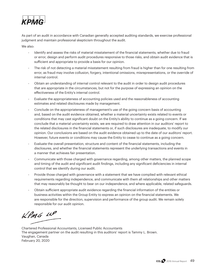

As part of an audit in accordance with Canadian generally accepted auditing standards, we exercise professional judgment and maintain professional skepticism throughout the audit.

We also:

- Identify and assess the risks of material misstatement of the financial statements, whether due to fraud or error, design and perform audit procedures responsive to those risks, and obtain audit evidence that is sufficient and appropriate to provide a basis for our opinion.
- The risk of not detecting a material misstatement resulting from fraud is higher than for one resulting from error, as fraud may involve collusion, forgery, intentional omissions, misrepresentations, or the override of internal control.
- Obtain an understanding of internal control relevant to the audit in order to design audit procedures that are appropriate in the circumstances, but not for the purpose of expressing an opinion on the effectiveness of the Entity's internal control.
- Evaluate the appropriateness of accounting policies used and the reasonableness of accounting estimates and related disclosures made by management.
- Conclude on the appropriateness of management's use of the going concern basis of accounting and, based on the audit evidence obtained, whether a material uncertainty exists related to events or conditions that may cast significant doubt on the Entity's ability to continue as a going concern. If we conclude that a material uncertainty exists, we are required to draw attention in our auditors' report to the related disclosures in the financial statements or, if such disclosures are inadequate, to modify our opinion. Our conclusions are based on the audit evidence obtained up to the date of our auditors' report. However, future events or conditions may cause the Entity to cease to continue as a going concern.
- Evaluate the overall presentation, structure and content of the financial statements, including the disclosures, and whether the financial statements represent the underlying transactions and events in a manner that achieves fair presentation.
- Communicate with those charged with governance regarding, among other matters, the planned scope and timing of the audit and significant audit findings, including any significant deficiencies in internal control that we identify during our audit.
- Provide those charged with governance with a statement that we have complied with relevant ethical requirements regarding independence, and communicate with them all relationships and other matters that may reasonably be thought to bear on our independence, and where applicable, related safeguards.
- Obtain sufficient appropriate audit evidence regarding the financial information of the entities or business activities within the Group Entity to express an opinion on the financial statements. We are responsible for the direction, supervision and performance of the group audit. We remain solely responsible for our audit opinion.

 $kPMS$   $\mu P$ 

Chartered Professional Accountants, Licensed Public Accountants The engagement partner on the audit resulting in this auditors' report is Tammy L. Brown. Vaughan, Canada February 20, 2020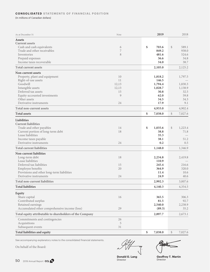### **CONSOLIDATED STATEMENTS OF FINANCIAL POSITION**

(In millions of Canadian dollars)

| Cash and cash equivalents<br>\$<br>703.6<br>\$<br>589.1<br>6<br>7<br>938.0<br>Trade and other receivables<br>849.2<br>Inventories<br>8<br>481.6<br>524.6<br>Prepaid expenses<br>36.6<br>34.8<br>Income taxes recoverable<br>34.0<br>38.7<br><b>Total current assets</b><br>2,105.0<br>2,125.2<br>Non-current assets<br>Property, plant and equipment<br>10<br>1,818.2<br>1,797.5<br>11<br>146.5<br>Right-of-use assets<br>Goodwill<br>12,13<br>1,794.4<br>1,830.3<br>Intangible assets<br>12,13<br>1,028.7<br>1,138.9<br>Deferred tax assets<br>15<br>30.8<br>32.5<br>Equity-accounted investments<br>9<br>62.0<br>59.8<br>Other assets<br>34.5<br>34.3<br>17.9<br>Derivative instruments<br>9.1<br>24<br>4,933.0<br>4,902.4<br><b>Total non-current assets</b><br><b>Total assets</b><br>\$<br>\$<br>7,027.6<br>7,038.0<br>Trade and other payables<br>14<br>\$<br>1,035.6<br>\$<br>1,223.4<br>Current portion of long-term debt<br>18<br>38.8<br>71.8<br>Lease liabilities<br>35.3<br>38.1<br>Income taxes payable<br>51.2<br>Derivative instruments<br>24<br>0.2<br>0.5<br>1,346.9<br>1,148.0<br>Long-term debt<br>18<br>2,234.8<br>2,419.8<br>Lease liabilities<br>110.9<br>Deferred tax liabilities<br>245.4<br>216.6<br>15<br>20<br>364.9<br>320.0<br>Employee benefits<br>Provisions and other long-term liabilities<br>11.4<br>10.6<br>Derivative instruments<br>24.9<br>40.6<br>24<br><b>Total non-current liabilities</b><br>2,992.3<br>3,007.6<br><b>Total liabilities</b><br>4,354.5<br>4,140.3<br>Share capital<br>16<br>365.5<br>306.3<br>81.5<br>Contributed surplus<br>92.7<br>Retained earnings<br>2,540.0<br>2,238.9<br>Accumulated other comprehensive income (loss)<br>29<br>(89.3)<br>35.2<br>2,897.7<br>2,673.1<br>Commitments and contingencies<br>26<br>5<br>Acquisitions<br>Subsequent events<br>31<br>Total liabilities and equity<br>\$<br>7,038.0<br>\$<br>7,027.6 | As at December 31                                        | Note | 2019 | 2018 |
|------------------------------------------------------------------------------------------------------------------------------------------------------------------------------------------------------------------------------------------------------------------------------------------------------------------------------------------------------------------------------------------------------------------------------------------------------------------------------------------------------------------------------------------------------------------------------------------------------------------------------------------------------------------------------------------------------------------------------------------------------------------------------------------------------------------------------------------------------------------------------------------------------------------------------------------------------------------------------------------------------------------------------------------------------------------------------------------------------------------------------------------------------------------------------------------------------------------------------------------------------------------------------------------------------------------------------------------------------------------------------------------------------------------------------------------------------------------------------------------------------------------------------------------------------------------------------------------------------------------------------------------------------------------------------------------------------------------------------------------------------------------------------------------------------------------------------------------------------------------------------------------------|----------------------------------------------------------|------|------|------|
|                                                                                                                                                                                                                                                                                                                                                                                                                                                                                                                                                                                                                                                                                                                                                                                                                                                                                                                                                                                                                                                                                                                                                                                                                                                                                                                                                                                                                                                                                                                                                                                                                                                                                                                                                                                                                                                                                                | <b>Assets</b>                                            |      |      |      |
|                                                                                                                                                                                                                                                                                                                                                                                                                                                                                                                                                                                                                                                                                                                                                                                                                                                                                                                                                                                                                                                                                                                                                                                                                                                                                                                                                                                                                                                                                                                                                                                                                                                                                                                                                                                                                                                                                                | <b>Current assets</b>                                    |      |      |      |
|                                                                                                                                                                                                                                                                                                                                                                                                                                                                                                                                                                                                                                                                                                                                                                                                                                                                                                                                                                                                                                                                                                                                                                                                                                                                                                                                                                                                                                                                                                                                                                                                                                                                                                                                                                                                                                                                                                |                                                          |      |      |      |
|                                                                                                                                                                                                                                                                                                                                                                                                                                                                                                                                                                                                                                                                                                                                                                                                                                                                                                                                                                                                                                                                                                                                                                                                                                                                                                                                                                                                                                                                                                                                                                                                                                                                                                                                                                                                                                                                                                |                                                          |      |      |      |
|                                                                                                                                                                                                                                                                                                                                                                                                                                                                                                                                                                                                                                                                                                                                                                                                                                                                                                                                                                                                                                                                                                                                                                                                                                                                                                                                                                                                                                                                                                                                                                                                                                                                                                                                                                                                                                                                                                |                                                          |      |      |      |
|                                                                                                                                                                                                                                                                                                                                                                                                                                                                                                                                                                                                                                                                                                                                                                                                                                                                                                                                                                                                                                                                                                                                                                                                                                                                                                                                                                                                                                                                                                                                                                                                                                                                                                                                                                                                                                                                                                |                                                          |      |      |      |
|                                                                                                                                                                                                                                                                                                                                                                                                                                                                                                                                                                                                                                                                                                                                                                                                                                                                                                                                                                                                                                                                                                                                                                                                                                                                                                                                                                                                                                                                                                                                                                                                                                                                                                                                                                                                                                                                                                |                                                          |      |      |      |
|                                                                                                                                                                                                                                                                                                                                                                                                                                                                                                                                                                                                                                                                                                                                                                                                                                                                                                                                                                                                                                                                                                                                                                                                                                                                                                                                                                                                                                                                                                                                                                                                                                                                                                                                                                                                                                                                                                |                                                          |      |      |      |
|                                                                                                                                                                                                                                                                                                                                                                                                                                                                                                                                                                                                                                                                                                                                                                                                                                                                                                                                                                                                                                                                                                                                                                                                                                                                                                                                                                                                                                                                                                                                                                                                                                                                                                                                                                                                                                                                                                |                                                          |      |      |      |
|                                                                                                                                                                                                                                                                                                                                                                                                                                                                                                                                                                                                                                                                                                                                                                                                                                                                                                                                                                                                                                                                                                                                                                                                                                                                                                                                                                                                                                                                                                                                                                                                                                                                                                                                                                                                                                                                                                |                                                          |      |      |      |
|                                                                                                                                                                                                                                                                                                                                                                                                                                                                                                                                                                                                                                                                                                                                                                                                                                                                                                                                                                                                                                                                                                                                                                                                                                                                                                                                                                                                                                                                                                                                                                                                                                                                                                                                                                                                                                                                                                |                                                          |      |      |      |
|                                                                                                                                                                                                                                                                                                                                                                                                                                                                                                                                                                                                                                                                                                                                                                                                                                                                                                                                                                                                                                                                                                                                                                                                                                                                                                                                                                                                                                                                                                                                                                                                                                                                                                                                                                                                                                                                                                |                                                          |      |      |      |
|                                                                                                                                                                                                                                                                                                                                                                                                                                                                                                                                                                                                                                                                                                                                                                                                                                                                                                                                                                                                                                                                                                                                                                                                                                                                                                                                                                                                                                                                                                                                                                                                                                                                                                                                                                                                                                                                                                |                                                          |      |      |      |
|                                                                                                                                                                                                                                                                                                                                                                                                                                                                                                                                                                                                                                                                                                                                                                                                                                                                                                                                                                                                                                                                                                                                                                                                                                                                                                                                                                                                                                                                                                                                                                                                                                                                                                                                                                                                                                                                                                |                                                          |      |      |      |
|                                                                                                                                                                                                                                                                                                                                                                                                                                                                                                                                                                                                                                                                                                                                                                                                                                                                                                                                                                                                                                                                                                                                                                                                                                                                                                                                                                                                                                                                                                                                                                                                                                                                                                                                                                                                                                                                                                |                                                          |      |      |      |
|                                                                                                                                                                                                                                                                                                                                                                                                                                                                                                                                                                                                                                                                                                                                                                                                                                                                                                                                                                                                                                                                                                                                                                                                                                                                                                                                                                                                                                                                                                                                                                                                                                                                                                                                                                                                                                                                                                |                                                          |      |      |      |
|                                                                                                                                                                                                                                                                                                                                                                                                                                                                                                                                                                                                                                                                                                                                                                                                                                                                                                                                                                                                                                                                                                                                                                                                                                                                                                                                                                                                                                                                                                                                                                                                                                                                                                                                                                                                                                                                                                |                                                          |      |      |      |
|                                                                                                                                                                                                                                                                                                                                                                                                                                                                                                                                                                                                                                                                                                                                                                                                                                                                                                                                                                                                                                                                                                                                                                                                                                                                                                                                                                                                                                                                                                                                                                                                                                                                                                                                                                                                                                                                                                |                                                          |      |      |      |
|                                                                                                                                                                                                                                                                                                                                                                                                                                                                                                                                                                                                                                                                                                                                                                                                                                                                                                                                                                                                                                                                                                                                                                                                                                                                                                                                                                                                                                                                                                                                                                                                                                                                                                                                                                                                                                                                                                |                                                          |      |      |      |
|                                                                                                                                                                                                                                                                                                                                                                                                                                                                                                                                                                                                                                                                                                                                                                                                                                                                                                                                                                                                                                                                                                                                                                                                                                                                                                                                                                                                                                                                                                                                                                                                                                                                                                                                                                                                                                                                                                | Liabilities                                              |      |      |      |
|                                                                                                                                                                                                                                                                                                                                                                                                                                                                                                                                                                                                                                                                                                                                                                                                                                                                                                                                                                                                                                                                                                                                                                                                                                                                                                                                                                                                                                                                                                                                                                                                                                                                                                                                                                                                                                                                                                | <b>Current liabilities</b>                               |      |      |      |
|                                                                                                                                                                                                                                                                                                                                                                                                                                                                                                                                                                                                                                                                                                                                                                                                                                                                                                                                                                                                                                                                                                                                                                                                                                                                                                                                                                                                                                                                                                                                                                                                                                                                                                                                                                                                                                                                                                |                                                          |      |      |      |
|                                                                                                                                                                                                                                                                                                                                                                                                                                                                                                                                                                                                                                                                                                                                                                                                                                                                                                                                                                                                                                                                                                                                                                                                                                                                                                                                                                                                                                                                                                                                                                                                                                                                                                                                                                                                                                                                                                |                                                          |      |      |      |
|                                                                                                                                                                                                                                                                                                                                                                                                                                                                                                                                                                                                                                                                                                                                                                                                                                                                                                                                                                                                                                                                                                                                                                                                                                                                                                                                                                                                                                                                                                                                                                                                                                                                                                                                                                                                                                                                                                |                                                          |      |      |      |
|                                                                                                                                                                                                                                                                                                                                                                                                                                                                                                                                                                                                                                                                                                                                                                                                                                                                                                                                                                                                                                                                                                                                                                                                                                                                                                                                                                                                                                                                                                                                                                                                                                                                                                                                                                                                                                                                                                |                                                          |      |      |      |
|                                                                                                                                                                                                                                                                                                                                                                                                                                                                                                                                                                                                                                                                                                                                                                                                                                                                                                                                                                                                                                                                                                                                                                                                                                                                                                                                                                                                                                                                                                                                                                                                                                                                                                                                                                                                                                                                                                |                                                          |      |      |      |
|                                                                                                                                                                                                                                                                                                                                                                                                                                                                                                                                                                                                                                                                                                                                                                                                                                                                                                                                                                                                                                                                                                                                                                                                                                                                                                                                                                                                                                                                                                                                                                                                                                                                                                                                                                                                                                                                                                | <b>Total current liabilities</b>                         |      |      |      |
|                                                                                                                                                                                                                                                                                                                                                                                                                                                                                                                                                                                                                                                                                                                                                                                                                                                                                                                                                                                                                                                                                                                                                                                                                                                                                                                                                                                                                                                                                                                                                                                                                                                                                                                                                                                                                                                                                                | Non-current liabilities                                  |      |      |      |
|                                                                                                                                                                                                                                                                                                                                                                                                                                                                                                                                                                                                                                                                                                                                                                                                                                                                                                                                                                                                                                                                                                                                                                                                                                                                                                                                                                                                                                                                                                                                                                                                                                                                                                                                                                                                                                                                                                |                                                          |      |      |      |
|                                                                                                                                                                                                                                                                                                                                                                                                                                                                                                                                                                                                                                                                                                                                                                                                                                                                                                                                                                                                                                                                                                                                                                                                                                                                                                                                                                                                                                                                                                                                                                                                                                                                                                                                                                                                                                                                                                |                                                          |      |      |      |
|                                                                                                                                                                                                                                                                                                                                                                                                                                                                                                                                                                                                                                                                                                                                                                                                                                                                                                                                                                                                                                                                                                                                                                                                                                                                                                                                                                                                                                                                                                                                                                                                                                                                                                                                                                                                                                                                                                |                                                          |      |      |      |
|                                                                                                                                                                                                                                                                                                                                                                                                                                                                                                                                                                                                                                                                                                                                                                                                                                                                                                                                                                                                                                                                                                                                                                                                                                                                                                                                                                                                                                                                                                                                                                                                                                                                                                                                                                                                                                                                                                |                                                          |      |      |      |
|                                                                                                                                                                                                                                                                                                                                                                                                                                                                                                                                                                                                                                                                                                                                                                                                                                                                                                                                                                                                                                                                                                                                                                                                                                                                                                                                                                                                                                                                                                                                                                                                                                                                                                                                                                                                                                                                                                |                                                          |      |      |      |
|                                                                                                                                                                                                                                                                                                                                                                                                                                                                                                                                                                                                                                                                                                                                                                                                                                                                                                                                                                                                                                                                                                                                                                                                                                                                                                                                                                                                                                                                                                                                                                                                                                                                                                                                                                                                                                                                                                |                                                          |      |      |      |
|                                                                                                                                                                                                                                                                                                                                                                                                                                                                                                                                                                                                                                                                                                                                                                                                                                                                                                                                                                                                                                                                                                                                                                                                                                                                                                                                                                                                                                                                                                                                                                                                                                                                                                                                                                                                                                                                                                |                                                          |      |      |      |
|                                                                                                                                                                                                                                                                                                                                                                                                                                                                                                                                                                                                                                                                                                                                                                                                                                                                                                                                                                                                                                                                                                                                                                                                                                                                                                                                                                                                                                                                                                                                                                                                                                                                                                                                                                                                                                                                                                |                                                          |      |      |      |
|                                                                                                                                                                                                                                                                                                                                                                                                                                                                                                                                                                                                                                                                                                                                                                                                                                                                                                                                                                                                                                                                                                                                                                                                                                                                                                                                                                                                                                                                                                                                                                                                                                                                                                                                                                                                                                                                                                | Equity                                                   |      |      |      |
|                                                                                                                                                                                                                                                                                                                                                                                                                                                                                                                                                                                                                                                                                                                                                                                                                                                                                                                                                                                                                                                                                                                                                                                                                                                                                                                                                                                                                                                                                                                                                                                                                                                                                                                                                                                                                                                                                                |                                                          |      |      |      |
|                                                                                                                                                                                                                                                                                                                                                                                                                                                                                                                                                                                                                                                                                                                                                                                                                                                                                                                                                                                                                                                                                                                                                                                                                                                                                                                                                                                                                                                                                                                                                                                                                                                                                                                                                                                                                                                                                                |                                                          |      |      |      |
|                                                                                                                                                                                                                                                                                                                                                                                                                                                                                                                                                                                                                                                                                                                                                                                                                                                                                                                                                                                                                                                                                                                                                                                                                                                                                                                                                                                                                                                                                                                                                                                                                                                                                                                                                                                                                                                                                                |                                                          |      |      |      |
|                                                                                                                                                                                                                                                                                                                                                                                                                                                                                                                                                                                                                                                                                                                                                                                                                                                                                                                                                                                                                                                                                                                                                                                                                                                                                                                                                                                                                                                                                                                                                                                                                                                                                                                                                                                                                                                                                                |                                                          |      |      |      |
|                                                                                                                                                                                                                                                                                                                                                                                                                                                                                                                                                                                                                                                                                                                                                                                                                                                                                                                                                                                                                                                                                                                                                                                                                                                                                                                                                                                                                                                                                                                                                                                                                                                                                                                                                                                                                                                                                                | Total equity attributable to shareholders of the Company |      |      |      |
|                                                                                                                                                                                                                                                                                                                                                                                                                                                                                                                                                                                                                                                                                                                                                                                                                                                                                                                                                                                                                                                                                                                                                                                                                                                                                                                                                                                                                                                                                                                                                                                                                                                                                                                                                                                                                                                                                                |                                                          |      |      |      |
|                                                                                                                                                                                                                                                                                                                                                                                                                                                                                                                                                                                                                                                                                                                                                                                                                                                                                                                                                                                                                                                                                                                                                                                                                                                                                                                                                                                                                                                                                                                                                                                                                                                                                                                                                                                                                                                                                                |                                                          |      |      |      |
|                                                                                                                                                                                                                                                                                                                                                                                                                                                                                                                                                                                                                                                                                                                                                                                                                                                                                                                                                                                                                                                                                                                                                                                                                                                                                                                                                                                                                                                                                                                                                                                                                                                                                                                                                                                                                                                                                                |                                                          |      |      |      |
|                                                                                                                                                                                                                                                                                                                                                                                                                                                                                                                                                                                                                                                                                                                                                                                                                                                                                                                                                                                                                                                                                                                                                                                                                                                                                                                                                                                                                                                                                                                                                                                                                                                                                                                                                                                                                                                                                                |                                                          |      |      |      |

See accompanying explanatory notes to the consolidated financial statements.

On behalf of the Board:

 $\overline{\gamma}$ 

**Donald G. Lang** Director

**Geoffrey T. Martin** Director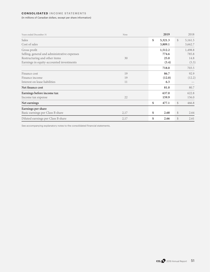# **CONSOLIDATED INCOME STATEMENTS**

(In millions of Canadian dollars, except per share information)

| Years ended December 31                      | Note | 2019          |               | 2018    |
|----------------------------------------------|------|---------------|---------------|---------|
| Sales                                        |      | \$<br>5,321.3 | $\mathcal{S}$ | 5,161.5 |
| Cost of sales                                |      | 3,809.1       |               | 3,662.7 |
| Gross profit                                 |      | 1,512.2       |               | 1,498.8 |
| Selling, general and administrative expenses |      | 774.6         |               | 785.8   |
| Restructuring and other items                | 30   | 25.0          |               | 14.8    |
| Earnings in equity-accounted investments     |      | (5.4)         |               | (5.3)   |
|                                              |      | 718.0         |               | 703.5   |
| Finance cost                                 | 19   | 86.7          |               | 92.9    |
| Finance income                               | 19   | (12.0)        |               | (12.2)  |
| Interest on lease liabilities                | 11   | 6.3           |               |         |
| Net finance cost                             |      | 81.0          |               | 80.7    |
| Earnings before income tax                   |      | 637.0         |               | 622.8   |
| Income tax expense                           | 22   | 159.9         |               | 156.0   |
| Net earnings                                 |      | \$<br>477.1   | \$            | 466.8   |
| Earnings per share                           |      |               |               |         |
| Basic earnings per Class B share             | 2,17 | \$<br>2.68    | $\mathcal{S}$ | 2.64    |
| Diluted earnings per Class B share           | 2,17 | \$<br>2.66    | \$            | 2.61    |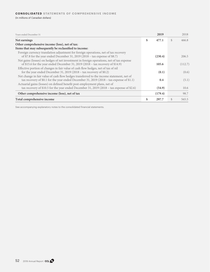(In millions of Canadian dollars)

| Years ended December 31                                                                   | 2019        |     | 2018    |
|-------------------------------------------------------------------------------------------|-------------|-----|---------|
| Net earnings                                                                              | \$<br>477.1 | \$  | 466.8   |
| Other comprehensive income (loss), net of tax:                                            |             |     |         |
| Items that may subsequently be reclassified to income:                                    |             |     |         |
| Foreign currency translation adjustment for foreign operations, net of tax recovery       |             |     |         |
| of \$7.8 for the year ended December 31, 2019 (2018 - tax expense of \$8.7)               | (230.4)     |     | 206.5   |
| Net gains (losses) on hedges of net investment in foreign operations, net of tax expense  |             |     |         |
| of \$15.6 for the year ended December 31, 2019 (2018 – tax recovery of \$14.9)            | 105.6       |     | (112.7) |
| Effective portion of changes in fair value of cash flow hedges, net of tax of nil         |             |     |         |
| for the year ended December 31, 2019 (2018 – tax recovery of $$0.2)$ )                    | (0.1)       |     | (0.6)   |
| Net change in fair value of cash flow hedges transferred to the income statement, net of  |             |     |         |
| tax recovery of \$0.1 for the year ended December 31, 2019 (2018 – tax expense of \$1.1)  | 0.4         |     | (5.1)   |
| Actuarial gains (losses) on defined benefit post-employment plans, net of                 |             |     |         |
| tax recovery of \$10.5 for the year ended December 31, 2019 (2018 - tax expense of \$2.6) | (54.9)      |     | 10.6    |
| Other comprehensive income (loss), net of tax                                             | (179.4)     |     | 98.7    |
| Total comprehensive income                                                                | \$<br>297.7 | \$. | 565.5   |

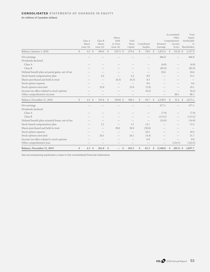(In millions of Canadian dollars)

|                                                   |                | Class A<br>Shares<br>(note 16) | Class B<br>Shares<br>(note 16) |               | Shares<br>Held<br>in Trust<br>(note 16) | Total<br>Share<br>Capital | Contributed<br>Surplus |               | Retained<br>Earnings |               | Accumulated<br>Other<br>Comprehensive<br>Income<br>(Loss) |               | Total<br>Equity<br>Attributable<br>to<br>Shareholders |
|---------------------------------------------------|----------------|--------------------------------|--------------------------------|---------------|-----------------------------------------|---------------------------|------------------------|---------------|----------------------|---------------|-----------------------------------------------------------|---------------|-------------------------------------------------------|
| Balance, January 1, 2018                          | $$\mathbb{S}$$ | $4.5 \text{ }$ \$              | 304.6                          | $\mathcal{S}$ | $(29.7)$ \$                             | 279.4                     | \$<br>78.0             | $\mathcal{S}$ | 1,853.4              | $\mathcal{S}$ | $(52.9)$ \$                                               |               | 2,157.9                                               |
| Net earnings                                      |                |                                |                                |               |                                         |                           |                        |               | 466.8                |               |                                                           |               | 466.8                                                 |
| Dividends declared                                |                |                                |                                |               |                                         |                           |                        |               |                      |               |                                                           |               |                                                       |
| Class A                                           |                |                                |                                |               |                                         |                           |                        |               | (6.0)                |               |                                                           |               | (6.0)                                                 |
| Class B                                           |                |                                |                                |               |                                         |                           |                        |               | (85.9)               |               | $\qquad \qquad$                                           |               | (85.9)                                                |
| Defined benefit plan actuarial gains, net of tax  |                |                                |                                |               |                                         |                           |                        |               | 10.6                 |               |                                                           |               | 10.6                                                  |
| Stock-based compensation plan                     |                |                                | 4.2                            |               |                                         | 4.2                       | 8.9                    |               |                      |               |                                                           |               | 13.1                                                  |
| Shares purchased and held in trust                |                |                                |                                |               | (0.3)                                   | (0.3)                     | 0.3                    |               |                      |               |                                                           |               |                                                       |
| Stock option expense                              |                |                                |                                |               |                                         |                           | 9.6                    |               |                      |               |                                                           |               | 9.6                                                   |
| Stock options exercised                           |                |                                | 23.0                           |               |                                         | 23.0                      | (3.9)                  |               |                      |               |                                                           |               | 19.1                                                  |
| Income tax effect related to stock options        |                |                                |                                |               |                                         |                           | (0.2)                  |               |                      |               |                                                           |               | (0.2)                                                 |
| Other comprehensive income                        |                |                                |                                |               |                                         |                           | $\qquad \qquad -$      |               |                      |               | 88.1                                                      |               | 88.1                                                  |
| Balance, December 31, 2018                        | $\mathbb{S}$   | $4.5 \text{ }$ \$              | 331.8                          | $\mathcal{S}$ | $(30.0)$ \$                             | 306.3                     | \$<br>92.7             | $\mathcal{S}$ | 2,238.9              | $\mathcal{S}$ | 35.2                                                      | $\mathcal{S}$ | 2,673.1                                               |
| Net earnings                                      |                |                                |                                |               |                                         |                           |                        |               | 477.1                |               |                                                           |               | 477.1                                                 |
| Dividends declared                                |                |                                |                                |               |                                         |                           |                        |               |                      |               |                                                           |               |                                                       |
| Class A                                           |                |                                |                                |               |                                         |                           |                        |               | (7.9)                |               |                                                           |               | (7.9)                                                 |
| Class B                                           |                |                                |                                |               |                                         |                           |                        |               | (113.2)              |               | $\qquad \qquad$                                           |               | (113.2)                                               |
| Defined benefit plan actuarial losses, net of tax |                |                                |                                |               |                                         |                           |                        |               | (54.9)               |               |                                                           |               | (54.9)                                                |
| Stock-based compensation plan                     |                |                                | 3.1                            |               | $\overbrace{\phantom{12332}}$           | 3.1                       | 12.1                   |               |                      |               |                                                           |               | 15.2                                                  |
| Shares purchased and held in trust                |                |                                |                                |               | 30.0                                    | 30.0                      | (30.0)                 |               |                      |               |                                                           |               |                                                       |
| Stock option expense                              |                |                                |                                |               |                                         |                           | 10.2                   |               |                      |               |                                                           |               | 10.2                                                  |
| Stock options exercised                           |                |                                | 26.1                           |               |                                         | 26.1                      | (4.4)                  |               |                      |               |                                                           |               | 21.7                                                  |
| Income tax effect related to stock options        |                |                                |                                |               |                                         |                           | 0.9                    |               |                      |               |                                                           |               | 0.9                                                   |
| Other comprehensive loss                          |                |                                |                                |               |                                         |                           |                        |               |                      |               | (124.5)                                                   |               | (124.5)                                               |
| Balance, December 31, 2019                        | $\$$           | 4.5 <sup>°</sup>               | 361.0                          | <sup>\$</sup> | $\mathbb{S}$                            | 365.5                     | \$<br>81.5             | $\mathbb{S}$  | 2,540.0              | $\mathbb{S}$  | $(89.3)$ \$                                               |               | 2,897.7                                               |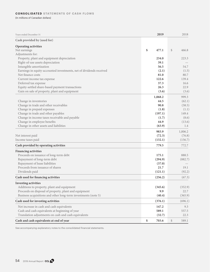### **CONSOLIDATED STATEMENTS OF CASH FLOWS**

(In millions of Canadian dollars)

| Cash provided by (used for)<br><b>Operating activities</b><br>\$<br>477.1<br>$\mathcal{S}$<br>466.8<br>Net earnings<br>Adjustments for:<br>Property, plant and equipment depreciation<br>223.3<br>234.0<br>39.1<br>Right-of-use assets depreciation<br>Intangible amortization<br>56.5<br>54.7<br>Earnings in equity-accounted investments, net of dividends received<br>(2.1)<br>(1.5)<br>Net finance costs<br>81.0<br>80.7<br>122.6<br>139.4<br>Current income tax expense<br>Deferred tax expense<br>37.3<br>16.6<br>Equity-settled share-based payment transactions<br>26.3<br>22.9<br>Gain on sale of property, plant and equipment<br>(3.6)<br>(3.6)<br>999.3<br>1,068.2<br>44.5<br>(62.1)<br>Change in inventories<br>Change in trade and other receivables<br>90.8<br>(58.5)<br>Change in prepaid expenses<br>(1.8)<br>(1.1)<br>Change in trade and other payables<br>(197.1)<br>149.4<br>Change in income taxes receivable and payable<br>(8.6)<br>(1.7)<br>Change in employee benefits<br>44.9<br>(13.6)<br>Change in other assets and liabilities<br>(63.9)<br>1.4<br>983.9<br>1,006.2<br>(72.3)<br>(76.8)<br>Net interest paid<br>(132.1)<br>Income taxes paid<br>(156.7)<br>Cash provided by operating activities<br>779.5<br>772.7<br><b>Financing activities</b><br>Proceeds on issuance of long-term debt<br>175.1<br>888.5<br>Repayment of long-term debt<br>(294.9)<br>(882.7)<br>Repayment of lease liabilities<br>(37.0)<br>Proceeds from issuance of shares<br>21.7<br>19.1<br>Dividends paid<br>(121.1)<br>(92.2)<br>Cash used for financing activities<br>(256.2)<br>(67.3)<br><b>Investing activities</b><br>Additions to property, plant and equipment<br>(345.6)<br>(352.9)<br>Proceeds on disposal of property, plant and equipment<br>9.9<br>22.7<br>Business acquisitions and other long-term investments (note 5)<br>(40.4)<br>(365.9)<br>Cash used for investing activities<br>(376.1)<br>(696.1)<br>Net increase in cash and cash equivalents<br>147.2<br>9.3<br>Cash and cash equivalents at beginning of year<br>589.1<br>557.5<br>Translation adjustments on cash and cash equivalents<br>(32.7)<br>22.3<br>\$<br>\$<br>Cash and cash equivalents at end of year<br>703.6<br>589.1 | Years ended December 31 | 2019 | 2018 |
|-----------------------------------------------------------------------------------------------------------------------------------------------------------------------------------------------------------------------------------------------------------------------------------------------------------------------------------------------------------------------------------------------------------------------------------------------------------------------------------------------------------------------------------------------------------------------------------------------------------------------------------------------------------------------------------------------------------------------------------------------------------------------------------------------------------------------------------------------------------------------------------------------------------------------------------------------------------------------------------------------------------------------------------------------------------------------------------------------------------------------------------------------------------------------------------------------------------------------------------------------------------------------------------------------------------------------------------------------------------------------------------------------------------------------------------------------------------------------------------------------------------------------------------------------------------------------------------------------------------------------------------------------------------------------------------------------------------------------------------------------------------------------------------------------------------------------------------------------------------------------------------------------------------------------------------------------------------------------------------------------------------------------------------------------------------------------------------------------------------------------------------------------------------------------------------------------------------------------|-------------------------|------|------|
|                                                                                                                                                                                                                                                                                                                                                                                                                                                                                                                                                                                                                                                                                                                                                                                                                                                                                                                                                                                                                                                                                                                                                                                                                                                                                                                                                                                                                                                                                                                                                                                                                                                                                                                                                                                                                                                                                                                                                                                                                                                                                                                                                                                                                       |                         |      |      |
|                                                                                                                                                                                                                                                                                                                                                                                                                                                                                                                                                                                                                                                                                                                                                                                                                                                                                                                                                                                                                                                                                                                                                                                                                                                                                                                                                                                                                                                                                                                                                                                                                                                                                                                                                                                                                                                                                                                                                                                                                                                                                                                                                                                                                       |                         |      |      |
|                                                                                                                                                                                                                                                                                                                                                                                                                                                                                                                                                                                                                                                                                                                                                                                                                                                                                                                                                                                                                                                                                                                                                                                                                                                                                                                                                                                                                                                                                                                                                                                                                                                                                                                                                                                                                                                                                                                                                                                                                                                                                                                                                                                                                       |                         |      |      |
|                                                                                                                                                                                                                                                                                                                                                                                                                                                                                                                                                                                                                                                                                                                                                                                                                                                                                                                                                                                                                                                                                                                                                                                                                                                                                                                                                                                                                                                                                                                                                                                                                                                                                                                                                                                                                                                                                                                                                                                                                                                                                                                                                                                                                       |                         |      |      |
|                                                                                                                                                                                                                                                                                                                                                                                                                                                                                                                                                                                                                                                                                                                                                                                                                                                                                                                                                                                                                                                                                                                                                                                                                                                                                                                                                                                                                                                                                                                                                                                                                                                                                                                                                                                                                                                                                                                                                                                                                                                                                                                                                                                                                       |                         |      |      |
|                                                                                                                                                                                                                                                                                                                                                                                                                                                                                                                                                                                                                                                                                                                                                                                                                                                                                                                                                                                                                                                                                                                                                                                                                                                                                                                                                                                                                                                                                                                                                                                                                                                                                                                                                                                                                                                                                                                                                                                                                                                                                                                                                                                                                       |                         |      |      |
|                                                                                                                                                                                                                                                                                                                                                                                                                                                                                                                                                                                                                                                                                                                                                                                                                                                                                                                                                                                                                                                                                                                                                                                                                                                                                                                                                                                                                                                                                                                                                                                                                                                                                                                                                                                                                                                                                                                                                                                                                                                                                                                                                                                                                       |                         |      |      |
|                                                                                                                                                                                                                                                                                                                                                                                                                                                                                                                                                                                                                                                                                                                                                                                                                                                                                                                                                                                                                                                                                                                                                                                                                                                                                                                                                                                                                                                                                                                                                                                                                                                                                                                                                                                                                                                                                                                                                                                                                                                                                                                                                                                                                       |                         |      |      |
|                                                                                                                                                                                                                                                                                                                                                                                                                                                                                                                                                                                                                                                                                                                                                                                                                                                                                                                                                                                                                                                                                                                                                                                                                                                                                                                                                                                                                                                                                                                                                                                                                                                                                                                                                                                                                                                                                                                                                                                                                                                                                                                                                                                                                       |                         |      |      |
|                                                                                                                                                                                                                                                                                                                                                                                                                                                                                                                                                                                                                                                                                                                                                                                                                                                                                                                                                                                                                                                                                                                                                                                                                                                                                                                                                                                                                                                                                                                                                                                                                                                                                                                                                                                                                                                                                                                                                                                                                                                                                                                                                                                                                       |                         |      |      |
|                                                                                                                                                                                                                                                                                                                                                                                                                                                                                                                                                                                                                                                                                                                                                                                                                                                                                                                                                                                                                                                                                                                                                                                                                                                                                                                                                                                                                                                                                                                                                                                                                                                                                                                                                                                                                                                                                                                                                                                                                                                                                                                                                                                                                       |                         |      |      |
|                                                                                                                                                                                                                                                                                                                                                                                                                                                                                                                                                                                                                                                                                                                                                                                                                                                                                                                                                                                                                                                                                                                                                                                                                                                                                                                                                                                                                                                                                                                                                                                                                                                                                                                                                                                                                                                                                                                                                                                                                                                                                                                                                                                                                       |                         |      |      |
|                                                                                                                                                                                                                                                                                                                                                                                                                                                                                                                                                                                                                                                                                                                                                                                                                                                                                                                                                                                                                                                                                                                                                                                                                                                                                                                                                                                                                                                                                                                                                                                                                                                                                                                                                                                                                                                                                                                                                                                                                                                                                                                                                                                                                       |                         |      |      |
|                                                                                                                                                                                                                                                                                                                                                                                                                                                                                                                                                                                                                                                                                                                                                                                                                                                                                                                                                                                                                                                                                                                                                                                                                                                                                                                                                                                                                                                                                                                                                                                                                                                                                                                                                                                                                                                                                                                                                                                                                                                                                                                                                                                                                       |                         |      |      |
|                                                                                                                                                                                                                                                                                                                                                                                                                                                                                                                                                                                                                                                                                                                                                                                                                                                                                                                                                                                                                                                                                                                                                                                                                                                                                                                                                                                                                                                                                                                                                                                                                                                                                                                                                                                                                                                                                                                                                                                                                                                                                                                                                                                                                       |                         |      |      |
|                                                                                                                                                                                                                                                                                                                                                                                                                                                                                                                                                                                                                                                                                                                                                                                                                                                                                                                                                                                                                                                                                                                                                                                                                                                                                                                                                                                                                                                                                                                                                                                                                                                                                                                                                                                                                                                                                                                                                                                                                                                                                                                                                                                                                       |                         |      |      |
|                                                                                                                                                                                                                                                                                                                                                                                                                                                                                                                                                                                                                                                                                                                                                                                                                                                                                                                                                                                                                                                                                                                                                                                                                                                                                                                                                                                                                                                                                                                                                                                                                                                                                                                                                                                                                                                                                                                                                                                                                                                                                                                                                                                                                       |                         |      |      |
|                                                                                                                                                                                                                                                                                                                                                                                                                                                                                                                                                                                                                                                                                                                                                                                                                                                                                                                                                                                                                                                                                                                                                                                                                                                                                                                                                                                                                                                                                                                                                                                                                                                                                                                                                                                                                                                                                                                                                                                                                                                                                                                                                                                                                       |                         |      |      |
|                                                                                                                                                                                                                                                                                                                                                                                                                                                                                                                                                                                                                                                                                                                                                                                                                                                                                                                                                                                                                                                                                                                                                                                                                                                                                                                                                                                                                                                                                                                                                                                                                                                                                                                                                                                                                                                                                                                                                                                                                                                                                                                                                                                                                       |                         |      |      |
|                                                                                                                                                                                                                                                                                                                                                                                                                                                                                                                                                                                                                                                                                                                                                                                                                                                                                                                                                                                                                                                                                                                                                                                                                                                                                                                                                                                                                                                                                                                                                                                                                                                                                                                                                                                                                                                                                                                                                                                                                                                                                                                                                                                                                       |                         |      |      |
|                                                                                                                                                                                                                                                                                                                                                                                                                                                                                                                                                                                                                                                                                                                                                                                                                                                                                                                                                                                                                                                                                                                                                                                                                                                                                                                                                                                                                                                                                                                                                                                                                                                                                                                                                                                                                                                                                                                                                                                                                                                                                                                                                                                                                       |                         |      |      |
|                                                                                                                                                                                                                                                                                                                                                                                                                                                                                                                                                                                                                                                                                                                                                                                                                                                                                                                                                                                                                                                                                                                                                                                                                                                                                                                                                                                                                                                                                                                                                                                                                                                                                                                                                                                                                                                                                                                                                                                                                                                                                                                                                                                                                       |                         |      |      |
|                                                                                                                                                                                                                                                                                                                                                                                                                                                                                                                                                                                                                                                                                                                                                                                                                                                                                                                                                                                                                                                                                                                                                                                                                                                                                                                                                                                                                                                                                                                                                                                                                                                                                                                                                                                                                                                                                                                                                                                                                                                                                                                                                                                                                       |                         |      |      |
|                                                                                                                                                                                                                                                                                                                                                                                                                                                                                                                                                                                                                                                                                                                                                                                                                                                                                                                                                                                                                                                                                                                                                                                                                                                                                                                                                                                                                                                                                                                                                                                                                                                                                                                                                                                                                                                                                                                                                                                                                                                                                                                                                                                                                       |                         |      |      |
|                                                                                                                                                                                                                                                                                                                                                                                                                                                                                                                                                                                                                                                                                                                                                                                                                                                                                                                                                                                                                                                                                                                                                                                                                                                                                                                                                                                                                                                                                                                                                                                                                                                                                                                                                                                                                                                                                                                                                                                                                                                                                                                                                                                                                       |                         |      |      |
|                                                                                                                                                                                                                                                                                                                                                                                                                                                                                                                                                                                                                                                                                                                                                                                                                                                                                                                                                                                                                                                                                                                                                                                                                                                                                                                                                                                                                                                                                                                                                                                                                                                                                                                                                                                                                                                                                                                                                                                                                                                                                                                                                                                                                       |                         |      |      |
|                                                                                                                                                                                                                                                                                                                                                                                                                                                                                                                                                                                                                                                                                                                                                                                                                                                                                                                                                                                                                                                                                                                                                                                                                                                                                                                                                                                                                                                                                                                                                                                                                                                                                                                                                                                                                                                                                                                                                                                                                                                                                                                                                                                                                       |                         |      |      |
|                                                                                                                                                                                                                                                                                                                                                                                                                                                                                                                                                                                                                                                                                                                                                                                                                                                                                                                                                                                                                                                                                                                                                                                                                                                                                                                                                                                                                                                                                                                                                                                                                                                                                                                                                                                                                                                                                                                                                                                                                                                                                                                                                                                                                       |                         |      |      |
|                                                                                                                                                                                                                                                                                                                                                                                                                                                                                                                                                                                                                                                                                                                                                                                                                                                                                                                                                                                                                                                                                                                                                                                                                                                                                                                                                                                                                                                                                                                                                                                                                                                                                                                                                                                                                                                                                                                                                                                                                                                                                                                                                                                                                       |                         |      |      |
|                                                                                                                                                                                                                                                                                                                                                                                                                                                                                                                                                                                                                                                                                                                                                                                                                                                                                                                                                                                                                                                                                                                                                                                                                                                                                                                                                                                                                                                                                                                                                                                                                                                                                                                                                                                                                                                                                                                                                                                                                                                                                                                                                                                                                       |                         |      |      |
|                                                                                                                                                                                                                                                                                                                                                                                                                                                                                                                                                                                                                                                                                                                                                                                                                                                                                                                                                                                                                                                                                                                                                                                                                                                                                                                                                                                                                                                                                                                                                                                                                                                                                                                                                                                                                                                                                                                                                                                                                                                                                                                                                                                                                       |                         |      |      |
|                                                                                                                                                                                                                                                                                                                                                                                                                                                                                                                                                                                                                                                                                                                                                                                                                                                                                                                                                                                                                                                                                                                                                                                                                                                                                                                                                                                                                                                                                                                                                                                                                                                                                                                                                                                                                                                                                                                                                                                                                                                                                                                                                                                                                       |                         |      |      |
|                                                                                                                                                                                                                                                                                                                                                                                                                                                                                                                                                                                                                                                                                                                                                                                                                                                                                                                                                                                                                                                                                                                                                                                                                                                                                                                                                                                                                                                                                                                                                                                                                                                                                                                                                                                                                                                                                                                                                                                                                                                                                                                                                                                                                       |                         |      |      |
|                                                                                                                                                                                                                                                                                                                                                                                                                                                                                                                                                                                                                                                                                                                                                                                                                                                                                                                                                                                                                                                                                                                                                                                                                                                                                                                                                                                                                                                                                                                                                                                                                                                                                                                                                                                                                                                                                                                                                                                                                                                                                                                                                                                                                       |                         |      |      |
|                                                                                                                                                                                                                                                                                                                                                                                                                                                                                                                                                                                                                                                                                                                                                                                                                                                                                                                                                                                                                                                                                                                                                                                                                                                                                                                                                                                                                                                                                                                                                                                                                                                                                                                                                                                                                                                                                                                                                                                                                                                                                                                                                                                                                       |                         |      |      |
|                                                                                                                                                                                                                                                                                                                                                                                                                                                                                                                                                                                                                                                                                                                                                                                                                                                                                                                                                                                                                                                                                                                                                                                                                                                                                                                                                                                                                                                                                                                                                                                                                                                                                                                                                                                                                                                                                                                                                                                                                                                                                                                                                                                                                       |                         |      |      |
|                                                                                                                                                                                                                                                                                                                                                                                                                                                                                                                                                                                                                                                                                                                                                                                                                                                                                                                                                                                                                                                                                                                                                                                                                                                                                                                                                                                                                                                                                                                                                                                                                                                                                                                                                                                                                                                                                                                                                                                                                                                                                                                                                                                                                       |                         |      |      |
|                                                                                                                                                                                                                                                                                                                                                                                                                                                                                                                                                                                                                                                                                                                                                                                                                                                                                                                                                                                                                                                                                                                                                                                                                                                                                                                                                                                                                                                                                                                                                                                                                                                                                                                                                                                                                                                                                                                                                                                                                                                                                                                                                                                                                       |                         |      |      |
|                                                                                                                                                                                                                                                                                                                                                                                                                                                                                                                                                                                                                                                                                                                                                                                                                                                                                                                                                                                                                                                                                                                                                                                                                                                                                                                                                                                                                                                                                                                                                                                                                                                                                                                                                                                                                                                                                                                                                                                                                                                                                                                                                                                                                       |                         |      |      |
|                                                                                                                                                                                                                                                                                                                                                                                                                                                                                                                                                                                                                                                                                                                                                                                                                                                                                                                                                                                                                                                                                                                                                                                                                                                                                                                                                                                                                                                                                                                                                                                                                                                                                                                                                                                                                                                                                                                                                                                                                                                                                                                                                                                                                       |                         |      |      |
|                                                                                                                                                                                                                                                                                                                                                                                                                                                                                                                                                                                                                                                                                                                                                                                                                                                                                                                                                                                                                                                                                                                                                                                                                                                                                                                                                                                                                                                                                                                                                                                                                                                                                                                                                                                                                                                                                                                                                                                                                                                                                                                                                                                                                       |                         |      |      |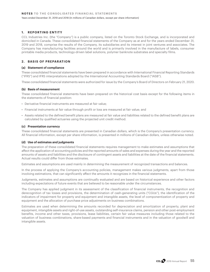# **1. REPORTING ENTITY**

CCL Industries Inc. (the "Company") is a public company, listed on the Toronto Stock Exchange, and is incorporated and domiciled in Canada. These consolidated financial statements of the Company as at and for the years ended December 31, 2019 and 2018, comprise the results of the Company, its subsidiaries and its interest in joint ventures and associates. The Company has manufacturing facilities around the world and is primarily involved in the manufacture of labels, consumer printable media products, technology-driven label solutions, polymer banknote substrates and specialty films.

# **2. BASIS OF PREPARATION**

### **(a) Statement of compliance**

These consolidated financial statements have been prepared in accordance with International Financial Reporting Standards ("IFRS") and IFRS interpretations adopted by the International Accounting Standards Board ("IASB").

These consolidated financial statements were authorized for issue by the Company's Board of Directors on February 21, 2020.

### **(b) Basis of measurement**

These consolidated financial statements have been prepared on the historical cost basis except for the following items in the statements of financial position:

- Derivative financial instruments are measured at fair value;
- Financial instruments at fair value through profit or loss are measured at fair value; and
- Assets related to the defined benefit plans are measured at fair value and liabilities related to the defined benefit plans are calculated by qualified actuaries using the projected unit credit method.

### **(c) Presentation currency**

These consolidated financial statements are presented in Canadian dollars, which is the Company's presentation currency. All financial information, except per share information, is presented in millions of Canadian dollars, unless otherwise noted.

### **(d) Use of estimates and judgments**

The preparation of these consolidated financial statements requires management to make estimates and assumptions that affect the application of accounting policies and the reported amounts of sales and expenses during the year and the reported amounts of assets and liabilities and the disclosure of contingent assets and liabilities at the date of the financial statements. Actual results could differ from those estimates.

Estimates and assumptions are used mainly in determining the measurement of recognized transactions and balances.

In the process of applying the Company's accounting policies, management makes various judgments, apart from those involving estimations, that can significantly affect the amounts it recognizes in the financial statements.

Judgments, estimates and assumptions are continually evaluated and are based on historical experience and other factors including expectations of future events that are believed to be reasonable under the circumstances.

The Company has applied judgment in its assessment of the classification of financial instruments, the recognition and derecognition of tax losses and provisions, the determination of cash-generating units ("CGUs"), the identification of the indicators of impairment for property and equipment and intangible assets, the level of componentization of property and equipment and the allocation of purchase price adjustments on business combinations.

Estimates are used when determining the amounts recorded for depreciation and amortization of property, plant and equipment, intangible assets and right-of-use assets, outstanding self-insurance claims, pension and other post-employment benefits, income and other taxes, provisions, lease liabilities, certain fair value measures including those related to the valuation of business combinations, share-based payments and financial instruments and in the valuation of goodwill and intangible assets.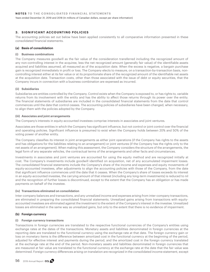Years ended December 31, 2019 and 2018 (In millions of Canadian dollars, except per share information)

### **3. SIGNIFICANT ACCOUNTING POLICIES**

The accounting policies set out below have been applied consistently to all comparative information presented in these consolidated financial statements.

#### **(a) Basis of consolidation**

#### **(i) Business combinations**

The Company measures goodwill as the fair value of the consideration transferred including the recognized amount of any non-controlling interest in the acquiree, less the net recognized amount (generally fair value) of the identifiable assets acquired and liabilities assumed, all measured as of the acquisition date. When the excess is negative, a bargain purchase gain is recognized immediately in profit or loss. The Company elects to measure, on a transaction-by-transaction basis, noncontrolling interest either at its fair value or at its proportionate share of the recognized amount of the identifiable net assets at the acquisition date. Transaction costs, other than those associated with the issue of debt or equity securities, that the Company incurs in connection with a business combination are expensed as incurred.

#### **(ii) Subsidiaries**

Subsidiaries are entities controlled by the Company. Control exists when the Company is exposed to, or has rights to, variable returns from its involvement with the entity and has the ability to affect those returns through its power over the entity. The financial statements of subsidiaries are included in the consolidated financial statements from the date that control commences until the date that control ceases. The accounting policies of subsidiaries have been changed, when necessary, to align them with the policies adopted by the Company.

#### **(iii) Associates and joint arrangements**

The Company's interests in equity-accounted investees comprise interests in associates and joint ventures.

Associates are those entities in which the Company has significant influence, but not control or joint control over the financial and operating policies. Significant influence is presumed to exist when the Company holds between 20% and 50% of the voting power of another entity.

The Company classifies its interest in joint arrangements as either joint operations (if the Company has rights to the assets and has obligations for the liabilities relating to an arrangement) or joint ventures (if the Company has the rights only to the net assets of an arrangement). When making this assessment, the Company considers the structure of the arrangements, the legal form of any separate vehicles, the contractual terms of the arrangements and other facts and circumstances.

Investments in associates and joint ventures are accounted for using the equity method and are recognized initially at cost. The Company's investments include goodwill identified on acquisition, net of any accumulated impairment losses. The consolidated financial statements include the Company's share of the income and expenses and equity movements of equity-accounted investees, after adjustments to align the accounting policies with those of the Company, from the date that significant influence commences until the date that it ceases. When the Company's share of losses exceeds its interest in an equity-accounted investee, the carrying amount of that interest (including any long-term investments) is reduced to nil and the recognition of further losses is discontinued, except to the extent that the Company has an obligation or has made payments on behalf of the investee.

### **(iv) Transactions eliminated on consolidation**

Inter-company balances and transactions, and any unrealized income and expenses arising from inter-company transactions, are eliminated in preparing the consolidated financial statements. Unrealized gains arising from transactions with equityaccounted investees are eliminated against the investment to the extent of the Company's interest in the investee. Unrealized losses are eliminated in the same way as unrealized gains, but only to the extent that there is no evidence of impairment.

### **(b) Foreign currency**

### **(i) Foreign currency transactions**

Transactions in foreign currencies are translated to the respective functional currencies of the Company's entities using exchange rates at the dates of the transactions. Monetary assets and liabilities denominated in foreign currencies at the reporting date are translated to the functional currency using the exchange rate at that date. The foreign currency gain or loss on monetary items is the difference between amortized cost in the functional currency at the beginning of the period, adjusted for effective interest and payments during the period, and the amortized cost in the foreign currency translated at the exchange rate at the end of the period. Non-monetary assets and liabilities denominated in foreign currencies that are measured at fair value are translated to the functional currency at the exchange rate at the date that the fair value was determined. Foreign currency differences arising on translation are recognized in the consolidated income statement, except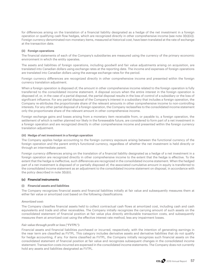for differences arising on the translation of a financial liability designated as a hedge of the net investment in a foreign operation or qualifying cash flow hedges, which are recognized directly in other comprehensive income (see note 3(b)(iii)). Foreign currency-denominated non-monetary items, measured at historical cost, have been translated at the rate of exchange at the transaction date.

### **(ii) Foreign operations**

The financial statements of each of the Company's subsidiaries are measured using the currency of the primary economic environment in which the entity operates.

The assets and liabilities of foreign operations, including goodwill and fair value adjustments arising on acquisition, are translated into Canadian dollars using exchange rates at the reporting date. The income and expenses of foreign operations are translated into Canadian dollars using the average exchange rates for the period.

Foreign currency differences are recognized directly in other comprehensive income and presented within the foreign currency translation adjustment.

When a foreign operation is disposed of, the amount in other comprehensive income related to the foreign operation is fully transferred to the consolidated income statement. A disposal occurs when the entire interest in the foreign operation is disposed of, or, in the case of a partial disposal, the partial disposal results in the loss of control of a subsidiary or the loss of significant influence. For any partial disposal of the Company's interest in a subsidiary that includes a foreign operation, the Company re-attributes the proportionate share of the relevant amounts in other comprehensive income to non-controlling interests. For any other partial disposal of a foreign operation, the Company reclassifies to the consolidated income statement only the proportionate share of the relevant amount in other comprehensive income.

Foreign exchange gains and losses arising from a monetary item receivable from, or payable to, a foreign operation, the settlement of which is neither planned nor likely in the foreseeable future, are considered to form part of a net investment in a foreign operation and are recognized directly in other comprehensive income and presented within the foreign currency translation adjustment.

### **(iii) Hedge of net investment in a foreign operation**

The Company applies hedge accounting to the foreign currency exposure arising between the functional currency of the foreign operation and the parent entity's functional currency, regardless of whether the net investment is held directly or through an intermediate parent.

Foreign currency differences arising on the translation of a financial liability designated as a hedge of a net investment in a foreign operation are recognized directly in other comprehensive income to the extent that the hedge is effective. To the extent that the hedge is ineffective, such differences are recognized in the consolidated income statement. When the hedged part of a net investment is disposed of or partially disposed of, the associated cumulative amount in equity is transferred to the consolidated income statement as an adjustment to the consolidated income statement on disposal, in accordance with the policy described in note 3(b)(ii).

### **(c) Financial instruments**

### **(i) Financial assets and liabilities**

The Company recognizes financial assets and financial liabilities initially at fair value and subsequently measures them at either fair value or amortized cost based on the following classifications:

### *Amortized cost:*

The Company classifies financial assets held to collect contractual cash flows at amortized cost, including cash and cash equivalents and trade and other receivables. The Company initially recognizes the carrying amount of such assets on the consolidated statement of financial position at fair value plus directly attributable transaction costs, and subsequently measures them at amortized cost using the effective interest rate method, less any impairment losses.

### *Fair value through profit or loss ("FVTPL"):*

Financial assets and financial liabilities purchased or incurred, respectively, with the intention of generating earnings in the near term are classified as FVTPL. This category includes derivative assets and derivative liabilities that do not qualify for hedge accounting, if any. For items classified as FVTPL, the Company initially recognizes such financial assets on the consolidated statement of financial position at fair value and recognizes subsequent changes in the consolidated income statement. Transaction costs incurred are expensed in the consolidated income statements. The Company does not currently hold any assets and liabilities designated as FVTPL.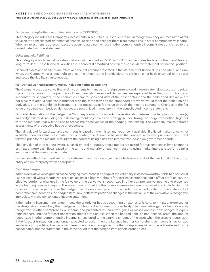Years ended December 31, 2019 and 2018 (In millions of Canadian dollars, except per share information)

#### *Fair value through other comprehensive income ("FVTOCI"):*

This category includes the Company's investments in securities. Subsequent to initial recognition, they are measured at fair value on the consolidated statement of financial position and changes therein are recognized in other comprehensive income. When an investment is derecognized, the accumulated gain or loss in other comprehensive income is not transferred to the consolidated income statement.

#### *Other financial liabilities:*

This category is for financial liabilities that are not classified as FVTPL or FVTOCI and includes trade and other payables and long-term debt. These financial liabilities are recorded at amortized cost on the consolidated statement of financial position.

Financial assets and liabilities are offset and the net amount presented in the statement of financial position when, and only when, the Company has a legal right to offset the amounts and intends either to settle on a net basis or to realize the asset and settle the liability simultaneously.

#### **(ii) Derivative financial instruments, including hedge accounting**

The Company uses derivative financial instruments to manage its foreign currency and interest-rate-risk exposure and pricerisk exposure related to the purchase of raw materials. Embedded derivatives are separated from the host contract and accounted for separately. If the economic characteristics and risks of the host contract and the embedded derivative are not closely related, a separate instrument with the same terms as the embedded derivative would meet the definition of a derivative, and the combined instrument is not measured at fair value through the income statement. Changes in the fair value of separable embedded derivatives are recognized immediately in the consolidated income statement.

On initial designation of the hedge, the Company formally documents the relationship between the hedging instrument(s) and hedged item(s), including the risk management objectives and strategy in undertaking the hedge transaction, together with the methods that will be used to assess the effectiveness of the hedging relationship. The Company makes periodic assessments of prospective hedge effectiveness.

The fair value of forward exchange contracts is based on their listed market price, if available. If a listed market price is not available, then fair value is estimated by discounting the difference between the contractual forward price and the current forward price for the residual maturity of the contract using a risk-free interest rate (based on government bonds).

The fair value of interest rate swaps is based on broker quotes. Those quotes are tested for reasonableness by discounting estimated future cash flows based on the terms and maturity of each contract and using market interest rates for a similar instrument at the measurement date.

Fair values reflect the credit risk of the instrument and include adjustments to take account of the credit risk of the group entity and counterparty when appropriate.

#### *Cash flow hedges*

When a derivative is designated as the hedging instrument in a hedge of the variability in cash flows attributable to a particular risk associated with a recognized asset or liability or a highly probable forecast transaction that could affect profit or loss, the effective portion of changes in the fair value of the derivative is recognized in other comprehensive income and presented in the hedging reserve in equity. The amount recognized in other comprehensive income is removed and included in profit or loss in the same period that the hedged cash flows affect profit or loss under the same line item in the statement of comprehensive income as the hedged item. Any ineffective portion of changes in the fair value of the derivative is recognized immediately in the consolidated income statement.

If the hedging instrument no longer meets the criteria for hedge accounting or expires or is sold, terminated, exercised, or the designation is revoked, then hedge accounting is discontinued prospectively. The cumulative gain or loss previously recognized in other comprehensive income and presented in unrealized gains or losses on cash flow hedges in equity remains there until the forecast transaction affects profit or loss. When the hedged item is a non-financial asset, the amount recognized in other comprehensive income is transferred to the carrying amount of the asset when the asset is recognized. If the forecast transaction is no longer expected to occur, then the balance in other comprehensive income is recognized immediately in profit or loss. In other cases, the amount recognized in other comprehensive income is transferred to the consolidated income statement in the same period that the hedged item affects profit or loss.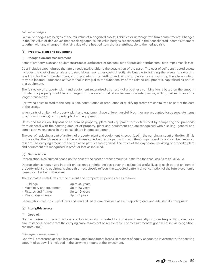#### *Fair value hedges*

Fair value hedges are hedges of the fair value of recognized assets, liabilities or unrecognized firm commitments. Changes in the fair value of derivatives that are designated as fair value hedges are recorded in the consolidated income statement together with any changes in the fair value of the hedged item that are attributable to the hedged risk.

### **(d) Property, plant and equipment**

### **(i) Recognition and measurement**

Items of property, plant and equipment are measured at cost less accumulated depreciation and accumulated impairment losses.

Cost includes expenditures that are directly attributable to the acquisition of the asset. The cost of self-constructed assets includes the cost of materials and direct labour, any other costs directly attributable to bringing the assets to a working condition for their intended uses, and the costs of dismantling and removing the items and restoring the site on which they are located. Purchased software that is integral to the functionality of the related equipment is capitalized as part of that equipment.

The fair value of property, plant and equipment recognized as a result of a business combination is based on the amount for which a property could be exchanged on the date of valuation between knowledgeable, willing parties in an arm's length transaction.

Borrowing costs related to the acquisition, construction or production of qualifying assets are capitalized as part of the cost of the assets.

When parts of an item of property, plant and equipment have different useful lives, they are accounted for as separate items (major components) of property, plant and equipment.

Gains and losses on disposal of an item of property, plant and equipment are determined by comparing the proceeds from disposal with the carrying amount of property, plant and equipment and are recognized within selling, general and administrative expenses in the consolidated income statement.

The cost of replacing a part of an item of property, plant and equipment is recognized in the carrying amount of the item if it is probable that the future economic benefits embodied within the part will flow to the Company and its cost can be measured reliably. The carrying amount of the replaced part is derecognized. The costs of the day-to-day servicing of property, plant and equipment are recognized in profit or loss as incurred.

### **(ii) Depreciation**

Depreciation is calculated based on the cost of the asset or other amount substituted for cost, less its residual value.

Depreciation is recognized in profit or loss on a straight-line basis over the estimated useful lives of each part of an item of property, plant and equipment, since this most closely reflects the expected pattern of consumption of the future economic benefits embodied in the asset.

The estimated useful lives for the current and comparative periods are as follows:

|  |  | • Buildings | Up to 40 years |
|--|--|-------------|----------------|
|--|--|-------------|----------------|

- Machinery and equipment Up to 20 years • Fixtures and fittings Up to 10 years
- Minor components Up to 5 years

Depreciation methods, useful lives and residual values are reviewed at each reporting date and adjusted if appropriate.

### **(e) Intangible assets**

### **(i) Goodwill**

Goodwill arises on the acquisition of subsidiaries and is tested for impairment annually or more frequently if events or circumstances indicate that the carrying amount may not be recoverable. For measurement of goodwill at initial recognition, see note 3(a)(i).

#### *Subsequent measurement*

Goodwill is measured at cost, less accumulated impairment losses. In respect of equity-accounted investments, the carrying amount of goodwill is included in the carrying amount of the investment.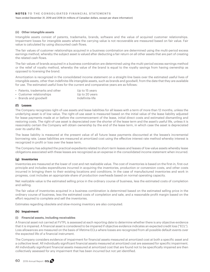Years ended December 31, 2019 and 2018 (In millions of Canadian dollars, except per share information)

#### **(ii) Other intangible assets**

Intangible assets consist of patents, trademarks, brands, software and the value of acquired customer relationships. Impairment losses for intangible assets where the carrying value is not recoverable are measured based on fair value. Fair value is calculated by using discounted cash flows.

The fair values of customer relationships acquired in a business combination are determined using the multi-period excess earnings method, whereby the subject asset is valued after deducting a fair return on all other assets that are part of creating the related cash flows.

The fair values of brands acquired in a business combination are determined using the multi-period excess earnings method or the relief of royalty method, whereby the value of the brand is equal to the royalty savings from having ownership as opposed to licensing the brand.

Amortization is recognized in the consolidated income statement on a straight-line basis over the estimated useful lives of intangible assets, other than indefinite-life intangible assets, such as brands and goodwill, from the date that they are available for use. The estimated useful lives for the current and comparative years are as follows:

- Patents, trademarks and other Up to 15 years
- Customer relationships **EXECUS** Up to 20 years
- Brands and goodwill **Indefinite-life**

### **(f) Leases**

The Company recognizes right-of-use assets and lease liabilities for all leases with a term of more than 12 months, unless the underlying asset is of low value. The right-of-use asset is measured based on the initial value of the lease liability adjusted for lease payments made at or before the commencement of the lease, initial direct costs and estimated dismantling and restoring costs. The right-of-use asset is depreciated over the shorter of the lease term and the asset's useful life, unless it is reasonably certain the Company will obtain ownership by the end of the lease term, in which case the asset is depreciated over its useful life.

The lease liability is measured at the present value of all future lease payments discounted at the lessee's incremental borrowing rate. Lease liabilities are measured at amortized cost using the effective interest rate method whereby interest is recognized in profit or loss over the lease term.

The Company has adopted the practical expedients related to short-term leases and leases of low-value assets whereby lease obligations associated with these leases are recognized as an expense in the consolidated income statement when incurred.

### **(g) Inventories**

Inventories are measured at the lower of cost and net realizable value. The cost of inventories is based on the first-in, first-out principle and includes expenditures incurred in acquiring the inventories, production or conversion costs, and other costs incurred in bringing them to their existing locations and conditions. In the case of manufactured inventories and work in progress, cost includes an appropriate share of production overheads based on normal operating capacity.

Net realizable value is the estimated selling price in the ordinary course of business, less the estimated costs of completion and selling.

The fair value of inventories acquired in a business combination is determined based on the estimated selling price in the ordinary course of business, less the estimated costs of completion and sale, and a reasonable profit margin based on the effort required to complete and sell the inventories.

Estimates regarding obsolete and slow-moving inventory are also computed.

# **(h) Impairment**

### **(i) Financial assets, including receivables**

A financial asset not carried at FVTPL is assessed at each reporting date to determine whether there is any objective evidence that it is impaired. A financial asset is considered to be impaired if objective evidence indicates an expected credit loss ("ECL"). Loss allowances are measured on the basis of lifetime ECLs where losses are recognized from all possible default events over the expected life of a financial instrument.

The Company considers evidence of impairment for financial assets measured at amortized cost at both a specific asset and a collective level. All individually significant financial assets measured at amortized cost are assessed for specific impairment. All individually significant financial assets measured at amortized cost that are found not to be specifically impaired are then collectively assessed for any impairment that has been incurred but not yet identified.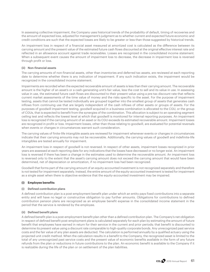In assessing collective impairment, the Company uses historical trends of the probability of default, timing of recoveries and the amount of expected loss, adjusted for management's judgment as to whether current and expected future economic and credit conditions are such that the expected losses are likely to be greater or less than those suggested by historical trends.

An impairment loss in respect of a financial asset measured at amortized cost is calculated as the difference between its carrying amount and the present value of the estimated future cash flows discounted at the original effective interest rate and reflected in an allowance account against trade receivables. Losses are recognized in the consolidated income statement. When a subsequent event causes the amount of impairment loss to decrease, the decrease in impairment loss is reversed through profit or loss.

### **(ii) Non-financial assets**

The carrying amounts of non-financial assets, other than inventories and deferred tax assets, are reviewed at each reporting date to determine whether there is any indication of impairment. If any such indication exists, the impairment would be recognized in the consolidated income statement.

Impairments are recorded when the expected recoverable amount of assets is less than their carrying amount. The recoverable amount is the higher of an asset's or a cash-generating unit's fair value, less the cost to sell and its value in use. In assessing value in use, the estimated future cash flows are discounted to their present value using a pre-tax discount rate that reflects current market assessments of the time value of money and the risks specific to the asset. For the purpose of impairment testing, assets that cannot be tested individually are grouped together into the smallest group of assets that generates cash inflows from continuing use that are largely independent of the cash inflows of other assets or groups of assets. For the purposes of goodwill impairment testing, goodwill acquired in a business combination is allocated to the CGU, or the group of CGUs, that is expected to benefit from the synergies of the combination. This allocation is subject to an operating segment ceiling test and reflects the lowest level at which that goodwill is monitored for internal reporting purposes. An impairment loss is recognized if the carrying amount of an asset or its CGU exceeds its estimated recoverable amount. Impairment losses are recognized in profit or loss. Impairment losses, other than those relating to goodwill, are evaluated for potential reversals when events or changes in circumstances warrant such consideration.

The carrying values of finite-life intangible assets are reviewed for impairment whenever events or changes in circumstances indicate that their carrying amounts may not be recoverable. Additionally, the carrying values of goodwill and indefinite-life intangibles are tested annually for impairment.

An impairment loss in respect of goodwill is not reversed. In respect of other assets, impairment losses recognized in prior years are assessed at each reporting date for any indications that the losses have decreased or no longer exist. An impairment loss is reversed if there has been a change in the estimates used to determine the recoverable amount. An impairment loss is reversed only to the extent that the asset's carrying amount does not exceed the carrying amount that would have been determined, net of depreciation or amortization, if no impairment loss had been recognized.

Goodwill that forms part of the carrying amount of an equity-accounted investment is not recognized separately and therefore is not tested for impairment separately. Instead, the entire amount of the equity-accounted investment is tested for impairment as a single asset when there is objective evidence that the equity-accounted investment may be impaired.

# **(i) Employee benefits**

### **(i) Defined contribution plans**

A defined contribution plan is a post-employment benefit plan under which an entity pays fixed contributions into a separate entity and will have no legal or constructive obligation to pay further amounts. Obligations for contributions to defined contribution pension plans are recognized as an employee benefit expense in the consolidated income statement in the period that the service is rendered by the employee.

### **(ii) Defined benefit plans**

A defined benefit plan is a post-employment benefit plan other than a defined contribution plan. The Company's net obligation in respect of defined benefit post-employment plans is calculated separately for each plan by estimating the amount of future benefit that employees have earned in return for their service in the current and prior periods; that benefit is discounted to determine its present value using a discount rate comparable to high-quality corporate bonds. Any unrecognized past service costs and the fair value of any plan assets are deducted. The calculation is performed annually by a qualified actuary using the projected unit credit method. When the calculation results in a benefit to the Company, the recognized asset is limited to the total of any unrecognized past service costs and the present value of economic benefits available in the form of any future refunds from the plan or reductions in future contributions to the plan. An economic benefit is available to the Company if it is realizable during the life of the plan or on settlement of the plan liabilities.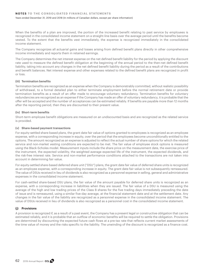Years ended December 31, 2019 and 2018 (In millions of Canadian dollars, except per share information)

When the benefits of a plan are improved, the portion of the increased benefit relating to past service by employees is recognized in the consolidated income statement on a straight-line basis over the average period until the benefits become vested. To the extent that the benefits vest immediately, the expense is recognized immediately in the consolidated income statement.

The Company recognizes all actuarial gains and losses arising from defined benefit plans directly in other comprehensive income immediately and reports them in retained earnings.

The Company determines the net interest expense on the net defined benefit liability for the period by applying the discount rate used to measure the defined benefit obligation at the beginning of the annual period to the then-net defined benefit liability, taking into account any changes in the net defined benefit liability during the period as a result of the contributions and benefit balances. Net interest expense and other expenses related to the defined benefit plans are recognized in profit or loss.

### **(iii) Termination benefits**

Termination benefits are recognized as an expense when the Company is demonstrably committed, without realistic possibility of withdrawal, to a formal detailed plan to either terminate employment before the normal retirement date or provide termination benefits as a result of an offer made to encourage voluntary redundancy. Termination benefits for voluntary redundancies are recognized as an expense if the Company has made an offer of voluntary redundancy, it is probable that the offer will be accepted and the number of acceptances can be estimated reliably. If benefits are payable more than 12 months after the reporting period, then they are discounted to their present value.

### **(iv) Short-term benefits**

Short-term employee benefit obligations are measured on an undiscounted basis and are recognized as the related service is provided.

### **(v) Share-based payment transactions**

For equity-settled share-based plans, the grant date fair value of options granted to employees is recognized as an employee expense, with a corresponding increase in equity, over the period that the employees become unconditionally entitled to the options. The amount recognized as an expense is adjusted to reflect the actual number of share options for which the related service and non-market vesting conditions are expected to be met. The fair value of employee stock options is measured using the Black-Scholes model. Measurement inputs include the share price on the measurement date, the exercise price of the instrument, the expected volatility, the weighted average expected life of the instrument, the expected dividends, and the risk-free interest rate. Service and non-market performance conditions attached to the transactions are not taken into account in determining fair value.

For equity-settled share-based deferred share unit ("DSU") plans, the grant date fair value of deferred share units is recognized as an employee expense, with a corresponding increase in equity. The grant date fair value is not subsequently remeasured. The value of DSUs received in lieu of dividends is also recognized as a personnel expense in selling, general and administrative expenses in the consolidated income statement.

For cash-settled share-based DSU plans, the fair value of the amount payable for deferred share units is recognized as an expense, with a corresponding increase in liabilities when they are issued. The fair value of a DSU is measured using the average of the high and low trading prices of the Class B shares for the five trading days immediately preceding the date of issue and is remeasured, using a similar five-day average, at the financial statement date and at the settlement date. Any changes in the fair value of the liability are recognized as a personnel expense in the consolidated income statement. The value of DSUs received in lieu of dividends is also recognized as a personnel cost in the consolidated income statement.

# **(j) Provisions**

A provision is recognized if, as a result of a past event, the Company has a present legal or constructive obligation that can be estimated reliably, and it is probable that an outflow of economic benefits will be required to settle the obligation. Provisions are determined by discounting the expected future cash flows at a pre-tax rate that reflects current market assessments of the time value of money and the risks specific to the liability. The unwinding of the discount is recognized as a finance cost.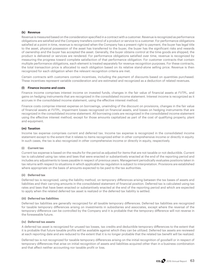### **(k) Revenue**

Revenue is measured based on the consideration specified in a contract with a customer. Revenue is recognized as performance obligations are satisfied and the Company transfers control of a product or service to a customer. For performance obligations satisfied at a point in time, revenue is recognized when the Company has a present right to payment, the buyer has legal title to the asset, physical possession of the asset has transferred to the buyer, the buyer has the significant risks and rewards of ownership and the buyer has accepted the asset. Generally, the buyer obtains control at the time goods are shipped, the product is delivered or services are rendered. For performance obligations satisfied over time, revenue is recognized by measuring the progress toward complete satisfaction of that performance obligation. For customer contracts that contain multiple performance obligations, each element is treated separately for revenue recognition purposes. For these contracts, the total transaction price is allocated to each obligation based on its relative stand-alone selling price. Revenue is then recognized for each obligation when the relevant recognition criteria are met.

Certain contracts with customers contain incentives, including the payment of discounts based on quantities purchased. These incentives represent variable consideration and are estimated and recognized as a deduction of related revenues.

### **(l) Finance income and costs**

Finance income comprises interest income on invested funds, changes in the fair value of financial assets at FVTPL, and gains on hedging instruments that are recognized in the consolidated income statement. Interest income is recognized as it accrues in the consolidated income statement, using the effective interest method.

Finance costs comprise interest expense on borrowings, unwinding of the discount on provisions, changes in the fair value of financial assets at FVTPL, impairment losses recognized on financial assets, and losses on hedging instruments that are recognized in the consolidated income statement. All borrowing costs are recognized in the consolidated income statement using the effective interest method, except for those amounts capitalized as part of the cost of qualifying property, plant and equipment.

### **(m) Taxation**

Income tax expense comprises current and deferred tax. Income tax expense is recognized in the consolidated income statement except to the extent that it relates to items recognized either in other comprehensive income or directly in equity. In such cases, the tax is also recognized in other comprehensive income or directly in equity, respectively.

## **(i) Current tax**

Current tax expense is based on the results for the period as adjusted for items that are not taxable or not deductible. Current tax is calculated using tax rates and laws that were enacted or substantively enacted at the end of the reporting period and includes any adjustments to taxes payable in respect of previous years. Management periodically evaluates positions taken in tax returns with respect to situations in which applicable tax regulation is subject to interpretation. Provisions are established where appropriate on the basis of amounts expected to be paid to the tax authorities.

### **(ii) Deferred tax**

Deferred tax is recognized, using the liability method, on temporary differences arising between the tax bases of assets and liabilities and their carrying amounts in the consolidated statement of financial position. Deferred tax is calculated using tax rates and laws that have been enacted or substantively enacted at the end of the reporting period and which are expected to apply when the related deferred tax asset is realized or the deferred tax liability is settled.

### **(iii) Deferred tax liabilities**

Deferred tax liabilities are generally recognized for all taxable temporary differences. Deferred tax liabilities are recognized for taxable temporary differences arising on investments in subsidiaries and associates, except where the reversal of the temporary difference can be controlled by the Company and it is probable that the temporary difference will not reverse in the foreseeable future.

### **(iv) Deferred tax assets**

A deferred tax asset is recognized for unused tax losses, tax credits and deductible temporary differences to the extent that it is probable that future taxable profits will be available against which they can be utilized. Deferred tax assets are reviewed at each reporting date and are reduced to the extent that it is no longer probable that the related tax benefit will be realized.

Deferred tax is not recognized for taxable temporary differences arising on the initial recognition of goodwill or in respect of temporary differences that arise on initial recognition of assets and liabilities acquired other than in a business combination and that affect neither accounting nor taxable profit or loss.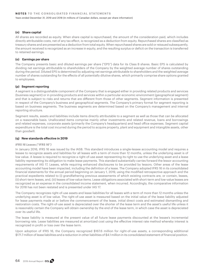Years ended December 31, 2019 and 2018 (In millions of Canadian dollars, except per share information)

#### **(n) Share capital**

All shares are recorded as equity. When share capital is repurchased, the amount of the consideration paid, which includes directly attributable costs, net of any tax effect, is recognized as a deduction from equity. Repurchased shares are classified as treasury shares and are presented as a deduction from total equity. When repurchased shares are sold or reissued subsequently, the amount received is recognized as an increase in equity, and the resulting surplus or deficit on the transaction is transferred to retained earnings.

#### **(o) Earnings per share**

The Company presents basic and diluted earnings per share ("EPS") data for its Class B shares. Basic EPS is calculated by dividing net earnings attributable to shareholders of the Company by the weighted average number of shares outstanding during the period. Diluted EPS is determined by adjusting net earnings attributable to shareholders and the weighted average number of shares outstanding for the effects of all potentially dilutive shares, which primarily comprise share options granted to employees.

#### **(p) Segment reporting**

A segment is a distinguishable component of the Company that is engaged either in providing related products and services (business segment) or in providing products and services within a particular economic environment (geographical segment) and that is subject to risks and returns that are different from those of other segments. Segment information is presented in respect of the Company's business and geographical segments. The Company's primary format for segment reporting is based on business segments. The business segments are determined based on the Company's management and internal reporting structure.

Segment results, assets and liabilities include items directly attributable to a segment as well as those that can be allocated on a reasonable basis. Unallocated items comprise mainly other investments and related revenue, loans and borrowings and related expenses, corporate assets (primarily the Company's headquarters) and head office expenses. Segment capital expenditure is the total cost incurred during the period to acquire property, plant and equipment and intangible assets, other than goodwill.

#### **(q) New standards effective in 2019**

#### *IFRS 16 Leases ("IFRS 16")*

In January 2016, IFRS 16 was issued by the IASB. This standard introduces a single-lessee accounting model and requires a lessee to recognize assets and liabilities for all leases with a term of more than 12 months, unless the underlying asset is of low value. A lessee is required to recognize a right-of-use asset representing its right to use the underlying asset and a lease liability representing its obligation to make lease payments. This standard substantially carries forward the lessor accounting requirements of IAS 17, Leases, while requiring enhanced disclosures to be provided by lessors. Other areas of the lease accounting model have been impacted, including the definition of a lease. The Company adopted IFRS 16 in its consolidated financial statements for the annual period beginning on January 1, 2019, using the modified retrospective approach and the practical expedients related to (i) grandfathering previous assessments of which existing contracts are, or contain, leases, (ii) short-term leases, and, (iii) leases of low-value items. Lease obligations associated with short-term and low-value leases are recognized as an expense in the consolidated income statement, when incurred. Accordingly, the comparative information for 2018 has not been restated and is presented under IAS 17.

The Company recognizes right-of-use assets and lease liabilities for all leases with a term of more than 12 months unless the underlying asset is of low value. The right-of-use asset is measured based on the initial value of the lease liability adjusted for lease payments made at or before the commencement of the lease, initial direct costs and estimated dismantling and restoration costs. The right-of-use asset is depreciated over the shorter of the lease term and the asset's useful life unless it is reasonably certain the Company will obtain ownership by the end of the lease term, in which case the asset is depreciated over its useful life.

The lease liability is measured at the present value of all future lease payments discounted at the lessee's incremental borrowing rate. Lease liabilities are measured at amortized cost using the effective interest rate method whereby interest is recognized in profit or loss over the lease term.

Upon adoption of IFRS 16, the Company recognized \$167.6 million for right-of-use assets, a corresponding additional \$171.7 million of lease liabilities and a reduction in other liabilities of \$4.1 million in its consolidated statement of financial position.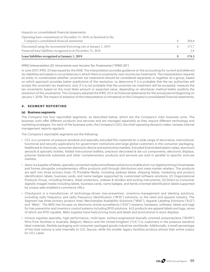Impacts on consolidated financial statements:

| Lease liabilities recognized at January 1, 2019                      | 174.3 |
|----------------------------------------------------------------------|-------|
| Financial lease liabilities recognized as at December 31, 2018       | 2.6   |
| Discounted using the incremental borrowing rate at January 1, 2019   | 171.7 |
| Company's consolidated financial statements                          | 204.8 |
| Operating lease commitment at December 31, 2018, as disclosed in the |       |

### *IFRIC Interpretation 23, Uncertainty over Income Tax Treatments ("IFRIC 23")*

In June 2017, IFRIC 23 was issued by the IASB. The interpretation provides guidance on the accounting for current and deferred tax liabilities and assets in circumstances in which there is uncertainty over income tax treatments. The interpretation requires an entity to contemplate whether uncertain tax treatments should be considered separately or together as a group, based on which approach provides better predictions of the resolution, to determine if it is probable that the tax authorities will accept the uncertain tax treatment, and, if it is not probable that the uncertain tax treatment will be accepted, measure the tax uncertainty based on the most likely amount or expected value, depending on whichever method better predicts the resolution of the uncertainty. The Company adopted the IFRIC 23 in its financial statements for the annual period beginning on January 1, 2019. The impact of adoption of the interpretation is immaterial on the Company's consolidated financial statements.

# **4. SEGMENT REPORTING**

### **(a) Business segments**

The Company has four reportable segments, as described below, which are the Company's main business units. The business units offer different products and services and are managed separately as they require different technology and marketing strategies. For each of the business units, the Company's CEO, the chief operating decision maker, reviews internal management reports regularly.

The Company's reportable segments are the following:

- CCL is a converter of pressure sensitive and specialty extruded film materials for a wide range of decorative, instructional, functional and security applications for government institutions and large global customers in the consumer packaging, healthcare & chemicals, consumer electronic device and automotive markets. Extruded & laminated plastic tubes, aluminum aerosols & specialty bottles, folded instructional leaflets, precision decorated & die cut components, electronic displays, polymer banknote substrate and other complementary products and services are sold in parallel to specific end-use markets.
- Avery is a supplier of labels, specialty converted media and software solutions to enable short-run digital printing in businesses and homes alongside complementary office products sold through distributors and mass-market retailers. The products are split into three primary lines: (1) Printable Media, including address labels, shipping labels, marketing and product identification labels, business cards, and name badges supported by customized software solutions; (2) Organizational Products Group, including binders, sheet protectors, indexes & dividers and writing instruments; (3) Direct-to-Consumer digitally imaged media including labels, business cards, name badges, and family-oriented identification labels supported by unique web-enabled e-commerce URLs.
- Checkpoint is a manufacturer of technology-driven loss-prevention, inventory-management and labeling solutions, including radio frequency and radio frequency identification ("RFID") solutions, to the retail and apparel industry. The Segment has three primary product lines: Merchandise Availability Solutions ("MAS"), Apparel Labeling Solutions ("ALS") and "Meto". The MAS line focuses on electronic-article-surveillance ("EAS") systems; hardware, software, labels and tags for loss prevention and inventory control systems including RFID solutions. ALS products are apparel labels and tags, some of which are RFID capable. Meto supplies hand-held pricing tools and labels and promotional in-store displays.
- Innovia supplies specialty, high-performance, multi-layer, surface-engineered biaxially oriented polypropylene ("BOPP") films from facilities in Australia, Belgium, Mexico and the United Kingdom ("U.K.") to customers in the pressure sensitive label materials, flexible packaging and consumer packaged goods industries worldwide. Additionally, a small percentage of the total volume is sold internally to CCL Secure, while the smaller legacy facilities produce almost their entire output for CCL Label.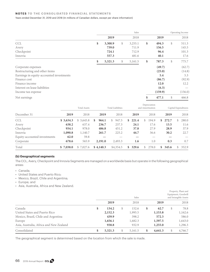### **NOTES TO THE CONSOLIDATED FINANCIAL STATEMENTS**

#### Years ended December 31, 2019 and 2018 (In millions of Canadian dollars, except per share information)

|                                          |               | Sales         |             | Operating Income |
|------------------------------------------|---------------|---------------|-------------|------------------|
|                                          | 2019          | 2018          | 2019        | 2018             |
| CCL                                      | \$<br>3,300.9 | \$<br>3,255.1 | \$<br>494.3 | \$<br>511.3      |
| Avery                                    | 739.0         | 711.9         | 156.5       | 145.5            |
| Checkpoint                               | 724.1         | 712.9         | 96.4        | 101.3            |
| Innovia                                  | 557.3         | 481.6         | 40.1        | 17.6             |
|                                          | \$<br>5,321.3 | \$<br>5,161.5 | \$<br>787.3 | \$<br>775.7      |
| Corporate expenses                       |               |               | (49.7)      | (62.7)           |
| Restructuring and other items            |               |               | (25.0)      | (14.8)           |
| Earnings in equity-accounted investments |               |               | 5.4         | 5.3              |
| Finance cost                             |               |               | (86.7)      | (92.9)           |
| Finance income                           |               |               | 12.0        | 12.2             |
| Interest on lease liabilities            |               |               | (6.3)       |                  |
| Income tax expense                       |               |               | (159.9)     | (156.0)          |
| Net earnings                             |               |               | \$<br>477.1 | \$<br>466.8      |

|                              |           | <b>Total Assets</b> |             | <b>Total Liabilities</b> |              | Depreciation<br>and Amortization | Capital Expenditures |              |  |
|------------------------------|-----------|---------------------|-------------|--------------------------|--------------|----------------------------------|----------------------|--------------|--|
| December 31                  | 2019      | 2018                | 2019        | 2018                     | 2019         | 2018                             | 2019                 | 2018         |  |
| <b>CCL</b>                   | \$3,634.3 | \$3,645.8           | 964.1<br>S. | 947.5<br>S.              | 221.4<br>\$. | 194.9<br>S.                      | 272.7<br>\$.         | 280.0<br>\$. |  |
| Avery                        | 638.2     | 637.4               | 236.7       | 237.3                    | 24.1         | 17.6                             | 13.5                 | 11.6         |  |
| Checkpoint                   | 934.1     | 978.0               | 486.8       | 451.2                    | 37.8         | 27.9                             | 28.9                 | 37.9         |  |
| Innovia                      | 1,090.8   | 1,140.7             | 261.7       | 225.2                    | 44.7         | 36.6                             | 30.2                 | 22.7         |  |
| Equity-accounted investments | 62.0      | 59.8                |             |                          |              |                                  |                      |              |  |
| Corporate                    | 678.6     | 565.9               | 2,191.0     | 2,493.3                  | 1.6          | 1.0                              | 0.3                  | 0.7          |  |
| Total                        | \$7,038.0 | \$7,027.6           | \$4,140.3   | \$4,354.5                | 329.6<br>S.  | 278.0<br>$\mathcal{S}$           | 345.6<br>\$.         | 352.9<br>S.  |  |

## **(b) Geographical segments**

The CCL, Avery, Checkpoint and Innovia Segments are managed on a worldwide basis but operate in the following geographical areas:

- Canada;
- United States and Puerto Rico;
- Mexico, Brazil, Chile and Argentina;
- Europe; and
- Asia, Australia, Africa and New Zealand.

|                                         |               | Sales         |               |   | Property, Plant and<br>Equipment, Goodwill<br>and Intangible Assets |
|-----------------------------------------|---------------|---------------|---------------|---|---------------------------------------------------------------------|
|                                         | 2019          | 2018          | 2019          |   | 2018                                                                |
| Canada                                  | \$<br>134.2   | \$<br>152.6   | \$<br>62.7    | S | 78.8                                                                |
| United States and Puerto Rico           | 2,152.3       | 1,995.5       | 1,153.8       |   | 1,162.6                                                             |
| Mexico, Brazil, Chile and Argentina     | 439.9         | 398.2         | 572.3         |   | 586.0                                                               |
| Europe                                  | 1,656.1       | 1,682.3       | 1,597.5       |   | 1,643.0                                                             |
| Asia, Australia, Africa and New Zealand | 938.8         | 932.9         | 1,255.0       |   | 1,296.3                                                             |
| Consolidated                            | \$<br>5,321.3 | \$<br>5,161.5 | \$<br>4,641.3 |   | 4,766.7                                                             |

The geographical segment is determined based on the location from which the sale is made.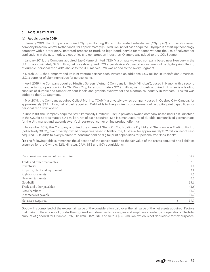# **5. ACQUISITIONS**

### **(a) Acquisitions in 2019**

In January 2019, the Company acquired Olympic Holding B.V. and its related subsidiaries ("Olympic"), a privately-owned company based in Venray, Netherlands, for approximately \$13.6 million, net of cash acquired. Olympic is a start-up technology company with a proprietary, patented process to produce high-bond, acrylic foam tapes without the use of solvents for applications in the automotive, electronics and construction industries. Olympic was added to the CCL Segment.

In January 2019, the Company acquired Easy2Name Limited ("E2N"), a privately-owned company based near Newbury in the U.K. for approximately \$2.5 million, net of cash acquired. E2N expands Avery's direct-to-consumer online digital print offering of durable, personalized "kids' labels" to the U.K. market. E2N was added to the Avery Segment.

In March 2019, the Company and its joint-venture partner each invested an additional \$0.7 million in Rheinfelden Americas, LLC, a supplier of aluminum slugs for aerosol cans.

In April 2019, the Company acquired Hinsitsu Screen (Vietnam) Company Limited ("Hinsitsu"), based in Hanoi, with a second manufacturing operation in Ho Chi Minh City, for approximately \$12.9 million, net of cash acquired. Hinsitsu is a leading supplier of durable and tamper-evident labels and graphic overlays for the electronics industry in Vietnam. Hinsitsu was added to the CCL Segment.

In May 2019, the Company acquired Colle À Moi Inc. ("CAM"), a privately-owned company based in Quebec City, Canada, for approximately \$3.1 million, net of cash acquired. CAM adds to Avery's direct-to-consumer online digital print capabilities for personalized "kids' labels".

In June 2019, the Company acquired Say it Personally Limited ("STS"), a privately-owned company based near East Grinstead in the U.K. for approximately \$0.4 million, net of cash acquired. STS is a manufacturer of durable, personalized garment tags for the U.K. market and expands Avery's direct-to-consumer online product offerings.

In November 2019, the Company acquired the shares of Stuck On You Holdings Pty Ltd and Stuck on You Trading Pty Ltd (collectively "SOY"), two privately-owned companies based in Melbourne, Australia, for approximately \$7.2 million, net of cash acquired. SOY adds to Avery's direct-to-consumer online digital print capabilities for personalized "kids' labels".

**(b)** The following table summarizes the allocation of the consideration to the fair value of the assets acquired and liabilities assumed for the Olympic, E2N, Hinsitsu, CAM, STS and SOY acquisitions:

| Cash consideration, net of cash acquired | \$ | 39.7  |
|------------------------------------------|----|-------|
| Trade and other receivables              | S  | 2.0   |
| Inventories                              |    | 1.4   |
| Property, plant and equipment            |    | 3.1   |
| Right-of-use assets                      |    | 1.3   |
| Deferred tax assets                      |    | 0.3   |
| Goodwill                                 |    | 35.6  |
| Trade and other payables                 |    | (2.6) |
| Lease liabilities                        |    | (1.2) |
| Income taxes payable                     |    | (0.2) |
| Net assets acquired                      | S  | 39.7  |

Goodwill is comprised of the excess fair value of the consideration paid over the fair value of the net assets acquired. Factors that make up the amount of goodwill recognized include expected synergies and employee knowledge of operations. The total amount of goodwill for Olympic, E2N, Hinsitsu, CAM, STS and SOY is \$35.6 million, which is not deductible for tax purposes.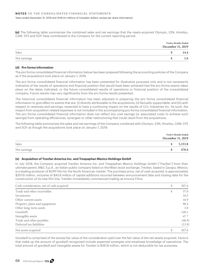**(c)** The following table summarizes the combined sales and net earnings that the newly-acquired Olympic, E2N, Hinsitsu, CAM, STS and SOY have contributed to the Company for the current reporting period.

|              | <b>Twelve Months Ended</b><br>December 31, 2019 |
|--------------|-------------------------------------------------|
| Sales        | 14.4                                            |
| Net earnings | 1.6                                             |

## **(d) Pro forma information**

The pro forma consolidated financial information below has been prepared following the accounting policies of the Company as if the acquisitions took place on January 1, 2019.

The pro forma consolidated financial information has been presented for illustrative purposes only and is not necessarily indicative of the results of operations and financial position that would have been achieved had the pro forma events taken place on the dates indicated, or the future consolidated results of operations or financial position of the consolidated company. Future results may vary significantly from the pro forma results presented.

The historical consolidated financial information has been adjusted in preparing the pro forma consolidated financial information to give effect to events that are: (i) directly attributable to the acquisitions; (ii) factually supportable; and (iii) with respect to revenues and earnings, expected to have a continuing impact on the results of CCL Industries Inc. As such, the impact from acquisition-related expenses is not included in the accompanying pro forma consolidated financial information. The pro forma consolidated financial information does not reflect any cost savings (or associated costs to achieve such savings) from operating efficiencies, synergies or other restructuring that could result from the acquisitions.

The following table summarizes the sales and net earnings of the Company combined with Olympic, E2N, Hinsitsu, CAM, STS and SOY as though the acquisitions took place on January 1, 2019:

|              | <b>Twelve Months Ended</b><br>December 31, 2019 |         |
|--------------|-------------------------------------------------|---------|
| Sales        |                                                 | 5,333.8 |
| Net earnings |                                                 | 478.4   |

# **(e) Acquisition of Treofan America Inc. and Trespaphan Mexico Holdings GmbH**

In July 2018, the Company acquired Treofan America Inc. and Trespaphan Mexico Holdings GmbH ("Treofan") from their ultimate parent, M&C S.p.A., an Italian public company listed on the Milan stock exchange. Treofan, based in Zacapu, Mexico, is a leading producer of BOPP film for the North American market. The purchase price, net of cash acquired, is approximately \$307.6 million, inclusive of \$43.6 million of capital additions incurred between announcement date and closing date for the construction of its new film line. Treofan immediately commenced trading as Innovia Films.

| Cash consideration, net of cash acquired | \$ | 307.6  |
|------------------------------------------|----|--------|
| Trade and other receivables              | S  | 37.0   |
| Inventories                              |    | 34.5   |
| Other current assets                     |    | 16.9   |
| Property, plant and equipment            |    | 90.4   |
| Other long-term assets                   |    | 3.8    |
| Goodwill                                 |    | 140.1  |
| Intangible assets                        |    | 47.7   |
| Trade and other payables                 |    | (48.9) |
| Deferred tax liabilities                 |    | (13.9) |
| Net assets acquired                      |    | 307.6  |

Goodwill is comprised of the excess fair value of the consideration paid over the fair value of the net assets acquired. Factors that make up the amount of goodwill recognized include expected synergies and employee knowledge of operations. The total amount of goodwill and intangible assets for Treofan is \$187.8 million, which is not deductible for tax purposes.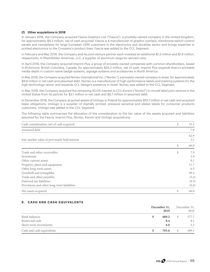## **(f) Other acquisitions in 2018**

In January 2018, the Company acquired Fascia Graphics Ltd. ("Fascia"), a privately-owned company in the United Kingdom, for approximately \$9.3 million, net of cash acquired. Fascia is a manufacturer of graphic overlays, membrane-switch control panels and nameplates for large European OEM customers in the electronics and durables sector and brings expertise in printed electronics to the Company's product lines. Fascia was added to the CCL Segment.

In February and May 2018, the Company and its joint-venture partner each invested an additional \$1.3 million and \$1.9 million, respectively, in Rheinfelden Americas, LLC, a supplier of aluminum slugs for aerosol cans.

In April 2018, the Company acquired Imprint Plus, a group of privately-owned companies with common shareholders, based in Richmond, British Columbia, Canada, for approximately \$24.3 million, net of cash. Imprint Plus expands Avery's printable media depth in custom name badge systems, signage systems and accessories in North America.

In May 2018, the Company acquired Nortec International Inc. ("Nortec"), a privately-owned company in Israel, for approximately \$8.8 million in net cash and assumed debt. Nortec is a manufacturer of high-performance labels and marking systems for the high-technology sector and expands CCL Design's presence in Israel. Nortec was added to the CCL Segment.

In May 2018, the Company acquired the remaining 50.0% interest in CCL-Korsini ("Korsini") in-mould label joint venture in the United States from its partner for \$3.1 million in net cash and \$6.7 million in assumed debt.

In December 2018, the Company acquired assets of Unilogo in Poland for approximately \$10.7 million in net cash and acquired lease obligations. Unilogo is a supplier of digitally printed, pressure sensitive and sleeve labels for consumer products customers. Unilogo was added to the CCL Segment.

The following table summarizes the allocation of the consideration to the fair value of the assets acquired and liabilities assumed for the Fascia, Imprint Plus, Nortec, Korsini and Unilogo acquisitions:

| Cash consideration, net of cash acquired      | \$<br>55.1 |
|-----------------------------------------------|------------|
| Assumed debt                                  | 7.8        |
|                                               | 62.9       |
| Fair market value of previously held interest | 3.1        |
|                                               | \$<br>66.0 |
| Trade and other receivables                   | \$<br>7.9  |
| Inventories                                   | 2.9        |
| Other current assets                          | 0.1        |
| Property, plant and equipment                 | 11.7       |
| Other long-term assets                        | 0.3        |
| Goodwill and intangibles                      | 49.2       |
| Trade and other payables                      | (5.4)      |
| Deferred tax liabilities                      | (0.3)      |
| Provisions and other long-term liabilities    | (0.4)      |
| Net assets acquired                           | \$<br>66.0 |

# **6. CASH AND CASH EQUIVALENTS**

|                           | December 31,<br>2019 |    | December 31,<br>2018 |
|---------------------------|----------------------|----|----------------------|
| Bank balances             | 689.2                | S. | 577.7                |
| Restricted cash           | 8.4                  |    | 8.1                  |
| Short-term investments    | 6.0                  |    | 3.3                  |
| Cash and cash equivalents | 703.6                | S  | 589.1                |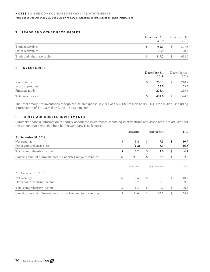Years ended December 31, 2019 and 2018 (In millions of Canadian dollars, except per share information)

# **7. TRADE AND OTHER RECEIVABLES**

|                             | December 31, | December 31, |       |
|-----------------------------|--------------|--------------|-------|
|                             | 2019         |              | 2018  |
| Trade receivables           | 752.3        | S            | 847.3 |
| Other receivables           | 96.9         |              | 90.7  |
| Trade and other receivables | 849.2        |              | 938.0 |

# **8. INVENTORIES**

|                   | December 31,<br>2019 | December 31,<br>2018 |       |
|-------------------|----------------------|----------------------|-------|
| Raw material      | 200.2<br>S           | S                    | 210.7 |
| Work in progress  | 53.0                 |                      | 58.3  |
| Finished goods    | 228.4                |                      | 255.6 |
| Total inventories | 481.6<br>S           | \$.                  | 524.6 |

The total amount of inventories recognized as an expense in 2019 was \$3,809.1 million (2018 – \$3,662.7 million), including depreciation of \$272.3 million (2018 – \$223.3 million).

# **9. EQUITY-ACCOUNTED INVESTMENTS**

Summary financial information for equity-accounted investments, including joint ventures and associates, not adjusted for the percentage ownership held by the Company is as follows:

|                                                                 |    | <b>Associates</b> |               | <b>Joint Ventures</b> |    | Total |
|-----------------------------------------------------------------|----|-------------------|---------------|-----------------------|----|-------|
| At December 31, 2019                                            |    |                   |               |                       |    |       |
| Net earnings                                                    | \$ | 3.4               | \$            | 7.3                   | \$ | 10.7  |
| Other comprehensive loss                                        |    | (1.2)             |               | (5.3)                 |    | (6.5) |
| Total comprehensive income                                      | \$ | 2.2               | \$            | 2.0                   | \$ | 4.2   |
| Carrying amount of investments in associates and joint ventures | \$ | 29.1              | \$            | 32.9                  | \$ | 62.0  |
|                                                                 |    |                   |               |                       |    |       |
|                                                                 |    | Associates        |               | Joint Ventures        |    | Total |
| At December 31, 2018                                            |    |                   |               |                       |    |       |
| Net earnings                                                    | \$ | 5.6               | $\mathcal{S}$ | 5.1                   | \$ | 10.7  |
| Other comprehensive income                                      |    | 0.7               |               | 9.1                   |    | 9.8   |
| Total comprehensive income                                      | \$ | 6.3               | $\mathbb{S}$  | 14.2                  | S. | 20.5  |
| Carrying amount of investments in associates and joint ventures | \$ | 26.6              | \$            | 33.2                  | \$ | 59.8  |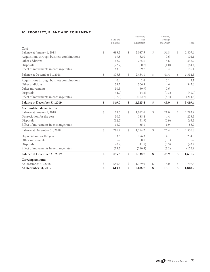# **10. PROPERTY, PLANT AND EQUIPMENT**

|                                            | Land and    |              | Machinery<br>and |               | Fixtures,<br>Fittings |               |
|--------------------------------------------|-------------|--------------|------------------|---------------|-----------------------|---------------|
|                                            | Buildings   |              | Equipment        |               | and Other             | Total         |
| Cost                                       |             |              |                  |               |                       |               |
| Balance at January 1, 2018                 | \$<br>683.3 | \$           | 2,087.5          | \$            | 36.8                  | \$<br>2,807.6 |
| Acquisitions through business combinations | 19.5        |              | 82.0             |               | 0.6                   | 102.1         |
| Other additions                            | 62.7        |              | 285.6            |               | 4.6                   | 352.9         |
| Disposals                                  | (22.7)      |              | (60.7)           |               | (1.0)                 | (84.4)        |
| Effect of movements in exchange rates      | 63.0        |              | 89.7             |               | 3.4                   | 156.1         |
| Balance at December 31, 2018               | \$<br>805.8 | \$           | 2,484.1          | \$            | 44.4                  | \$<br>3,334.3 |
| Acquisitions through business combinations | 0.4         |              | 2.6              |               | 0.1                   | 3.1           |
| Other additions                            | 34.2        |              | 306.8            |               | 4.6                   | 345.6         |
| Other movements                            | 50.3        |              | (50.9)           |               | 0.6                   |               |
| Disposals                                  | (4.2)       |              | (44.5)           |               | (0.3)                 | (49.0)        |
| Effect of movements in exchange rates      | (37.5)      |              | (172.7)          |               | (4.4)                 | (214.6)       |
| Balance at December 31, 2019               | \$<br>849.0 | \$           | 2,525.4          | \$            | 45.0                  | \$<br>3,419.4 |
| Accumulated depreciation                   |             |              |                  |               |                       |               |
| Balance at January 1, 2018                 | \$<br>179.3 | \$           | 1,092.6          | $\mathcal{S}$ | 21.0                  | \$<br>1,292.9 |
| Depreciation for the year                  | 30.5        |              | 188.4            |               | 4.4                   | 223.3         |
| Disposals                                  | (12.5)      |              | (51.9)           |               | (0.9)                 | (65.3)        |
| Effect of movements in exchange rates      | 18.9        |              | 65.1             |               | 1.9                   | 85.9          |
| Balance at December 31, 2018               | \$<br>216.2 | $\mathbb{S}$ | 1,294.2          | $\mathbb{S}$  | 26.4                  | \$<br>1,536.8 |
| Depreciation for the year                  | 33.6        |              | 196.3            |               | 4.1                   | 234.0         |
| Other movements                            |             |              | 0.1              |               | (0.1)                 |               |
| Disposals                                  | (0.9)       |              | (41.5)           |               | (0.3)                 | (42.7)        |
| Effect of movements in exchange rates      | (13.3)      |              | (110.4)          |               | (3.2)                 | (126.9)       |
| Balance at December 31, 2019               | \$<br>235.6 | \$           | 1,338.7          | \$            | 26.9                  | \$<br>1,601.2 |
| Carrying amounts                           |             |              |                  |               |                       |               |
| At December 31, 2018                       | \$<br>589.6 | \$           | 1,189.9          | \$            | 18.0                  | \$<br>1,797.5 |
| At December 31, 2019                       | \$<br>613.4 | \$           | 1,186.7          | \$            | 18.1                  | \$<br>1,818.2 |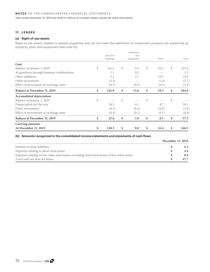# **11. LEASES**

### **(a) Right-of-use assets**

Right-of-use assets related to leased properties that do not meet the definition of investment property are presented as property, plant and equipment (see note 10).

|                                            |             | Machinery  |               |       |             |
|--------------------------------------------|-------------|------------|---------------|-------|-------------|
|                                            | Land and    | and        |               |       |             |
|                                            | Buildings   | Equipment  |               | Other | Total       |
| Cost                                       |             |            |               |       |             |
| Balance at January 1, 2019                 | \$<br>141.6 | \$<br>9.9  | $\mathcal{S}$ | 16.1  | \$<br>167.6 |
| Acquisitions through business combinations | 1.1         | 0.2        |               |       | 1.3         |
| Other additions                            | 5.2         | 3.7        |               | 10.1  | 19.0        |
| Other movements                            | (1.3)       |            |               | (1.4) | (2.7)       |
| Effect of movements in exchange rates      | (0.7)       | (0.2)      |               | (0.3) | (1.2)       |
| Balance at December 31, 2019               | \$<br>145.9 | \$<br>13.6 | \$            | 24.5  | \$<br>184.0 |
| Accumulated depreciation                   |             |            |               |       |             |
| Balance at January 1, 2019                 | \$          | \$         | \$            |       | \$          |
| Depreciation for the year                  | 26.3        | 4.1        |               | 8.7   | 39.1        |
| Other movements                            | (0.3)       | (0.2)      |               | (0.5) | (1.0)       |
| Effect of movements in exchange rates      | (0.4)       | (0.1)      |               | (0.1) | (0.6)       |
| Balance at December 31, 2019               | \$<br>25.6  | \$<br>3.8  | \$            | 8.1   | \$<br>37.5  |
| Carrying amounts                           |             |            |               |       |             |
| At December 31, 2019                       | \$<br>120.3 | \$<br>9.8  | \$            | 16.4  | \$<br>146.5 |

#### **(b) Amounts recognized in the consolidated income statements and statements of cash flows**

|                                                                                              | December 31, 2019 |      |
|----------------------------------------------------------------------------------------------|-------------------|------|
| Interest on lease liabilities                                                                |                   | 6.3  |
| Expenses relating to short-term leases                                                       |                   | 4.4  |
| Expenses relating to low-value asset leases, excluding short-term leases of low-value assets |                   | 0.4  |
| Total cash out-flow for leases                                                               |                   | 47.7 |

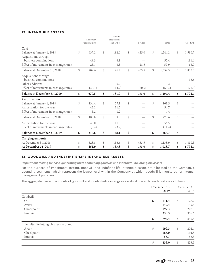# **12. INTANGIBLE ASSETS**

|                                       |               | Customer<br>Relationships | Patents,<br>Trademarks<br>and Other |              | <b>Brands</b> |               | Total   |              | Goodwill |
|---------------------------------------|---------------|---------------------------|-------------------------------------|--------------|---------------|---------------|---------|--------------|----------|
| Cost                                  |               |                           |                                     |              |               |               |         |              |          |
| Balance at January 1, 2018            | $\mathbb{S}$  | 637.2                     | \$<br>182.0                         | \$           | 425.0         | \$            | 1,244.2 | \$           | 1,580.7  |
| Acquisitions through                  |               |                           |                                     |              |               |               |         |              |          |
| business combinations                 |               | 49.3                      | 6.1                                 |              |               |               | 55.4    |              | 181.6    |
| Effect of movements in exchange rates |               | 23.1                      | 8.3                                 |              | 28.5          |               | 59.9    |              | 68.0     |
| Balance at December 31, 2018          | $\mathcal{S}$ | 709.6                     | \$<br>196.4                         | \$           | 453.5         | \$            | 1,359.5 | \$           | 1,830.3  |
| Acquisitions through                  |               |                           |                                     |              |               |               |         |              |          |
| business combinations                 |               |                           |                                     |              |               |               |         |              | 35.6     |
| Other additions                       |               |                           | 0.2                                 |              |               |               | 0.2     |              |          |
| Effect of movements in exchange rates |               | (30.1)                    | (14.7)                              |              | (20.5)        |               | (65.3)  |              | (71.5)   |
| Balance at December 31, 2019          | \$            | 679.5                     | \$<br>181.9                         | \$           | 433.0         | \$            | 1,294.4 | \$           | 1,794.4  |
| Amortization                          |               |                           |                                     |              |               |               |         |              |          |
| Balance at January 1, 2018            | $\mathbb{S}$  | 134.4                     | \$<br>27.1                          | $\mathbb{S}$ |               | $\mathcal{S}$ | 161.5   | \$           |          |
| Amortization for the year             |               | 43.2                      | 11.5                                |              |               |               | 54.7    |              |          |
| Effect of movements in exchange rates |               | 3.2                       | 1.2                                 |              |               |               | 4.4     |              |          |
| Balance at December 31, 2018          | $\mathbb{S}$  | 180.8                     | \$<br>39.8                          | $\mathbb{S}$ |               | $\mathcal{S}$ | 220.6   | $\mathbb{S}$ |          |
| Amortization for the year             |               | 45.0                      | 11.5                                |              |               |               | 56.5    |              |          |
| Effect of movements in exchange rates |               | (8.2)                     | (3.2)                               |              |               |               | (11.4)  |              |          |
| Balance at December 31, 2019          | \$            | 217.6                     | \$<br>48.1                          | \$           |               | \$            | 265.7   | \$           |          |
| Carrying amounts                      |               |                           |                                     |              |               |               |         |              |          |
| At December 31, 2018                  | \$            | 528.8                     | \$<br>156.6                         | \$           | 453.5         | \$            | 1,138.9 | \$           | 1,830.3  |
| At December 31, 2019                  | \$            | 461.9                     | \$<br>133.8                         | \$           | 433.0         | \$            | 1,028.7 | \$           | 1,794.4  |

# **13. GOODWILL AND INDEFINITE-LIFE INTANGIBLE ASSETS**

*Impairment testing for cash-generating units containing goodwill and indefinite-life intangible assets*

For the purpose of impairment testing, goodwill and indefinite-life intangible assets are allocated to the Company's operating segments, which represent the lowest level within the Company at which goodwill is monitored for internal management purposes.

The aggregate carrying amounts of goodwill and indefinite-life intangible assets allocated to each unit are as follows:

|                                            | December 31, | 2019    |               | December 31,<br>2018 |
|--------------------------------------------|--------------|---------|---------------|----------------------|
| Goodwill                                   |              |         |               |                      |
| <b>CCL</b>                                 | \$           | 1,111.4 | $\mathcal{S}$ | 1,127.9              |
| Avery                                      |              | 147.4   |               | 139.5                |
| Checkpoint                                 |              | 197.3   |               | 207.3                |
| Innovia                                    |              | 338.3   |               | 355.6                |
|                                            | \$           | 1,794.4 | $\mathcal{S}$ | 1,830.3              |
| Indefinite-life intangible assets - brands |              |         |               |                      |
| Avery                                      | \$           | 192.3   | \$            | 202.4                |
| Checkpoint                                 |              | 185.0   |               | 194.8                |
| Innovia                                    |              | 55.7    |               | 56.3                 |
|                                            | \$           | 433.0   | \$            | 453.5                |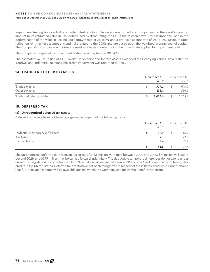Impairment testing for goodwill and indefinite-life intangible assets was done by a comparison of the asset's carrying amount to its estimated value in use, determined by discounting the CGUs future cash flows. Key assumptions used in the determination of the value in use include a growth rate of 2% to 7% and a pre-tax discount rate of 7% to 12%. Discount rates reflect current market assumptions and risks related to the CGUs and are based upon the weighted average cost of capital. The Company's historical growth rates are used as a basis in determining the growth rate applied for impairment testing.

The Company completed its impairment testing as at September 30, 2019.

The estimated values in use of CCL, Avery, Checkpoint and Innovia assets exceeded their carrying values. As a result, no goodwill and indefinite-life intangible assets impairment was recorded during 2019.

## **14. TRADE AND OTHER PAYABLES**

|                          | December 31, |    | December 31, |
|--------------------------|--------------|----|--------------|
|                          | 2019         |    | 2018         |
| Trade payables           | 577.2        | S. | 673.0        |
| Other payables           | 458.4        |    | 550.4        |
| Trade and other payables | 1,035.6      | S. | 1,223.4      |

## **15. DEFERRED TAX**

### **(a) Unrecognized deferred tax assets**

Deferred tax assets have not been recognized in respect of the following items:

|                                  | December 31,<br>2019 |              | December 31,<br>2018 |
|----------------------------------|----------------------|--------------|----------------------|
| Deductible temporary differences | 17.9                 | <sup>S</sup> | 16.9                 |
| Tax losses                       | 59.3                 |              | 72.9                 |
| Income tax credits               | 7.4                  |              | 7.7                  |
|                                  | 84.6                 |              | 97.5                 |

The unrecognized deferred tax assets on tax losses of \$14.5 million will expire between 2020 and 2029, \$7.1 million will expire beyond 2029, and \$37.7 million may be carried forward indefinitely. The deductible temporary differences do not expire under current tax legislation. Income tax credits of \$7.4 million will expire between 2020 and 2027 and relate mainly to foreign tax credits in the United States. Deferred tax assets have not been recognized in respect of these items because it is not probable that future taxable income will be available against which the Company can utilize the benefits therefrom.

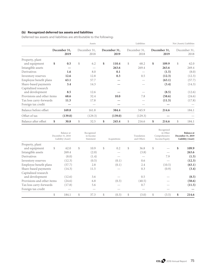# **(b) Recognized deferred tax assets and liabilities**

Deferred tax assets and liabilities are attributable to the following:

|                                         |                      | Assets               | Liabilities |                      |    |                      |    | Net (Assets) Liabilities |    |                      |  |  |
|-----------------------------------------|----------------------|----------------------|-------------|----------------------|----|----------------------|----|--------------------------|----|----------------------|--|--|
|                                         | December 31,<br>2019 | December 31,<br>2018 |             | December 31,<br>2019 |    | December 31,<br>2018 |    | December 31,<br>2019     |    | December 31,<br>2018 |  |  |
| Property, plant<br>and equipment        | \$<br>0.5            | \$<br>6.2            | \$          | 110.4                | \$ | 68.2                 | \$ | 109.9                    | \$ | 62.0                 |  |  |
| Intangible assets                       |                      |                      |             | 263.6                |    | 269.4                |    | 263.6                    |    | 269.4                |  |  |
| Derivatives                             | 1.6                  | 8.0                  |             | 0.1                  |    |                      |    | (1.5)                    |    | (8.0)                |  |  |
| Inventory reserves                      | 12.6                 | 12.8                 |             | 0.3                  |    | 0.5                  |    | (12.3)                   |    | (12.3)               |  |  |
| Employee benefit plans                  | 63.1                 | 57.7                 |             |                      |    |                      |    | (63.1)                   |    | (57.7)               |  |  |
| Share-based payments                    | 3.4                  | 14.3                 |             |                      |    |                      |    | (3.4)                    |    | (14.3)               |  |  |
| Capitalized research<br>and development | 8.5                  | 12.6                 |             |                      |    |                      |    | (8.5)                    |    | (12.6)               |  |  |
| Provisions and other items              | 68.6                 | 32.4                 |             | 10.0                 |    | 7.8                  |    | (58.6)                   |    | (24.6)               |  |  |
| Tax loss carry-forwards                 | 11.5                 | 17.8                 |             |                      |    |                      |    | (11.5)                   |    | (17.8)               |  |  |
| Foreign tax credit                      |                      |                      |             |                      |    |                      |    |                          |    |                      |  |  |
| Balance before offset                   | 169.8                | 161.8                |             | 384.4                |    | 345.9                |    | 214.6                    |    | 184.1                |  |  |
| Offset of tax                           | (139.0)              | (129.3)              |             | (139.0)              |    | (129.3)              |    |                          |    |                      |  |  |
| Balance after offset                    | \$<br>30.8           | \$<br>32.5           | \$          | 245.4                | \$ | 216.6                | \$ | 214.6                    | \$ | 184.1                |  |  |

|                                         | Balance at<br>December 31, 2018<br>Liability (Asset) | Recognized<br>in Income<br>Statement | Acquisitions | Translation<br>and Others | Recognized<br>in Other<br>Comprehensive<br>Income/Equity | <b>Balance at</b><br>December 31, 2019<br>Liability (Asset) |
|-----------------------------------------|------------------------------------------------------|--------------------------------------|--------------|---------------------------|----------------------------------------------------------|-------------------------------------------------------------|
| Property, plant                         |                                                      | \$                                   | \$           |                           |                                                          |                                                             |
| and equipment<br>Intangible assets      | \$<br>62.0<br>269.4                                  | 10.9<br>(2.0)                        | 0.2          | \$<br>36.8<br>(3.8)       | \$                                                       | \$<br>109.9<br>263.6                                        |
| Derivatives                             | (8.0)                                                | (1.4)                                |              |                           | 7.9                                                      | (1.5)                                                       |
| Inventory reserves                      | (12.3)                                               | (0.5)                                | (0.1)        | 0.6                       |                                                          | (12.3)                                                      |
| Employee benefit plans                  | (57.7)                                               | 2.8                                  | (0.1)        | 2.4                       | (10.5)                                                   | (63.1)                                                      |
| Share-based payments                    | (14.3)                                               | 11.5                                 |              | 0.3                       | (0.9)                                                    | (3.4)                                                       |
| Capitalized research<br>and development | (12.6)                                               | 3.6                                  |              | 0.5                       |                                                          | (8.5)                                                       |
| Provisions and other items              | (24.6)                                               | 6.8                                  | (0.3)        | (40.5)                    |                                                          | (58.6)                                                      |
| Tax loss carry-forwards                 | (17.8)                                               | 5.6                                  |              | 0.7                       |                                                          | (11.5)                                                      |
| Foreign tax credit                      |                                                      |                                      |              |                           |                                                          |                                                             |
|                                         | \$<br>184.1                                          | \$<br>37.3                           | \$<br>(0.3)  | \$<br>(3.0)               | \$<br>(3.5)                                              | \$<br>214.6                                                 |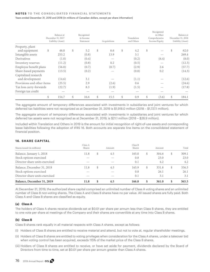#### **NOTES TO THE CONSOLIDATED FINANCIAL STATEMENTS**

Years ended December 31, 2019 and 2018 (In millions of Canadian dollars, except per share information)

|                                  | Balance at<br>December 31, 2017 | Recognized<br>in Income |              | Translation | Recognized<br>in Other<br>Comprehensive | Balance at<br>December 31, 2018 |
|----------------------------------|---------------------------------|-------------------------|--------------|-------------|-----------------------------------------|---------------------------------|
|                                  | Liability (Asset)               | Statement               | Acquisitions | and Others  | Income/Equity                           | Liability (Asset)               |
| Property, plant<br>and equipment | \$<br>46.0                      | \$<br>5.2               | \$<br>6.6    | \$<br>4.2   | \$                                      | \$<br>62.0                      |
| Intangible assets                | 253.2                           | (0.8)                   | 13.9         | 3.1         |                                         | 269.4                           |
| Derivatives                      | (1.0)                           | (0.4)                   |              | (0.2)       | (6.4)                                   | (8.0)                           |
| Inventory reserves               | (11.2)                          | (0.8)                   | 0.2          | (0.5)       |                                         | (12.3)                          |
| Employee benefit plans           | (56.0)                          | (0.7)                   | (0.7)        | (2.9)       | 2.6                                     | (57.7)                          |
| Share-based payments             | (13.5)                          | (0.2)                   |              | (0.8)       | 0.2                                     | (14.3)                          |
| Capitalized research             |                                 |                         |              |             |                                         |                                 |
| and development                  | (14.6)                          | 3.1                     |              | (1.1)       |                                         | (12.6)                          |
| Provisions and other items       | (25.5)                          | 2.9                     | (2.6)        | 0.6         |                                         | (24.6)                          |
| Tax loss carry-forwards          | (22.7)                          | 8.3                     | (1.9)        | (1.5)       |                                         | (17.8)                          |
| Foreign tax credit               |                                 |                         |              |             |                                         |                                 |
|                                  | \$<br>154.7                     | \$<br>16.6              | \$<br>15.5   | \$<br>0.9   | \$<br>(3.6)                             | \$<br>184.1                     |

The aggregate amount of temporary differences associated with investments in subsidiaries and joint ventures for which deferred tax liabilities were not recognized as at December 31, 2019 is \$1,918.0 million (2018 – \$1,727.1 million).

The aggregate amount of temporary differences associated with investments in subsidiaries and joint ventures for which deferred tax assets were not recognized as at December 31, 2019, is \$21.1 million (2018 – \$26.9 million).

Included within Translation and Others in 2019 is the amount for initial recognition of right-of-use assets and corresponding lease liabilities following the adoption of IFRS 16. Both accounts are separate line items on the consolidated statement of financial position.

## **16. SHARE CAPITAL**

| Balance, December 31, 2019     | 11.8              | S  | 4.5    | 166.8             | S  | 361.0  |   | 365.5 |
|--------------------------------|-------------------|----|--------|-------------------|----|--------|---|-------|
| Director share units exercised |                   |    |        | 0.1               |    | 3.1    |   | 3.1   |
| Stock options exercised        |                   |    |        | 0.8               |    | 26.1   |   | 26.1  |
| Balance, December 31, 2018     | 11.8              | S. | 4.5    | 165.9             | \$ | 331.8  | S | 336.3 |
| Director share units exercised |                   |    |        | 0.1               |    | 4.2    |   | 4.2   |
| Stock options exercised        |                   |    |        | 0.8               |    | 23.0   |   | 23.0  |
| Balance, January 1, 2018       | 11.8              | S  | 4.5    | 165.0             | S  | 304.6  |   | 309.1 |
| Shares issued (in millions)    | Class A<br>Shares |    | Amount | Class B<br>Shares |    | Amount |   | Total |

At December 31, 2019, the authorized share capital comprised an unlimited number of Class A voting shares and an unlimited number of Class B non-voting shares. The Class A and Class B shares have no par value. All issued shares are fully paid. Both Class A and Class B shares are classified as equity.

### **(a) Class A**

The holders of Class A shares receive dividends set at \$0.01 per share per annum less than Class B shares, they are entitled to one vote per share at meetings of the Company and their shares are convertible at any time into Class B shares.

#### **(b) Class B**

Class B shares rank equally in all material respects with Class A shares, except as follows:

- (i) Holders of Class B shares are entitled to receive material and attend, but not to vote at, regular shareholder meetings.
- (ii) Holders of Class B shares are entitled to voting privileges when consideration for the Class A shares, under a takeover bid when voting control has been acquired, exceeds 115% of the market price of the Class B shares.
- (iii) Holders of Class B shares are entitled to receive, or have set aside for payment, dividends declared by the Board of Directors from time to time, set at \$0.01 per share per annum greater than Class A shares.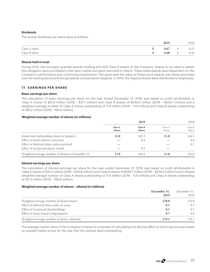### **Dividends**

The annual dividends per share were as follows:

|               | 2019 |    | 2018 |
|---------------|------|----|------|
| Class A share | 0.67 | S  | 0.51 |
| Class B share | 0.68 | S. | 0.52 |

### **Shares held in trust**

During 2016, the Company granted awards totalling 622,500 Class B shares of the Company. Shares to be used to satisfy this obligation were purchased in the open market and were restricted in nature. These share awards were dependent on the Company's performance and continuing employment. The grant date fair value of these stock awards was being amortized over the vesting period and recognized as compensation expense. In 2019, the majority shares were distributed to employees.

### **17. EARNINGS PER SHARE**

### **Basic earnings per share**

The calculation of basic earnings per share for the year ended December 31, 2019, was based on profit attributable to Class A shares of \$31.6 million (2018 – \$31.1 million) and Class B shares of \$445.5 million (2018 – \$435.7 million) and a weighted average number of Class A shares outstanding of 11.8 million (2018 – 11.8 million) and Class B shares outstanding of 166.2 million (2018 – 165.0 million).

### **Weighted average number of shares (in millions)**

|                                                  |                          | 2019                     |                   |                   |
|--------------------------------------------------|--------------------------|--------------------------|-------------------|-------------------|
|                                                  | Class A<br><b>Shares</b> | Class B<br><b>Shares</b> | Class A<br>Shares | Class B<br>Shares |
| Issued and outstanding shares at January 1       | 11.8                     | 165.3                    | 11.8              | 164.3             |
| Effect of stock options exercised                |                          | 0.4                      |                   | 0.6               |
| Effect of deferred share units exercised         |                          |                          |                   | 0.1               |
| Effect of reciprocal shares vested               |                          | 0.5                      |                   |                   |
| Weighted average number of shares at December 31 | 11.8                     | 166.2                    | 11.8              | 165.0             |

### **Diluted earnings per share**

The calculation of diluted earnings per share for the year ended December 31, 2019, was based on profit attributable to Class A shares of \$31.4 million (2018 – \$30.8 million) and Class B shares of \$445.7 million (2018 – \$436.0 million) and a diluted weighted average number of Class A shares outstanding of 11.8 million (2018 – 11.8 million) and Class B shares outstanding of 167.3 million (2018 – 166.9 million).

### **Weighted average number of shares – diluted (in millions)**

|                                             | December 31, | December 31, |
|---------------------------------------------|--------------|--------------|
|                                             | 2019         | 2018         |
| Weighted average number of shares (basic)   | 178.0        | 176.8        |
| Effect of deferred share units on issue     | 0.3          | 0.3          |
| Effect of reciprocal shareholdings          | 0.1          | 0.7          |
| Effect of share-based compensation          | 0.7          | 0.9          |
| Weighted average number of shares (diluted) | 179.1        | 178.7        |

The average market value of the Company's shares for purposes of calculating the dilutive effect of share options was based on quoted market prices for the year that the options were outstanding.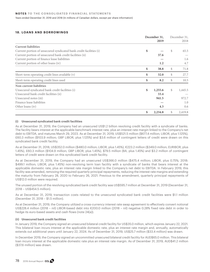### **18. LOANS AND BORROWINGS**

|                                                                    | December 31,  |    | December 31, |
|--------------------------------------------------------------------|---------------|----|--------------|
|                                                                    | 2019          |    | 2018         |
| <b>Current liabilities</b>                                         |               |    |              |
| Current portion of unsecured syndicated bank credit facilities (i) | \$            | \$ | 65.5         |
| Current portion of unsecured bank credit facilities (ii)           | 37.6          |    |              |
| Current portion of finance lease liabilities                       |               |    | 1.6          |
| Current portion of other loans (iv)                                | 1.2           |    | 4.7          |
|                                                                    | \$<br>38.8    | \$ | 71.8         |
| Short-term operating credit lines available (v)                    | \$<br>32.0    | \$ | 27.7         |
| Short-term operating credit lines used                             | \$<br>8.2     | \$ | 10.5         |
| Non-current liabilities                                            |               |    |              |
| Unsecured syndicated bank credit facilities (i)                    | \$<br>1,255.6 | \$ | 1,445.5      |
| Unsecured bank credit facilities (ii)                              | 33.4          |    |              |
| Unsecured notes (iii)                                              | 941.5         |    | 972.7        |
| Finance lease liabilities                                          |               |    | 1.0          |
| Other loans (iv)                                                   | 4.3           |    | 0.6          |
|                                                                    | \$<br>2,234.8 | \$ | 2,419.8      |

#### **(i) Unsecured syndicated bank credit facilities**

As at December 31, 2019, the Company had an unsecured US\$1.2 billion revolving credit facility with a syndicate of banks. The facility bears interest at the applicable benchmark interest rate, plus an interest rate margin linked to the Company's net debt to EBITDA, and matures March 29, 2023. As at December 31, 2019, US\$521.5 million (\$677.4 million; LIBOR, plus 1.125%), £60.3 million (\$103.9 million; GBP LIBOR, plus 1.125%) and \$3.6 million of contingent letters of credit were drawn on this syndicated bank credit facility.

As at December 31, 2018, US\$352.0 million (\$480.0 million; LIBOR, plus 1.45%), €223.2 million (\$349.0 million; EURIBOR, plus 1.45%), £60.3 million (\$104.9 million; GBP LIBOR, plus 1.45%), \$79.5 million (BA, plus 1.45%) and \$3.2 million of contingent letters of credit were drawn on this syndicated bank credit facility.

As at December 31, 2019, the Company had an unsecured US\$366.0 million (\$475.4 million; LIBOR, plus 0.75%; 2018: \$499.1 million; LIBOR, plus 1.45%) non-revolving term loan facility with a syndicate of banks that bears interest at the applicable domestic rate, plus an interest rate margin linked to the Company's net debt to EBITDA. In February 2019, this facility was amended, removing the required quarterly principal repayments, reducing the interest rate margins and extending the maturity from February 28, 2020 to February 26, 2021. Previous to the amendment, quarterly principal repayments of US\$12.0 million were required.

The unused portion of the revolving syndicated bank credit facility was US\$595.7 million at December 31, 2019 (December 31, 2018 – US\$454.5 million).

As at December 31, 2019, transaction costs related to the unsecured syndicated bank credit facilities were \$1.1 million (December 31, 2018 – \$1.5 million).

As at December 31, 2019, the Company utilized a cross-currency interest rate swap agreement to effectively convert notional US\$228.4 million (2018 – nil) LIBOR-based debt into €200.0 million (2018 – nil) negative 0.28% fixed rate debt in order to hedge its euro-based assets and cash flows (note 24(a)).

### **(ii) Unsecured bank credit facilities**

In January 2019, the Company signed an unsecured bilateral credit facility for US\$35.0 million, which expires January 22, 2021. This bilateral loan incurs interest at the applicable domestic rate, plus an interest rate margin and, annually, automatically extends out additional years until January 22, 2024. As of December 31, 2019, US\$25.7 million (\$33.4 million) was drawn.

In December 2019, the Company signed an uncommitted unsecured bilateral credit facility for AUD\$65.0 million. This bilateral loan incurs interest at the applicable domestic rate plus an interest rate margin. As of December 31, 2019, AUD\$41.2 million (\$37.6 million) was drawn.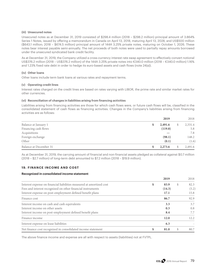#### **(iii) Unsecured notes**

Unsecured notes as at December 31, 2019 consisted of \$298.4 million (2018 – \$298.2 million) principal amount of 3.864% Series 1 Notes, issued by offering a memorandum in Canada on April 13, 2018, maturing April 13, 2028, and US\$500 million (\$643.1 million; 2018 – \$674.5 million) principal amount of 144A 3.25% private notes, maturing on October 1, 2026. These notes bear interest payable semi-annually. The net proceeds of both notes were used to partially repay amounts borrowed under the unsecured syndicated bank credit facility.

As at December 31, 2019, the Company utilized a cross-currency interest rate swap agreement to effectively convert notional US\$376.2 million (2018 – US\$376.2 million) of the 144A 3.25% private notes into €340.0 million (2018 – €340.0 million) 1.16% and 1.23% fixed rate debt in order to hedge its euro-based assets and cash flows (note 24(a)).

### **(iv) Other loans**

Other loans include term bank loans at various rates and repayment terms.

### **(v) Operating credit lines**

Interest rates charged on the credit lines are based on rates varying with LIBOR, the prime rate and similar market rates for other currencies.

### **(vi) Reconciliation of changes in liabilities arising from financing activities**

Liabilities arising from financing activities are those for which cash flows were, or future cash flows will be, classified in the consolidated statement of cash flows as financing activities. Changes in the Company's liabilities arising from financing activities are as follows:

|                        |    | 2019    | 2018    |
|------------------------|----|---------|---------|
| Balance at January 1   | \$ | 2,491.6 | 2,331.4 |
| Financing cash flows   |    | (119.8) | 5.8     |
| Acquisitions           |    |         | 7.8     |
| Foreign exchange       |    | (98.1)  | 148.2   |
| Other                  |    | (0.1)   | (1.6)   |
| Balance at December 31 | S  | 2,273.6 | 2,491.6 |

As at December 31, 2019, the carrying amount of financial and non-financial assets pledged as collateral against \$0.7 million (2018 – \$2.7 million) of long-term debt amounted to \$7.2 million (2018 – \$19.9 million).

## **19. FINANCE INCOME AND COST**

### **Recognized in consolidated income statement**

|                                                                      |   | 2019   |   | 2018  |
|----------------------------------------------------------------------|---|--------|---|-------|
| Interest expense on financial liabilities measured at amortized cost | S | 83.9   | S | 82.3  |
| Fees and interest recognized on other financial instruments          |   | (14.3) |   | (5.2) |
| Interest expense on post-employment defined benefit plans            |   | 17.1   |   | 15.8  |
| Finance cost                                                         |   | 86.7   |   | 92.9  |
| Interest income on cash and cash equivalents                         |   | 3.3    |   | 3.7   |
| Interest income on other assets                                      |   | 0.3    |   | 0.8   |
| Interest income on post-employment defined benefit plans             |   | 8.4    |   | 7.7   |
| Finance income                                                       |   | 12.0   |   | 12.2  |
| Interest expense on lease liabilities                                |   | 6.3    |   |       |
| Net finance cost recognized in consolidated income statement         | S | 81.0   |   | 80.7  |

The above finance income and expense are all with respect to assets (liabilities) not at FVTPL.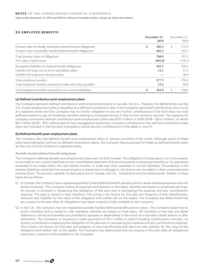# **20. EMPLOYEE BENEFITS**

|                                                                                                                                                      | December 31,<br>2019 |                  |   | December 31,<br>2018  |
|------------------------------------------------------------------------------------------------------------------------------------------------------|----------------------|------------------|---|-----------------------|
| Present value of wholly-unfunded defined benefit obligations<br>Present value of partially-funded defined benefit obligations                        | \$                   | 285.5<br>482.5   | S | 274.9<br>432.3        |
| Total present value of obligations<br>Fair value of plan assets                                                                                      |                      | 768.0<br>(402.8) |   | 707.2<br>(378.7)      |
| Recognized liability for defined benefit obligations<br>Liability for long-service leave and jubilee plans<br>Liability for long-term incentive plan |                      | 365.2<br>12.1    |   | 328.5<br>13.4<br>28.9 |
| Total employee benefits<br>Total employee benefits reported in trade and other payables                                                              |                      | 377.3<br>12.4    |   | 370.8<br>50.8         |
| Total employee benefits reported in non-current liabilities                                                                                          | \$                   | 364.9            |   | 320.0                 |

### **(a) Defined contribution post-employment plans**

The Company sponsors defined contribution post-employment plans in Canada, the U.S., Thailand, the Netherlands and the U.K. A post-employment plan is classified as a defined contribution plan if the Company pays fixed contributions into a fund at a separate entity and the Company has no further obligation to pay any further contributions if the fund does not hold sufficient assets to pay all employee benefits relating to employee service in the current and prior periods. The expense for company-sponsored defined contribution post-employment plans was \$30.7 million in 2019 (2018 – \$24.5 million), of which \$0.1 million (2018 – \$0.1 million) was for key management personnel. Company contributions into defined contribution state plans are included in the line item Compulsory social security contributions in the table in note 21.

### **(b) Defined benefit post-employment plans**

The Company also has defined benefit post-employment plans in various countries of the world. Although some of these plans have elements common to defined contribution plans, the Company has accounted for these as defined benefit plans as they are not fully funded at a separate entity.

### *Partially-funded defined benefit obligations*

The Company's defined benefit post-employment plans are not fully funded. The obligation of these plans, net of any assets, is recorded in non-current liabilities on the consolidated statement of financial position in employee benefits or, for payments expected to be made within the next twelve months, in trade and other payables in current liabilities. Fluctuations in the pension liabilities resulting from actuarial gains or losses due to changes in risk factors are recorded in other comprehensive income (loss). The primary partially funded plans are in Canada, the U.K., Switzerland and the Netherlands. Details of these plans are as follows:

- (i) In Canada, the Company has a registered partially funded defined benefit pension plan for seven retired executives and one active employee. The Company makes all required contributions to the plans. Benefits are based on employee earnings. An actuary is involved in measuring the obligation of the plan and in calculating the expense and any contributions required. The plan is closed to new members. The primary risk factors for this plan are longevity of plan beneficiaries, discount rate volatility for the value of the obligation and market risk on the assets. The Company has determined that any surplus in the plan after all obligations have been covered is fully available to the Company.
- (ii) In the U.K., the Company has two registered partially-funded defined benefit pension plans. The Company's plan has no active members and is closed to new members. Benefits are based on final salary. All members of the plan are either deferred or retired and benefits are provided to spouses or dependents in the event of a member's death before or after retirement. The Company is required to make payments of £0.7 million in deficit funding contributions annually. An actuary is involved in measuring the obligation of the plan and in calculating the expense and any contributions required. The primary risk factors for this plan are longevity of plan beneficiaries and discount rate volatility for the value of the obligation and market risk on the assets. The Company has determined that any surplus in the plan after all obligations have been covered is fully available to the Company.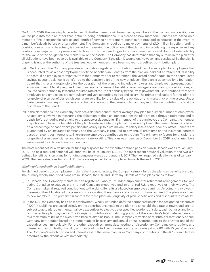On April 6, 2019, the Innovia plan was frozen. No further benefits will be earned by members in the plan and no contributions will be paid into the plan other than deficit funding contributions. It is closed to new members. Benefits are based on a member's final pensionable salaries and length of service at retirement. Benefits are provided to spouses in the event of a member's death before or after retirement. The Company is required to make payments of £1.0 million in deficit funding contributions annually. An actuary is involved in measuring the obligation of the plan and in calculating the expense and any contributions required. The primary risk factors for this plan are longevity of plan beneficiaries and discount rate volatility for the value of the obligation and market risk on the assets. The Company has determined that any surplus in the plan after all obligations have been covered is available to the Company if the plan is wound up. However, any surplus while the plan is ongoing is under the authority of the trustees. Active members have been moved to a defined contribution plan.

- (iii) In Switzerland, the Company provides a mandatory legislated contribution-based cash balance plan for employees that is accounted for as a post-employment defined benefit plan. Benefits from the plan are paid out at retirement, disability or death. If an employee terminates from the Company prior to retirement, the vested benefit equal to the accumulated savings account balance is transferred to the pension plan of the new employer. The plan is governed by a foundation board that is legally responsible for the operation of the plan and includes employer and employee representation, in equal numbers. A legally required minimum level of retirement benefit is based on age-related savings contributions, an insured salary defined by law and a required rate of return set annually by the Swiss government. Contributions from both employers and employees are compulsory and vary according to age and salary. The primary risk factors for this plan are longevity of plan beneficiaries, discount rate volatility for the value of the obligation and market risk on the assets. Under Swiss pension law, any surplus assets technically belong to the pension plan and any reduction in contributions is at the discretion of the Board.
- (iv) In the Netherlands, the Company provides a defined benefit career average pay plan for a small number of employees. An actuary is involved in measuring the obligation of the plan. Benefits from the plan are paid through retirement and at death, before or during retirement, to the spouse or dependents. If a member of the plan leaves the Company, the member may choose to have the benefits of the plan transferred into the plan of the new employer. The benefit formula is based on a percentage of each year's pensionable salary up to a set maximum salary less a social security offset. Benefits are guaranteed by an insurance company and the Company is required to pay annual premiums on the insurance contract based on a contract interest rate. There are no employee contributions to the plan. The primary risk factors for this plan are longevity of plan beneficiaries and discount rate volatility. This plan was frozen as of December 31, 2018, and all members were moved to a defined contribution plan.

The most recent actuarial valuation for funding purposes for the executive defined pension plan in Canada was as of January 1, 2018. The next required actuarial valuation will be as of January 1, 2021. The most recent actuarial valuation of the two U.K. defined benefit pension plans for funding purposes were as of January 1, 2017. The next required valuation is as of January 1, 2020. The new valuations for both U.K. plans are expected to be completed towards the end of 2020.

#### *Wholly-unfunded defined benefit obligations*

For defined benefit post-employment plans that have no assets, the Company simply funds the plans as benefits are paid. The primary wholly-unfunded plans are in Canada, the U.S. and Germany. Details of these plans are as follows:

- (i) In Canada, the Company maintains non-registered, wholly-unfunded supplemental retirement arrangements for one active Canadian executive, eight retired Canadian executives and two retired U.S. executives or their widows. The Company makes all required contributions to the plans. Benefits are based on employee earnings. An actuary is involved in measuring the obligation of the plans and in calculating the expense and any contributions required. The plans are closed to new members. The primary risk factors for these plans are longevity of plan beneficiaries and discount rate volatility.
- (ii) In the U.S., the Company has a post-employment, wholly-unfunded deferred compensation plan for designated executives ("NQP"). Liabilities are based strictly on the contributions made to the plan and an established rate of return and are not subject to actuarial adjustments. It allows executives to elect to defer specified portions of salary, cash bonuses and longterm incentive plan payments. The Company contributes a matching portion of the executive's NQP deferred amount to a maximum of 8% of the executive's base salary plus bonus. The Company may also contribute a discretionary annual Company contribution based on a percentage of base salary and annual bonus. Contributions to the NQP for one of the executives vest immediately. For the other executives, immediate vesting of discretionary Company contributions and interest occurs on death, disability or change of control, with normal vesting occurring at age 60 with 10 years' service. The Company's match portion and interest vest in the same manner as Company contributions in the 401k plan. Elective deferrals by the executive vest immediately.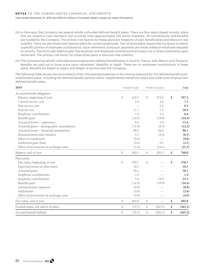- (iii) In Germany, the Company has several wholly-unfunded defined benefit plans. There are four salary-based annuity plans that are closed to new members, but currently have approximately 130 active members. All contributions and benefits are funded by the Company. The primary risk factors for these plans are longevity of plan beneficiaries and discount rate volatility. There are also three cash balance plans for current employees. Two of those plans require the Company to match a specific portion of employee contributions. Upon retirement, lump sum payments are made unless an employee requests an annuity. The third cash balance plan has employer and employee contributions and pays out in three instalments upon retirement. The primary risk factor for these three plans is discount rate volatility.
- (iv) The Company has wholly-unfunded post-employment defined benefit plans in Austria, France, Italy, Mexico and Thailand. Benefits are paid out in lump sums upon retirement, disability or death. There are no employee contributions in these plans. Benefits are based on salary and length of service with the Company.

The following table shows the reconciliation from the opening balances to the closing balances for the defined benefit postemployment plans, including the defined benefit pension plans, supplemental retirement plans and other post-employment defined benefit plans.

| 2019                                      |    | Partially Funded |                                              | Wholly Unfunded |    | Total   |
|-------------------------------------------|----|------------------|----------------------------------------------|-----------------|----|---------|
| Accrued benefit obligation:               |    |                  |                                              |                 |    |         |
| Balance, beginning of year                | \$ | 432.3            | \$                                           | 274.9           | \$ | 707.2   |
| Current service cost                      |    | 2.9              |                                              | 4.4             |    | 7.3     |
| Past service cost                         |    |                  |                                              | 0.2             |    | 0.2     |
| Interest cost                             |    | 11.7             |                                              | 7.2             |    | 18.9    |
| Employee contributions                    |    | 1.4              |                                              | 5.2             |    | 6.6     |
| Benefits paid                             |    | (14.5)           |                                              | (19.9)          |    | (34.4)  |
| Actuarial losses - experience             |    | 8.6              |                                              | 3.0             |    | 11.6    |
| Actuarial gains - demographic assumptions |    | (11.9)           |                                              | (0.3)           |    | (12.2)  |
| Actuarial losses - financial assumptions  |    | 69.5             |                                              | 26.6            |    | 96.1    |
| Reinstatements and transfers              |    | 0.1              |                                              | (0.2)           |    | (0.1)   |
| Effect of curtailment                     |    | (9.6)            |                                              |                 |    | (9.6)   |
| Settlement gain (loss)                    |    | (2.6)            |                                              | 0.5             |    | (2.1)   |
| Effect of movements in exchange rates     |    | (5.4)            |                                              | (16.1)          |    | (21.5)  |
| Balance, end of year                      | \$ | 482.5            | \$                                           | 285.5           | \$ | 768.0   |
| Plan assets:                              |    |                  |                                              |                 |    |         |
| Fair value, beginning of year             | \$ | 378.7            | \$                                           |                 | \$ | 378.7   |
| Expected return on plan assets            |    | 10.1             |                                              |                 |    | 10.1    |
| Actuarial gains                           |    | 30.1             |                                              |                 |    | 30.1    |
| Employee contributions                    |    | 1.4              |                                              |                 |    | 1.4     |
| <b>Employer contributions</b>             |    | 5.4              |                                              | 19.9            |    | 25.3    |
| Benefits paid                             |    | (14.5)           |                                              | (19.9)          |    | (34.4)  |
| Administrative expenses                   |    | (0.9)            |                                              |                 |    | (0.9)   |
| Settlements                               |    | (2.6)            |                                              |                 |    | (2.6)   |
| Effect of movements in exchange rates     |    | (4.9)            |                                              |                 |    | (4.9)   |
| Fair value, end of year                   | \$ | 402.8            | \$                                           |                 | \$ | 402.8   |
| Funded status, net deficit of plans       | \$ | (79.7)           | $\, \, \raisebox{12pt}{$\scriptstyle\circ$}$ | (285.5)         | \$ | (365.2) |
| Accrued benefit liability                 | \$ | (79.7)           | $\, \, \raisebox{12pt}{$\scriptstyle\circ$}$ | (285.5)         | \$ | (365.2) |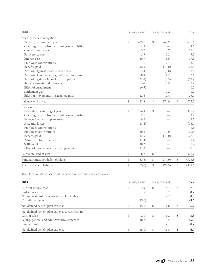| 2018<br>Partially Funded                       |    | Wholly Unfunded |               |                          | Total |         |
|------------------------------------------------|----|-----------------|---------------|--------------------------|-------|---------|
| Accrued benefit obligation:                    |    |                 |               |                          |       |         |
| Balance, beginning of year                     | \$ | 435.7           | $\mathcal{S}$ | 260.9                    | \$    | 696.6   |
| Opening balance from current year acquisitions |    | 4.5             |               |                          |       | 4.5     |
| Current service cost                           |    | 5.7             |               | 4.7                      |       | 10.4    |
| Past service cost                              |    | 3.3             |               | 0.2                      |       | 3.5     |
| Interest cost                                  |    | 10.7            |               | 6.6                      |       | 17.3    |
| Employee contributions                         |    | 1.1             |               | 2.4                      |       | 3.5     |
| Benefits paid                                  |    | (12.5)          |               | (10.0)                   |       | (22.5)  |
| Actuarial (gains) losses - experience          |    | 2.4             |               | (0.8)                    |       | 1.6     |
| Actuarial losses - demographic assumptions     |    | 0.9             |               | 1.7                      |       | 2.6     |
| Actuarial gains - financial assumptions        |    | (31.6)          |               | (4.3)                    |       | (35.9)  |
| Reinstatements and transfers                   |    |                 |               | 0.9                      |       | 0.9     |
| Effect of curtailment                          |    | (0.5)           |               |                          |       | (0.5)   |
| Settlement gain                                |    |                 |               | 0.2                      |       | 0.2     |
| Effect of movements in exchange rates          |    | 12.6            |               | 12.4                     |       | 25.0    |
| Balance, end of year                           | \$ | 432.3           | \$            | 274.9                    | \$    | 707.2   |
| Plan assets:                                   |    |                 |               |                          |       |         |
| Fair value, beginning of year                  | \$ | 376.9           | \$            |                          | \$    | 376.9   |
| Opening balance from current year acquisitions |    | 2.7             |               |                          |       | 2.7     |
| Expected return on plan assets                 |    | 9.2             |               |                          |       | 9.2     |
| Actuarial losses                               |    | (18.4)          |               |                          |       | (18.4)  |
| Employee contributions                         |    | 1.1             |               |                          |       | 1.1     |
| <b>Employer contributions</b>                  |    | 10.3            |               | 10.0                     |       | 20.3    |
| Benefits paid                                  |    | (12.5)          |               | (10.0)                   |       | (22.5)  |
| Administrative expenses                        |    | (1.4)           |               |                          |       | (1.4)   |
| Settlements                                    |    | (0.2)           |               |                          |       | (0.2)   |
| Effect of movements in exchange rates          |    | 11.0            |               |                          |       | 11.0    |
| Fair value, end of year                        | \$ | 378.7           | \$            | $\overline{\phantom{0}}$ | \$    | 378.7   |
| Funded status, net deficit of plans            | \$ | (53.6)          | \$            | (274.9)                  | \$    | (328.5) |
| Accrued benefit liability                      | \$ | (53.6)          | \$            | (274.9)                  | \$    | (328.5) |

The Company's net defined benefit plan expense is as follows:

| 2019                                             | Partially Funded |   | Wholly Unfunded |    | Total |
|--------------------------------------------------|------------------|---|-----------------|----|-------|
| Current service cost                             | \$<br>2.9        | S | 4.4             | \$ | 7.3   |
| Past service cost                                |                  |   | 0.2             |    | 0.2   |
| Net interest cost on accrued benefit liability   | 1.6              |   | 7.2             |    | 8.8   |
| Curtailment gain                                 | (9.6)            |   |                 |    | (9.6) |
| Net defined benefit plan expense                 | \$<br>(5.1)      | S | 11.8            | S  | 6.7   |
| Net defined benefit plan expense is recorded in: |                  |   |                 |    |       |
| Cost of sales                                    | \$<br>2.1        | S | 1.2             | \$ | 3.3   |
| Selling, general and administrative expenses     | (8.8)            |   | 3.5             |    | (5.3) |
| Finance cost                                     | 1.6              |   | 7.1             |    | 8.7   |
| Net defined benefit plan expense                 | \$<br>(5.1)      | S | 11.8            | \$ | 6.7   |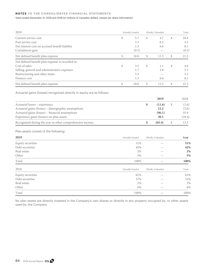## **NOTES TO THE CONSOLIDATED FINANCIAL STATEMENTS**

#### Years ended December 31, 2019 and 2018 (In millions of Canadian dollars, except per share information)

| 2018                                                                                        | Partially Funded |                   |      |                          |               |                    |  |  |  | Wholly Unfunded |  | Total |
|---------------------------------------------------------------------------------------------|------------------|-------------------|------|--------------------------|---------------|--------------------|--|--|--|-----------------|--|-------|
| Current service cost<br>Past service cost<br>Net interest cost on accrued benefit liability | \$               | 5.7<br>3.3<br>1.5 | \$   | 4.7<br>0.2<br>6.6        | \$            | 10.4<br>3.5<br>8.1 |  |  |  |                 |  |       |
| Curtailment gain                                                                            |                  | (0.5)             |      | $\overline{\phantom{0}}$ |               | (0.5)              |  |  |  |                 |  |       |
| Net defined benefit plan expense                                                            | \$               | 10.0              | \$   | 11.5                     | \$            | 21.5               |  |  |  |                 |  |       |
| Net defined benefit plan expense is recorded in:                                            |                  |                   |      |                          |               |                    |  |  |  |                 |  |       |
| Cost of sales                                                                               | \$               | 3.5               | \$   | 1.1                      | \$            | 4.6                |  |  |  |                 |  |       |
| Selling, general and administrative expenses                                                |                  | 1.7               |      | 3.8                      |               | 5.5                |  |  |  |                 |  |       |
| Restructuring and other items                                                               |                  | 3.3               |      |                          |               | 3.3                |  |  |  |                 |  |       |
| Finance cost                                                                                |                  | 1.5               |      | 6.6                      |               | 8.1                |  |  |  |                 |  |       |
| Net defined benefit plan expense                                                            | \$               | 10.0              | $\$$ | 11.5                     | \$            | 21.5               |  |  |  |                 |  |       |
| Actuarial gains (losses) recognized directly in equity are as follows:                      |                  |                   |      |                          |               |                    |  |  |  |                 |  |       |
|                                                                                             |                  |                   |      | 2019                     |               | 2018               |  |  |  |                 |  |       |
| Actuarial losses - experience                                                               |                  |                   | \$   | (11.6)                   | $\mathcal{S}$ | (1.6)              |  |  |  |                 |  |       |
| Actuarial gains (losses) - demographic assumptions                                          |                  |                   |      | 12.2                     |               | (2.6)              |  |  |  |                 |  |       |
| Actuarial gains (losses) - financial assumptions                                            |                  |                   |      | (96.1)                   |               | 35.9               |  |  |  |                 |  |       |
| Experience gains (losses) on plan assets                                                    |                  |                   |      | 30.1                     |               | (18.4)             |  |  |  |                 |  |       |
| Recognized during the year in other comprehensive income                                    |                  |                   | \$   | (65.4)                   | \$            | 13.3               |  |  |  |                 |  |       |
| Plan assets consist of the following:                                                       |                  |                   |      |                          |               |                    |  |  |  |                 |  |       |
| 2019                                                                                        |                  | Partially Funded  |      | Wholly Unfunded          |               | Total              |  |  |  |                 |  |       |
| Equity securities                                                                           |                  | 51%               |      |                          |               | 51%                |  |  |  |                 |  |       |
| Debt securities                                                                             |                  | 42%               |      |                          |               | 42%                |  |  |  |                 |  |       |
| Real estate                                                                                 |                  | 2%                |      |                          |               | 2%                 |  |  |  |                 |  |       |
| Other                                                                                       |                  | 5%                |      |                          |               | 5%                 |  |  |  |                 |  |       |
| Total                                                                                       |                  | 100%              |      |                          |               | 100%               |  |  |  |                 |  |       |
| 2018                                                                                        |                  | Partially Funded  |      | Wholly Unfunded          |               | Total              |  |  |  |                 |  |       |
| Equity securities                                                                           |                  | 61%               |      |                          |               | 61%                |  |  |  |                 |  |       |
| Debt securities                                                                             |                  | 31%               |      |                          |               | 31%                |  |  |  |                 |  |       |
| Real estate                                                                                 |                  | 2%                |      |                          |               | 2%                 |  |  |  |                 |  |       |
| Other                                                                                       |                  | 6%                |      |                          |               | 6%                 |  |  |  |                 |  |       |
|                                                                                             |                  |                   |      |                          |               |                    |  |  |  |                 |  |       |

No plan assets are directly invested in the Company's own shares or directly in any property occupied by, or other assets used by, the Company.

Total  $100\%$   $100\%$ 

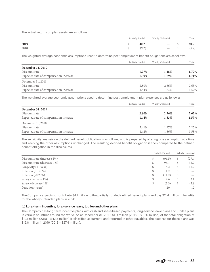The actual returns on plan assets are as follows:

|      |  | Partially Funded | Wholly Unfunded          | Total |      |
|------|--|------------------|--------------------------|-------|------|
| 2019 |  | 40.2             | $\hspace{0.05cm}$        |       | 40.2 |
| 2018 |  | 9.2              | $\overline{\phantom{a}}$ |       | 9.2) |

The weighted average economic assumptions used to determine post-employment benefit obligations are as follows:

|                                        | Partially Funded | Wholly Unfunded | Total |
|----------------------------------------|------------------|-----------------|-------|
| December 31, 2019                      |                  |                 |       |
| Discount rate                          | 1.97%            | 1.48%           | 1.79% |
| Expected rate of compensation increase | 1.39%            | 1.79%           | 1.71% |
| December 31, 2018                      |                  |                 |       |
| Discount rate                          | 2.80%            | 2.36%           | 2.63% |
| Expected rate of compensation increase | 1.44%            | 1.83%           | 1.59% |

The weighted average economic assumptions used to determine post-employment plan expenses are as follows:

|                                        | Partially Funded | Wholly Unfunded | Total |
|----------------------------------------|------------------|-----------------|-------|
| December 31, 2019                      |                  |                 |       |
| Discount rate                          | 2.80%            | 2.36%           | 2.63% |
| Expected rate of compensation increase | 1.44%            | 1.83%           | 1.59% |
| December 31, 2018                      |                  |                 |       |
| Discount rate                          | 2.41%            | 1.97%           | 2.25% |
| Expected rate of compensation increase | 1.42%            | 1.86%           | 1.58% |

The sensitivity analysis on the defined benefit obligation is as follows, and is prepared by altering one assumption at a time and keeping the other assumptions unchanged. The resulting defined benefit obligation is then compared to the defined benefit obligation in the disclosures:

|                             |    | Partially Funded |    | Wholly Unfunded |
|-----------------------------|----|------------------|----|-----------------|
| Discount rate (increase 1%) | \$ | (96.5)           | S  | (29.4)          |
| Discount rate (decrease 1%) | S  | 96.1             |    | 32.9            |
| Longevity $(+1$ year)       | S  | 14.2             |    | 11.2            |
| Inflation $(+0.25%)$        | S  | 11.2             |    |                 |
| Inflation $(-0.25%)$        | S  | (11.2)           |    |                 |
| Salary (increase 1%)        | S  | 4.6              | S. | 3.1             |
| Salary (decrease 1%)        | \$ | (3.3)            | S  | (2.8)           |
| Duration (years)            |    | 20               |    | 12              |

The Company expects to contribute \$4.1 million to the partially-funded defined benefit plans and pay \$11.4 million in benefits for the wholly-unfunded plans in 2020.

#### **(c) Long-term incentive, long-service leave, jubilee and other plans**

The Company has long-term incentive plans with cash and share-based payments, long-service leave plans and jubilee plans in various countries around the world. As at December 31, 2019, \$1.0 million (2018 – \$30.0 million) of the total obligation of \$12.1 million (2018 – \$42.3 million) is classified as current, and reported in other payables. The expense for these plans was \$15.8 million in 2019 (2018 – \$27.4 million).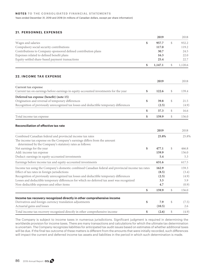### **21. PERSONNEL EXPENSES**

|                                                                                                                                     | 2019          | 2018          |
|-------------------------------------------------------------------------------------------------------------------------------------|---------------|---------------|
| Wages and salaries                                                                                                                  | \$<br>957.7   | \$<br>932.2   |
| Compulsory social security contributions                                                                                            | 117.0         | 119.2         |
| Contributions to Company-sponsored defined contribution plans                                                                       | 30.7          | 24.5          |
| Expenses related to defined benefit plans                                                                                           | 16.3          | 22.0          |
| Equity-settled share-based payment transactions                                                                                     | 25.4          | 22.7          |
|                                                                                                                                     | \$<br>1,147.1 | \$<br>1,120.6 |
| <b>22. INCOME TAX EXPENSE</b>                                                                                                       |               |               |
|                                                                                                                                     | 2019          | 2018          |
| <b>Current tax expense</b>                                                                                                          |               |               |
| Current tax on earnings before earnings in equity-accounted investments for the year                                                | \$<br>122.6   | \$<br>139.4   |
| Deferred tax expense (benefit) (note 15)                                                                                            |               |               |
| Origination and reversal of temporary differences                                                                                   | \$<br>39.8    | \$<br>21.5    |
| Recognition of previously unrecognized tax losses and deductible temporary differences                                              | (2.5)         | (4.9)         |
|                                                                                                                                     | \$<br>37.3    | \$<br>16.6    |
| Total income tax expense                                                                                                            | \$<br>159.9   | \$<br>156.0   |
| Reconciliation of effective tax rate                                                                                                |               |               |
|                                                                                                                                     | 2019          | 2018          |
| Combined Canadian federal and provincial income tax rates                                                                           | 25.8%         | 25.8%         |
| The income tax expense on the Company's earnings differs from the amount<br>determined by the Company's statutory rates as follows: |               |               |
| Net earnings for the year                                                                                                           | \$<br>477.1   | \$<br>466.8   |
| Add: income tax expense                                                                                                             | 159.9         | 156.0         |
| Deduct: earnings in equity-accounted investments                                                                                    | 5.4           | 5.3           |
| Earnings before income tax and equity-accounted investments                                                                         | 631.6         | 617.5         |
| Income tax using the Company's domestic combined Canadian federal and provincial income tax rates                                   | 162.9         | 159.3         |
| Effect of tax rates in foreign jurisdictions                                                                                        | (8.5)         | (3.4)         |
| Recognition of previously unrecognized tax losses and deductible temporary differences                                              | (2.5)         | (4.9)         |
| Losses and deductible temporary differences for which no deferred tax asset was recognized                                          | 3.3           | 5.9           |
| Non-deductible expenses and other items                                                                                             | 4.7           | (0.9)         |
|                                                                                                                                     | \$<br>159.9   | \$<br>156.0   |
| Income tax recovery recognized directly in other comprehensive income                                                               |               |               |
| Derivatives and foreign currency translation adjustments                                                                            | \$<br>7.9     | \$<br>(7.5)   |
| Actuarial gains and losses                                                                                                          | (10.5)        | 2.6           |
| Total income tax recovery recognized directly in other comprehensive income                                                         | \$<br>(2.6)   | \$<br>(4.9)   |

The Company is subject to income taxes in numerous jurisdictions. Significant judgment is required in determining the worldwide provision for income taxes. There are many transactions and calculations for which the ultimate tax determination is uncertain. The Company recognizes liabilities for anticipated tax audit issues based on estimates of whether additional taxes will be due. If the final tax outcome of these matters is different from the amounts that were initially recorded, such differences will impact the current and deferred income tax assets and liabilities in the period in which such determination is made.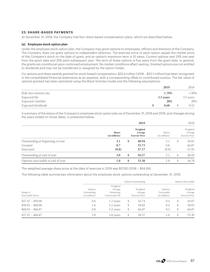## **23. SHARE-BASED PAYMENTS**

At December 31, 2019, the Company had four share-based compensation plans, which are described below:

### **(a) Employee stock option plan**

Under the employee stock option plan, the Company may grant options to employees, officers and directors of the Company. The Company does not grant options to independent directors. The exercise price of each option equals the market price of the Company's stock on the date of grant, and an option's maximum term is 10 years. Current options vest 25% one year from the grant date and 25% each subsequent year. The term of these options is five years from the grant date. In general, the grants are conditional upon continued employment. No market conditions affect vesting. Granted options are not entitled to dividends and may not be transferred or assigned by the option holder.

For options and share awards granted for stock-based compensation, \$25.4 million (2018 – \$23.1 million) has been recognized in the consolidated financial statements as an expense, with a corresponding offset to contributed surplus. The fair value of options granted has been estimated using the Black-Scholes model and the following assumptions:

|                         | 2019      | 2018      |
|-------------------------|-----------|-----------|
| Risk-free interest rate | 1.79%     | 1.90%     |
| Expected life           | 3.5 years | 3.5 years |
| Expected volatility     | 28%       | 28%       |
| Expected dividends      | 0.68      | 0.52      |

A summary of the status of the Company's employee stock option plan as of December 31, 2019 and 2018, and changes during the years ended on those dates, is presented below:

|                                    |                                | 2019                                         |                         |    | 2018                                         |
|------------------------------------|--------------------------------|----------------------------------------------|-------------------------|----|----------------------------------------------|
|                                    | <b>Shares</b><br>(in millions) | Weighted<br>Average<br><b>Exercise Price</b> | Shares<br>(in millions) |    | Weighted<br>Average<br><b>Exercise Price</b> |
| Outstanding at beginning of year   | 3.1                            | \$<br>48.94                                  | 3.1                     | \$ | 36.81                                        |
| Granted                            | 0.7                            | 55.73                                        | 0.8                     |    | 66.87                                        |
| Exercised                          | (0.8)                          | 27.17                                        | (0.8)                   |    | 21.95                                        |
| Outstanding at end of year         | 3.0                            | \$<br>56.57                                  | 3.1                     | \$ | 48.94                                        |
| Options exercisable at end of year | 1.0                            | \$<br>53.30                                  | 1.0                     | S  | 36.78                                        |

The weighted average share price at the date of exercise in 2019 was \$57.65 (2018 – \$64.99).

The following table summarizes information about the employee stock options outstanding at December 31, 2019.

|                                |                                         |                                                      | <b>Options Outstanding</b>                   |                                         |    | Options Exercisable                          |
|--------------------------------|-----------------------------------------|------------------------------------------------------|----------------------------------------------|-----------------------------------------|----|----------------------------------------------|
| Range of<br>Exercisable Prices | Options<br>Outstanding<br>(in millions) | Weighted<br>Average<br>Remaining<br>Contractual Life | Weighted<br>Average<br><b>Exercise Price</b> | Options<br>Exercisable<br>(in millions) |    | Weighted<br>Average<br><b>Exercise Price</b> |
| $$27.47 - $50.00$              | 0.6                                     | 1.2 years                                            | \$<br>43.74                                  | 0.4                                     | S  | 43.67                                        |
| $$50.01 - $60.00$              | 1.6                                     | 3.2 years                                            | \$<br>56.82                                  | 0.4                                     | \$ | 58.03                                        |
| $$60.01 - $66.87$              | 0.8                                     | 3.2 years                                            | \$<br>66.87                                  | 0.2                                     | \$ | 66.87                                        |
| $$27.47 - $66.87$              | 3.0                                     | 2.8 years                                            | \$<br>56.57                                  | 0.1                                     | \$ | 53.30                                        |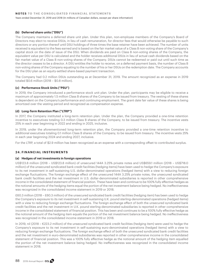### **(b) Deferred share units ("DSU")**

The Company maintains a deferred share unit plan. Under this plan, non-employee members of the Company's Board of Directors may elect to receive DSUs, in lieu of cash remuneration, for director fees that would otherwise be payable to such directors or any portion thereof until DSU holdings of three times the base retainer have been achieved. The number of units received is equivalent to the fees earned and is based on the fair market value of a Class B non-voting share of the Company's capital stock on the date of issue of the DSU. When dividends are paid on Class B non-voting shares of the Company, the equivalent value per DSU is calculated and the holder receives additional DSUs in lieu of actual cash dividends based on the fair market value of a Class B non-voting shares of the Company. DSUs cannot be redeemed or paid out until such time as the director ceases to be a director. A DSU entitles the holder to receive, on a deferred payment basis, the number of Class B non-voting shares of the Company equating to the number of his or her DSUs on the redemption date. The Company accounts for the DSU plan as an equity-settled share-based payment transaction.

The Company had 0.2 million DSUs outstanding as at December 31, 2019. The amount recognized as an expense in 2019 totaled \$0.6 million (2018 – \$0.8 million).

## **(c) Performance Stock Units ("PSU")**

In 2019, the Company introduced a performance stock unit plan. Under the plan, participants may be eligible to receive a maximum of approximately 1.5 million Class B shares of the Company to be issued from treasury. The vesting of these shares is dependent on the Company's performance and continuing employment. The grant date fair value of these shares is being amortized over the vesting period and recognized as compensation expense.

### **(d) Long-Term Retention Plan ("LTRP")**

In 2017, the Company instituted a long-term retention plan. Under the plan, the Company provided a one-time retention incentive to executives totaling 0.3 million Class B shares of the Company, to be issued from treasury. The incentive vests 25% in each year beginning in 2022 and ending in 2025, inclusive.

In 2019, under the aforementioned long-term retention plan, the Company provided a one-time retention incentive to additional executives totaling 0.1 million Class B shares of the Company, to be issued from treasury. The incentive vests 25% in each year beginning 2024 and ending 2027, inclusive.

For the LTRP, a total of \$2.9 million has been recognized as an expense with a corresponding offset to contributed surplus.

## **24. FINANCIAL INSTRUMENTS**

### **(a) Hedges of net investments in foreign operations**

US\$123.8 million (2018 – US\$123.8 million) of unsecured 144A 3.25% private notes and US\$659.1 million (2018 – US\$718.0 million) of the unsecured syndicated bank credit facilities (hedging items) have been used to hedge the Company's exposure to its net investment in self-sustaining U.S. dollar-denominated operations (hedged items) with a view to reducing foreign exchange fluctuations. The foreign exchange effect of the unsecured 144A 3.25% private notes, the unsecured syndicated bank credit facilities and the net investment in U.S. dollar-denominated subsidiaries is reported in other comprehensive income in the consolidated statement of financial position. These have been and continue to be 100% fully effective hedges as the notional amounts of the hedging items equal the portion of the net investment balance being hedged. No ineffectiveness was recognized in the consolidated income statement in 2019 or 2018.

£60.3 million (2018 – £60.3 million) of the unsecured syndicated bank credit facilities (hedging item) has been used to hedge the Company's exposure to its net investment in self-sustaining U.K. pound sterling-denominated operations (hedged items) with a view to reducing foreign exchange fluctuations. The foreign exchange effect of both the unsecured syndicated bank credit facilities and the net investment in U.K. pound sterling-denominated subsidiaries is reported in other comprehensive income in the consolidated statement of financial position. This has been and continues to be a 100% fully effective hedge as the notional amount of the hedging item equals the portion of the net investment balance being hedged. No ineffectiveness was recognized in the consolidated income statement in 2019 or 2018.

In 2019, nil (2018 – €223.2 million) of the unsecured syndicated bank credit facilities (hedging item) were used to hedge the Company's exposure to its net investment in self-sustaining euro-denominated operations (hedged items) with a view to reducing foreign exchange fluctuations. The foreign exchange effect of both the unsecured syndicated bank credit facilities and the net investment in euro-denominated subsidiaries was reported in other comprehensive income in the consolidated statement of financial position. This was a 100% fully effective hedge as the notional amount of the hedging item equalled the portion of the net investment balance being hedged. No ineffectiveness was recognized in the consolidated income statement in 2018.

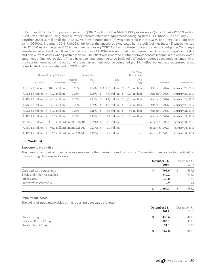In February 2017, the Company converted US\$264.7 million of the 144A 3.25% private notes (note 18) into €250.0 million 1.23% fixed rate debt using cross-currency interest rate swap agreements (hedging items; "CCIRSAs"). In February 2018, a further US\$111.5 million of the 144A 3.25% private notes (note 18) was converted into €90.0 million 1.16% fixed rate debt using CCIRSAs. In January 2019, US\$228.4 million of the unsecured syndicated bank credit facilities (note 18) was converted into €200.0 million negative 0.28% fixed rate debt using CCIRSAs. Each of these conversions was to hedge the Company's euro-based assets and cash flows. Fair value of these CCIRSAs was recorded in non-current liabilities when negative in value and non-current assets when positive in value. The offset was recorded in other comprehensive income in the consolidated statement of financial position. These have been and continue to be 100% fully effective hedges as the notional amounts of the hedging items equal the portion of the net investment balance being hedged. No ineffectiveness was recognized in the consolidated income statement in 2019 or 2018.

|                                                                                                                                                                                           |                                                                   |                                                                                                             |                      |                                                                | Fair Value<br>December 31                                   |                                                                                                                  |                       |
|-------------------------------------------------------------------------------------------------------------------------------------------------------------------------------------------|-------------------------------------------------------------------|-------------------------------------------------------------------------------------------------------------|----------------------|----------------------------------------------------------------|-------------------------------------------------------------|------------------------------------------------------------------------------------------------------------------|-----------------------|
| Fixed Rate                                                                                                                                                                                | Received<br>(US\$)                                                | Paid<br>$(\epsilon)$                                                                                        |                      | 2019<br>(C <sub>s</sub> )                                      | 2018<br>(C <sub>s</sub> )                                   | Maturity                                                                                                         | <b>Effective Date</b> |
|                                                                                                                                                                                           | 3.25%                                                             | 1.24%                                                                                                       |                      |                                                                |                                                             | October 1, 2026                                                                                                  | February 28, 2017     |
| 80.0 million                                                                                                                                                                              | 3.25%                                                             | 1.20%                                                                                                       | \$                   |                                                                |                                                             | October 1, 2026                                                                                                  | February 28, 2017     |
| 40.0 million                                                                                                                                                                              | 3.25%                                                             | 1.21%                                                                                                       | <sup>S</sup>         |                                                                | $(6.6)$ million                                             | October 1, 2026                                                                                                  | February 28, 2017     |
| 30.0 million                                                                                                                                                                              | 3.25%                                                             | 1.29%                                                                                                       | \$                   |                                                                | $(5.0)$ million                                             | October 1, 2026                                                                                                  | February 28, 2017     |
| 50.0 million                                                                                                                                                                              | 3.25%                                                             | 1.16%                                                                                                       | - \$                 |                                                                | 5.5 million                                                 | October 1, 2026                                                                                                  | February 21, 2018     |
| 40.0 million                                                                                                                                                                              | 3.25%                                                             |                                                                                                             |                      |                                                                | 3.6 million                                                 | October 1, 2026                                                                                                  | February 22, 2018     |
|                                                                                                                                                                                           |                                                                   |                                                                                                             |                      | 1.8 million                                                    | $\hspace{0.1mm}-\hspace{0.1mm}$                             | January 31, 2022                                                                                                 | January 31, 2019      |
|                                                                                                                                                                                           |                                                                   |                                                                                                             |                      | 1.0 million                                                    | $\hspace{0.1mm}-\hspace{0.1mm}$                             | January 31, 2022                                                                                                 | January 31, 2019      |
|                                                                                                                                                                                           |                                                                   |                                                                                                             |                      | 0.4 million                                                    |                                                             | January 31, 2022                                                                                                 | January 31, 2019      |
| Fixed Rate<br>USD84.8 million $\in$<br>USD42.3 million $\in$<br>USD31.8 million $\in$<br>USD62.1 million $\in$<br>USD49.4 million $\in$<br>USD74.2 million $\in$<br>USD28.6 million $\in$ | Notional Principal Amount<br>USD105.8 million $\in$ 100.0 million | USD125.6 million $\in$ 110.0 million1-month LIBOR<br>65.0 million1-month LIBOR<br>25.0 million1-month LIBOR | <b>Interest Rate</b> | $1.15\%$ \$<br>$(0.29\%)$ \$<br>$(0.27\%)$ \$<br>$(0.27\%)$ \$ | $(7.6)$ million<br>8.5 million \$<br>$6.2$ million $\delta$ | $$ (10.0)$ million $$ (16.3)$ million<br>$$(12.7)$ million<br>$(4.1)$ million $\quad$<br>$(3.2)$ million $\quad$ |                       |

### **(b) Credit risk**

#### **Exposure to credit risk**

The carrying amount of financial assets represents the maximum credit exposure. The maximum exposure to credit risk at the reporting date was as follows:

|                             | December 31, |   | December 31, |  |
|-----------------------------|--------------|---|--------------|--|
|                             | 2019         |   | 2018         |  |
| Cash and cash equivalents   | 703.6        | S | 589.1        |  |
| Trade and other receivables | 849.2        |   | 938.0        |  |
| Other assets                | <b>20.0</b>  |   | 18.8         |  |
| Derivative instruments      | 17.9         |   | 9.1          |  |
|                             | 1,590.7      |   | 1,555.0      |  |

#### **Impairment losses**

The aging of trade receivables at the reporting date was as follows:

|                        | December 31,<br>2019 |     | December 31,<br>2018 |
|------------------------|----------------------|-----|----------------------|
| Under 31 days          | 433.6<br>S           | S   | 468.9                |
| Between 31 and 90 days | 283.1                |     | 336.0                |
| Greater than 90 days   | 51.1                 |     | 60.6                 |
|                        | 767.8<br>S           | \$. | 865.5                |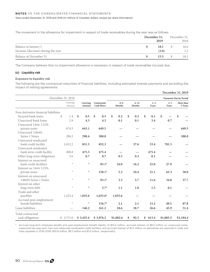The movement in the allowance for impairment in respect of trade receivables during the year was as follows:

|                                     | December 31, | December 31, |
|-------------------------------------|--------------|--------------|
|                                     | 2019         | 2018         |
| Balance at January 1                | 18.1         | 16.6         |
| Increase (decrease) during the year | (2.6)        | 1.5          |
| Balance at December 31              | 15.5         | 18.1         |

The Company believes that no impairment allowance is necessary in respect of trade receivables not past due.

### **(c) Liquidity risk**

### **Exposure to liquidity risk**

The following are the contractual maturities of financial liabilities, including estimated interest payments and excluding the impact of netting agreements:

|                                      |                      |                    |                                  |                   |                    |                  |           |                  | December 31, 2019             |
|--------------------------------------|----------------------|--------------------|----------------------------------|-------------------|--------------------|------------------|-----------|------------------|-------------------------------|
|                                      | December 31, 2018    |                    |                                  |                   |                    |                  |           |                  | <b>Payments Due by Period</b> |
|                                      | Carrying<br>Amount   | Carrying<br>Amount | Contractual<br><b>Cash Flows</b> | $0 - 6$<br>Months | $6 - 12$<br>Months | $1 - 2$<br>Years |           | $2 - 5$<br>Years | More than<br>5 Years          |
| Non-derivative financial liabilities |                      |                    |                                  |                   |                    |                  |           |                  |                               |
| Secured bank loans                   | $\mathcal{S}$<br>1.4 | \$<br>0.5          | \$<br>0.5                        | \$<br>0.2         | \$<br>0.2          | \$<br>0.1        | \$        |                  | \$                            |
| Unsecured bank loans                 | 2.9                  | 4.3                | 4.3                              | 0.1               | 0.1                | 3.4              |           | 0.7              |                               |
| Unsecured 144A 3.25%                 |                      |                    |                                  |                   |                    |                  |           |                  |                               |
| private notes                        | 674.5                | 643.1              | 649.5                            |                   |                    |                  |           |                  | 649.5                         |
| Unsecured 3.864%                     |                      |                    |                                  |                   |                    |                  |           |                  |                               |
| Series 1 Notes                       | 298.2                | 298.4              | 300.0                            |                   |                    |                  |           |                  | 300.0                         |
| Unsecured syndicated                 |                      |                    |                                  |                   |                    |                  |           |                  |                               |
| bank credit facility                 | 1,012.2              | 851.3              | 852.3                            |                   | 37.6               | 33.4             | 781.3     |                  |                               |
| Unsecured syndicated                 |                      |                    |                                  |                   |                    |                  |           |                  |                               |
| bank term credit facility            | 498.8                | 475.3              | 475.4                            |                   |                    | 475.4            |           |                  |                               |
| Other long-term obligations          | 3.6                  | 0.7                | 0.7                              | 0.3               | 0.3                | 0.1              |           |                  |                               |
| Interest on unsecured                |                      |                    |                                  |                   |                    |                  |           |                  |                               |
| bank credit facilities               | $\star$              | $\star$            | $85.1*$                          | 16.0              | 16.2               | 25.0             |           | 27.9             |                               |
| Interest on 144A 3.25%               |                      |                    |                                  |                   |                    |                  |           |                  |                               |
| private notes                        | $\star$              | $\star$            | $158.1*$                         | 5.3               | 10.4               | 21.1             |           | 63.3             | 58.0                          |
| Interest on unsecured                |                      |                    |                                  |                   |                    |                  |           |                  |                               |
| 3.864% Series 1 Notes                | $\star$              | $\star$            | $93.1*$                          | 3.3               | 5.7                | 11.6             |           | 34.8             | 37.7                          |
| Interest on other                    |                      |                    |                                  |                   |                    |                  |           |                  |                               |
| long-term debt                       | $\star$              | $\star$            | $3.7*$                           | 1.1               | 1.0                | 1.5              |           | 0.1              |                               |
| Trade and other                      |                      |                    |                                  |                   |                    |                  |           |                  |                               |
| payables                             | 1,223.4              | 1,035.6            | $1,035.6*$                       | 1,035.6           |                    |                  |           |                  |                               |
| Accrued post-employment              |                      |                    |                                  |                   |                    |                  |           |                  |                               |
| benefit liabilities                  | $\star$              | $\star$            | $156.7*$                         | 2.1               | 2.1                | 15.2             |           | 49.5             | 87.8                          |
| Lease liabilities                    |                      | 146.2              | 161.2                            | 18.6              | 18.7               | 26.6             |           | 45.9             | 51.4                          |
| Total contractual                    |                      |                    |                                  |                   |                    |                  |           |                  |                               |
| cash obligations                     | \$3,715.0            | \$3,455.4          | \$3,976.2                        | \$1,082.6         | \$<br>92.3         | \$<br>613.4      | \$1,003.5 |                  | \$1,184.4                     |

Accrued long-term employee benefit and post-employment benefit liability of \$12.4 million, accrued interest of \$8.0 million on unsecured notes, unsecured two-year term loan and unsecured syndicated credit facilities, and accrued interest of \$1.5 million on derivatives are reported in trade and other payables in 2019 (2018: \$50.8 million, \$9.2 million and \$1.6 million, respectively).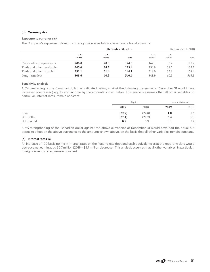### **(d) Currency risk**

#### **Exposure to currency risk**

The Company's exposure to foreign currency risk was as follows based on notional amounts:

|                             |                |               | December 31, 2019 |                | December 31, 2018 |       |  |
|-----------------------------|----------------|---------------|-------------------|----------------|-------------------|-------|--|
|                             | U.S.<br>Dollar | U.K.<br>Pound | Euro              | U.S.<br>Dollar | U.K.<br>Pound     | Euro  |  |
| Cash and cash equivalents   | 206.0          | <b>20.0</b>   | 124.3             | 167.1          | 16.4              | 110.2 |  |
| Trade and other receivables | 245.6          | 24.7          | 123.4             | 250.9          | 31.5              | 133.7 |  |
| Trade and other payables    | 291.1          | 31.4          | 144.1             | 318.0          | 33.8              | 158.4 |  |
| Long-term debt              | 808.6          | 60.3          | 540.6             | 841.9          | 60.3              | 565.1 |  |

#### **Sensitivity analysis**

A 5% weakening of the Canadian dollar, as indicated below, against the following currencies at December 31 would have increased (decreased) equity and income by the amounts shown below. This analysis assumes that all other variables; in particular, interest rates, remain constant.

|             |        | Equity |      | Income Statement |
|-------------|--------|--------|------|------------------|
|             | 2019   | 2018   | 2019 | 2018             |
| Euro        | (22.9) | (24.8) | 1.0  | 0.6              |
| U.S. dollar | (27.4) | (21.2) | 6.4  | 6.5              |
| U.K. pound  | 0.9    | 0.9    | 0.1  | 0.4              |

A 5% strengthening of the Canadian dollar against the above currencies at December 31 would have had the equal but opposite effect on the above currencies to the amounts shown above, on the basis that all other variables remain constant.

### **(e) Interest rate risk**

An increase of 100 basis points in interest rates on the floating rate debt and cash equivalents as at the reporting date would decrease net earnings by \$6.7 million (2018 – \$9.7 million decrease). This analysis assumes that all other variables; in particular, foreign currency rates, remain constant.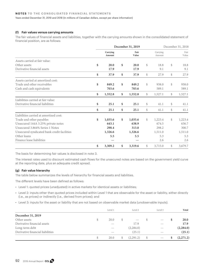#### **(f) Fair values versus carrying amounts**

The fair values of financial assets and liabilities, together with the carrying amounts shown in the consolidated statement of financial position, are as follows:

|                                             | December 31, 2019  |    |               |    | December 31, 2018  |              |               |
|---------------------------------------------|--------------------|----|---------------|----|--------------------|--------------|---------------|
|                                             | Carrying<br>Amount |    | Fair<br>Value |    | Carrying<br>Amount |              | Fair<br>Value |
| Assets carried at fair value:               |                    |    |               |    |                    |              |               |
| Other assets                                | \$<br>20.0         | \$ | 20.0          | \$ | 18.8               | $\mathbb{S}$ | 18.8          |
| Derivative financial assets                 | 17.9               |    | 17.9          |    | 9.1                |              | 9.1           |
|                                             | \$<br>37.9         | \$ | 37.9          | \$ | 27.9               | \$           | 27.9          |
| Assets carried at amortized cost:           |                    |    |               |    |                    |              |               |
| Trade and other receivables                 | \$<br>849.2        | \$ | 849.2         | \$ | 938.0              | $\mathbb{S}$ | 938.0         |
| Cash and cash equivalents                   | 703.6              |    | 703.6         |    | 589.1              |              | 589.1         |
|                                             | \$<br>1,552.8      | \$ | 1,552.8       | \$ | 1,527.1            | \$           | 1,527.1       |
| Liabilities carried at fair value:          |                    |    |               |    |                    |              |               |
| Derivative financial liabilities            | \$<br>25.1         | \$ | 25.1          | \$ | 41.1               | \$           | 41.1          |
|                                             | \$<br>25.1         | \$ | 25.1          | \$ | 41.1               | \$           | 41.1          |
| Liabilities carried at amortized cost:      |                    |    |               |    |                    |              |               |
| Trade and other payables                    | \$<br>1,035.6      | \$ | 1,035.6       | \$ | 1,223.4            | $\mathbb{S}$ | 1,223.4       |
| Unsecured 144A 3.25% private notes          | 643.1              |    | 638.9         |    | 674.5              |              | 636.7         |
| Unsecured 3.864% Series 1 Notes             | 298.4              |    | 313.0         |    | 298.2              |              | 300.7         |
| Unsecured syndicated bank credit facilities | 1,326.6            |    | 1,326.6       |    | 1,511.0            |              | 1,511.0       |
| Other loans                                 | 5.5                |    | 5.5           |    | 5.3                |              | 5.3           |
| Finance lease liabilities                   |                    |    |               |    | 2.6                |              | 2.6           |
|                                             | \$<br>3,309.2      | \$ | 3,319.6       | \$ | 3,715.0            | \$           | 3,679.7       |

The basis for determining fair values is disclosed in note 3.

The interest rates used to discount estimated cash flows for the unsecured notes are based on the government yield curve at the reporting date, plus an adequate credit spread.

## **(g) Fair value hierarchy**

The table below summarizes the levels of hierarchy for financial assets and liabilities.

The different levels have been defined as follows:

- Level 1: quoted prices (unadjusted) in active markets for identical assets or liabilities;
- Level 2: inputs other than quoted prices included within Level 1 that are observable for the asset or liability, either directly (i.e., as prices) or indirectly (i.e., derived from prices); and
- Level 3: inputs for the asset or liability that are not based on observable market data (unobservable inputs).

|                                  |    | Level 1 |              | Level 2           |      | Level 3                        | Total       |
|----------------------------------|----|---------|--------------|-------------------|------|--------------------------------|-------------|
| December 31, 2019                |    |         |              |                   |      |                                |             |
| Other assets                     | S  | 20.0    | <sup>S</sup> | $\hspace{0.05cm}$ | -S   | $\overbrace{\hspace{25mm}}^{}$ | <b>20.0</b> |
| Derivative financial assets      |    |         |              | 17.9              |      |                                | 17.9        |
| Long-term debt                   |    |         |              | (2,284.0)         |      |                                | (2, 284.0)  |
| Derivative financial liabilities |    |         |              | (25.1)            |      |                                | (25.1)      |
|                                  | \$ | 20.0    | S.           | (2,291.2)         | - \$ | $\overbrace{\hspace{25mm}}^{}$ | (2,271.2)   |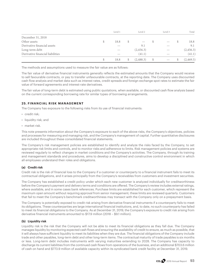|                                  | Level 1 |              | Level 2                         |      | Level 3                         | Total      |
|----------------------------------|---------|--------------|---------------------------------|------|---------------------------------|------------|
| December 31, 2018                |         |              |                                 |      |                                 |            |
| Other assets                     | 18.8    | <sup>S</sup> | $\hspace{0.1mm}-\hspace{0.1mm}$ | -S   | $\hspace{0.1mm}-\hspace{0.1mm}$ | 18.8       |
| Derivative financial assets      |         |              | 9.1                             |      |                                 | 9.1        |
| Long-term debt                   |         |              | (2,456.3)                       |      |                                 | (2, 456.3) |
| Derivative financial liabilities |         |              | (41.1)                          |      |                                 | (41.1)     |
|                                  | 18.8    | S.           | (2,488.3)                       | - \$ | $\hspace{0.1mm}-\hspace{0.1mm}$ | (2,469.5)  |

The methods and assumptions used to measure the fair value are as follows:

The fair value of derivative financial instruments generally reflects the estimated amounts that the Company would receive to sell favourable contracts, or pay to transfer unfavourable contracts, at the reporting date. The Company uses discounted cash flow analysis and market data such as interest rates, credit spreads and foreign exchange spot rates to estimate the fair value of forward agreements and interest-rate derivatives.

The fair value of long-term debt is estimated using public quotations, when available, or discounted cash flow analysis based on the current corresponding borrowing rate for similar types of borrowing arrangements.

## **25. FINANCIAL RISK MANAGEMENT**

The Company has exposure to the following risks from its use of financial instruments:

- credit risk;
- liquidity risk; and
- market risk.

This note presents information about the Company's exposure to each of the above risks, the Company's objectives, policies and processes for measuring and managing risk, and the Company's management of capital. Further quantitative disclosures are included throughout these consolidated financial statements.

The Company's risk management policies are established to identify and analyze the risks faced by the Company, to set appropriate risk limits and controls, and to monitor risks and adherence to limits. Risk management policies and systems are reviewed regularly to reflect changes in market conditions and the Company's activities. The Company, through its training and management standards and procedures, aims to develop a disciplined and constructive control environment in which all employees understand their roles and obligations.

## **(a) Credit risk**

Credit risk is the risk of financial loss to the Company if a customer or counterparty to a financial instrument fails to meet its contractual obligations, and it arises principally from the Company's receivables from customers and investment securities.

The Company has established a credit policy under which each new customer is analyzed individually for creditworthiness before the Company's payment and delivery terms and conditions are offered. The Company's review includes external ratings, where available, and in some cases bank references. Purchase limits are established for each customer, which represent the maximum open amount without requiring approval from senior management; these limits are reviewed quarterly. Customers that fail to meet the Company's benchmark creditworthiness may transact with the Company only on a prepayment basis.

The Company is potentially exposed to credit risk arising from derivative financial instruments if a counterparty fails to meet its obligations. These counterparties are large international financial institutions, and, to date, no such counterparty has failed to meet its financial obligations to the Company. As at December 31, 2019, the Company's exposure to credit risk arising from derivative financial instruments amounted to \$17.9 million (2018 – \$9.1 million).

## **(b) Liquidity risk**

Liquidity risk is the risk that the Company will not be able to meet its financial obligations as they fall due. The Company manages liquidity by monitoring expected cash flows and ensuring the availability of credit to ensure, as much as possible, that it will always have sufficient liquidity to meet its liabilities when they are due. The financial obligations of the Company include trade and other payables, long-term debt and other long-term items. The contractual maturity of trade payables is six months or less. Long-term debt includes instruments with varying maturities extending to 2028. The Company has capacity to discharge its current liabilities from the continued cash flows from operations of the business, and an additional \$703.6 million of cash on hand and \$773.9 million of available capacity within its syndicated bank credit facility at December 31, 2019.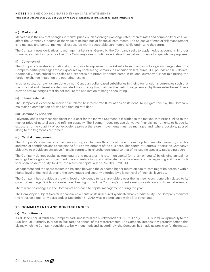### **(c) Market risk**

Market risk is the risk that changes in market prices, such as foreign exchange rates, interest rates and commodity prices, will affect the Company's income or the value of its holdings of financial instruments. The objective of market risk management is to manage and control market risk exposures within acceptable parameters, while optimizing the return.

The Company uses derivatives to manage market risks. Generally, the Company seeks to apply hedge accounting in order to manage volatility in profit or loss. The Company does not utilize derivative financial instruments for speculative purposes.

#### **(i) Currency risk**

The Company operates internationally, giving rise to exposure to market risks from changes in foreign exchange rates. The Company partially manages these exposures by contracting primarily in Canadian dollars, euros, U.K. pounds and U.S. dollars. Additionally, each subsidiary's sales and expenses are primarily denominated in its local currency, further minimizing the foreign exchange impact on the operating results.

In other cases, borrowings are done by non-Canadian dollar-based subsidiaries in their own functional currencies such that the principal and interest are denominated in a currency that matches the cash flows generated by those subsidiaries. These provide natural hedges that do not require the application of hedge accounting.

### **(ii) Interest rate risk**

The Company is exposed to market risk related to interest rate fluctuations on its debt. To mitigate this risk, the Company maintains a combination of fixed and floating rate debt.

#### **(iii) Commodity price risk**

Polypropylene is the most significant input cost for the Innovia Segment. It is traded in the market, with prices linked to the market price of natural gas and refining capacity. The Segment does not use derivative financial instruments to hedge its exposure to the volatility of polypropylene prices; therefore, movements must be managed and, where possible, passed along to the Segment's customers.

### **(d) Capital management**

The Company's objective is to maintain a strong capital base throughout the economic cycle to maintain investor, creditor and market confidence and to sustain the future development of the business. This capital structure supports the Company's objective to provide an attractive financial return to its shareholders equal to that of its leading specialty packaging peers.

The Company defines capital as total equity and measures the return on capital (or return on equity) by dividing annual net earnings before goodwill impairment loss and restructuring and other items by the average of the beginning and the end-ofyear shareholders' equity. In 2019, the return on capital was 17.8% (2018 – 20.0%).

Management and the Board maintain a balance between the expected higher return on capital that might be possible with a higher level of financial debt and the advantages and security afforded by a lower level of financial leverage.

The Company has provided a growing level of dividends to its shareholders over the last few years, generally related to its growth in earnings. Dividends are declared bearing in mind the Company's current earnings, cash flow and financial leverage.

There were no changes in the Company's approach to capital management during the year.

The Company is subject to certain financial covenants on its unsecured syndicated bank credit facility. The Company monitors the ratios on a quarterly basis and, at December 31, 2019, was in compliance with all its covenants.

## **26. COMMITMENTS AND CONTINGENCIES**

### **(a) Commitments**

As at December 31, 2019, the Company had uncollateralized surety bonds of \$71.3 million (2018 – \$74.2 million) primarily to the Brazilian Tax Authority in order to facilitate the appeal of tax reassessments. The Company intends to vigorously defend this claim, which the Company considers to be without merit and, accordingly, the Company has made no provision for the matter.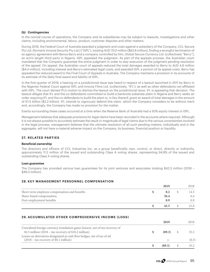### **(b) Contingencies**

In the normal course of operations, the Company and its subsidiaries may be subject to lawsuits, investigations and other claims, including environmental, labour, product, customer disputes and other matters.

During 2018, the Federal Court of Australia awarded a judgment and costs against a subsidiary of the Company, CCL Secure Pty Ltd. (formerly Innovia Security Pty Ltd.) ("ISPL"), totaling AUD 70.0 million (\$63.8 million), finding a wrongful termination of an agency agreement with Benoy Berry and a company controlled by him, Global Secure Currency Ltd. (collectively "Berry"), an arm's length third party in Nigeria. ISPL appealed the judgment. As part of the appeals process, the Australian court mandated that the Company guarantee the entire judgment in order to stay execution of the judgment pending resolution of the appeal. On appeal, the Australian court of appeals reduced the total damages awarded to Berry to AUD 4.8 million (\$4.4 million), including interest and Berry's estimated legal costs, and awarded ISPL a portion of its appeal costs. Berry has appealed the reduced award to the Final Court of Appeals in Australia. The Company maintains a provision in its accounts of its estimate of the likely final award and liability of ISPL.

In the first quarter of 2019, a hearing on a jurisdictional issue was heard in respect of a lawsuit launched in 2011 by Berry in the Nigerian Federal Court against ISPL and Innovia Films Ltd. (collectively, "IFL"), as well as other defendants not affiliated with ISPL. The court denied IFL's motion to dismiss the lawsuit on the jurisdictional issue. IFL is appealing that decision. The lawsuit alleges that IFL and the co-defendants committed to build a banknote substrate plant in Nigeria and Berry seeks an order requiring IFL and the co-defendants to build the plant or, in lieu thereof, grant an award of total damages in the amount of €1.5 billion (\$2.2 billion). IFL intends to vigorously defend this claim, which the Company considers to be without merit and, accordingly, the Company has made no provision for the matter.

Events surrounding these cases occurred at a time when the Reserve Bank of Australia had a 50% equity interest in ISPL.

Management believes that adequate provisions for legal claims have been recorded in the accounts where required. Although it is not always possible to accurately estimate the result or magnitude of legal claims due to the various uncertainties involved in the legal process, management believes that the ultimate resolution of all such pending matters, individually and in the aggregate, will not have a material adverse impact on the Company, its business, financial position or liquidity.

## **27. RELATED PARTIES**

### **Beneficial ownership**

The directors and officers of CCL Industries Inc. as a group beneficially own, control, or direct, directly or indirectly, approximately 11.2 million of the issued and outstanding Class A voting shares, representing 94.8% of the issued and outstanding Class A voting shares.

### **Loan guarantee**

The Company has provided various loan guarantees for its joint ventures and associates totaling \$42.3 million (2018 – \$46.3 million).

## **28. KEY MANAGEMENT PERSONNEL COMPENSATION**

|                                               | 2019 | 2018 |
|-----------------------------------------------|------|------|
| Short-term employee compensation and benefits |      | 14.5 |
| Share-based compensation                      | 36.4 | 6.4  |
| Post-employment benefits                      | 0.9  | 0.9  |
|                                               | 45.5 | 21.8 |

## **29. ACCUMULATED OTHER COMPREHENSIVE INCOME (LOSS)**

|                                                                                | 2019   |               | 2018  |
|--------------------------------------------------------------------------------|--------|---------------|-------|
| Unrealized foreign currency translation gains (losses), net of tax recovery of |        |               |       |
| \$2.3 million $(2018 - \text{tax recovery of $10.2 million})$                  | (89.3) | $\mathcal{S}$ | 35.5  |
| Losses on derivatives designated as cash flow hedges, net of tax of nil        |        |               |       |
| $(2018 - tax recovery of $0.1 million)$                                        |        |               | (0.3) |
|                                                                                | (89.3) |               | 35.2  |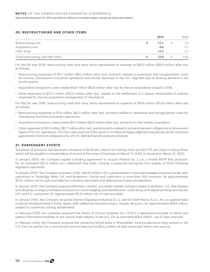### **30. RESTRUCTURING AND OTHER ITEMS**

|                                     | 2019 | 2018 |
|-------------------------------------|------|------|
| Restructuring costs                 | 11.1 | 7.8  |
| Acquisition costs                   | 0.6  | 3.7  |
| Other items                         | 13.3 | 3.3  |
| Total restructuring and other items | 25.0 | 14.8 |

For the full year 2019, restructuring costs and other items represented an expense of \$25.0 million (\$19.9 million after tax) as follows:

- Restructuring expenses of \$11.1 million (\$9.3 million after tax), primarily related to severance and reorganization costs for Innovia, Checkpoint's European operations and similar expenses in the CCL Segment due to slowing demand in the fourth quarter.
- Acquisition transaction costs totaled \$0.6 million (\$0.6 million after tax) for the six acquisitions closed in 2019.
- Other expenses of \$13.3 million (\$10.0 million after tax), related to the settlement of a lawsuit attributable to policies employed by the pre-acquisition management of Checkpoint.

For the full year 2018, restructuring costs and other items represented an expense of \$14.8 million (\$12.6 million after tax) as follows:

- Restructuring expenses of \$7.8 million (\$6.3 million after tax), primarily related to severance and reorganization costs for Checkpoint and Avery European operations.
- Acquisition transaction costs totaled \$3.7 million (\$3.6 million after tax), primarily for the Treofan acquisition.
- Other expenses of \$3.3 million (\$2.7 million after tax), predominantly related to actuarial pension obligations at Innovia and legacy CCL U.K. operations. This non-cash expense is the result of a milestone legal judgement equalizing certain historical guaranteed minimum obligations for all U.K. defined benefit pension schemes.

## **31. SUBSEQUENT EVENTS**

The Board of Directors has declared a dividend of \$0.18 per Class B non-voting share and \$0.1775 per Class A voting share, which will be payable to shareholders of record at the close of business on March 17, 2020, to be paid on March 31, 2020.

In January 2020, the Company signed a binding agreement to acquire Flexpol Sp. Z.o.o., a Polish BOPP film producer, for an estimated \$22.0 million on a debt/cash-free basis. Closing is expected during the first quarter of 2020 following regulatory approvals.

In January 2020, the Company acquired I.D.&C. World Holdco Ltd, a global leader in live event badges and wrist bands, with operations in Tunbridge Wells, U.K. and Bradenton, Florida and customers in more than 100 countries, for approximately \$37.0 million, net of cash and debt but including real estate and deferred purchase consideration.

In January 2020, the Company acquired IDentilam Limited, a privately-owned company based in Horsham, U.K. that designs and develops a range of software solutions for event badging and identification cards along with digital printing services for U.K. and E.U. customers, for approximately \$3.0 million, net of cash and debt.

In January 2020, the Company acquired Ibertex Etiquetaje Industrial S.L.U. and Eti-Textil Maroc S.a.r.l. AU, an apparel label producer headquartered in Elche, Spain, with additional manufacturing in Tangier, Morocco, for approximately \$19.6 million, subject to customary closing adjustments.

In February 2020, the Company acquired the shares of Clinical Systems, Inc. ("CSI"), a specialized provider of labels and patient information booklets to the clinical trials industry in the U.S., for an estimated \$19.4 million, net of cash acquired.

In February 2020, the Company acquired the remaining 50.0% stake in Rheinfelden America aluminum slug venture in the U.S. from its partner for a nominal sum and will assume the \$22.3 million of debt previously held in the venture.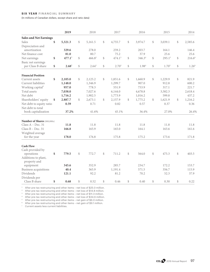#### **SIX YEAR FINANCIAL SUMMARY**

(In millions of Canadian dollars, except share and ratio data)

| <b>Sales and Net Earnings</b><br>Sales<br>\$<br>5,321.3<br>\$<br>5,161.5<br>\$<br>4,755.7<br>\$<br>3,974.7<br>\$<br>3,039.1<br>Depreciation and | \$<br>2,585.6<br>146.4<br>25.6<br>216.6 <sup>6</sup><br>\$ |
|-------------------------------------------------------------------------------------------------------------------------------------------------|------------------------------------------------------------|
|                                                                                                                                                 |                                                            |
|                                                                                                                                                 |                                                            |
|                                                                                                                                                 |                                                            |
| amortization<br>329.6<br>278.0<br>259.2<br>203.7<br>164.1                                                                                       |                                                            |
| Net finance cost<br>37.9<br>25.6<br>81.0<br>80.7<br>75.2                                                                                        |                                                            |
| 477.1 <sup>1</sup><br>$466.8^2$<br>474.1 <sup>3</sup><br>\$<br>\$<br>\$<br>\$<br>346.3 <sup>4</sup><br>295.1 <sup>5</sup><br>Net earnings<br>\$ |                                                            |
| Basic net earnings                                                                                                                              |                                                            |
| \$<br>2.68 <sup>1</sup><br>$\mathbb{S}$<br>\$<br>$2.64^{2}$<br>\$<br>2.70 <sup>3</sup><br>\$<br>1.70 <sup>5</sup><br>per Class B share<br>1.984 | \$<br>1.26 <sup>6</sup>                                    |
| <b>Financial Position</b>                                                                                                                       |                                                            |
| \$<br>\$<br>\$<br>1,851.6<br>\$<br>\$<br>1,229.9<br>Current assets<br>2,105.0<br>2,125.2<br>1,660.9                                             | \$<br>821.9                                                |
| Current liabilities<br>1,346.9<br>1,299.7<br>907.0<br>912.8<br>1,148.0                                                                          | 600.2                                                      |
| 551.9<br>Working capital <sup>7</sup><br>957.0<br>778.3<br>753.9<br>317.1                                                                       | 221.7                                                      |
| Total assets<br>7,038.0<br>7,027.6<br>6,144.0<br>4,678.8<br>3,582.3                                                                             | 2,618.4                                                    |
| Net debt<br>1,716.2<br>1,902.5<br>1,773.9<br>1,016.2<br>599.8                                                                                   | 437.2                                                      |
| 2,673.1<br>1,775.2<br>\$<br>Shareholders' equity<br>\$<br>2.887.7<br>\$<br>\$<br>2,157.9<br>\$<br>1,621.9                                       | \$<br>1,216.2                                              |
| Net debt to equity ratio<br>0.59<br>0.71<br>0.82<br>0.57<br>0.37                                                                                | 0.36                                                       |
| Net debt to total                                                                                                                               |                                                            |
| 37.2%<br>book capitalization<br>41.6%<br>45.1%<br>36.4%<br>27.0%                                                                                | 26.4%                                                      |
| Number of Shares (000,000s)                                                                                                                     |                                                            |
| Class $A - Dec. 31$<br>11.8<br>11.8<br>11.8<br>11.8<br>11.8                                                                                     | 11.8                                                       |
| Class $B - Dec. 31$<br>166.8<br>165.9<br>165.0<br>164.1<br>163.6                                                                                | 161.6                                                      |
| Weighted average                                                                                                                                |                                                            |
| for the year<br>178.0<br>176.8<br>175.8<br>175.2<br>173.6                                                                                       | 171.8                                                      |
| <b>Cash Flow</b>                                                                                                                                |                                                            |
| Cash provided by                                                                                                                                |                                                            |
| \$<br>\$<br>\$<br>779.5<br>\$<br>772.7<br>711.2<br>564.0<br>\$<br>475.3<br>operations                                                           | \$<br>403.5                                                |
| Additions to plant,<br>property and                                                                                                             |                                                            |
| 345.6<br>352.9<br>285.7<br>234.7<br>172.2<br>equipment                                                                                          | 153.7                                                      |
| Business acquisitions<br>40.4<br>365.9<br>1,191.4<br>571.5<br>356.7                                                                             | 115.9                                                      |
| <b>Dividends</b><br>121.1<br>92.2<br>81.2<br>70.2<br>52.3                                                                                       | 37.9                                                       |
| Dividends per<br>0.68<br>\$<br>0.52<br>\$<br>\$<br>\$<br>0.30<br>Class B share<br>\$<br>0.46<br>0.40                                            | \$<br>0.22                                                 |

 $^1$  After pre-tax restructuring and other items – net loss of \$25.0 million.

 $^2$  After pre-tax restructuring and other items – net loss of \$14.8 million.

<sup>3</sup> After pre-tax restructuring and other items - net loss of \$11.3 million.

⁴ After pre-tax restructuring and other items – net loss of \$34.6 million.

<sup>5</sup> After pre-tax restructuring and other items – net gain of \$6.0 million.

 $^{\circ}$  After pre-tax restructuring and other items – net gain of \$9.1 million.

<sup>7</sup> Current assets less current liabilities.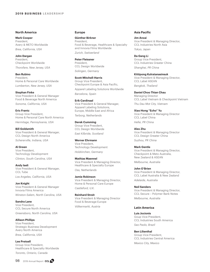#### **North America**

**Mark Cooper** President, Avery & METO Worldwide *Brea, California, USA*

**John Dargan** President, Checkpoint Worldwide *Thorofare, New Jersey, USA*

**Ben Rubino** President, Home & Personal Care Worldwide *Lumberton, New Jersey, USA*

**Stephan Finke** Vice President & General Manager Food & Beverage North America *Sonoma, California, USA*

**Eric Frantz** Group Vice President, Home & Personal Care North America *Hermitage, Pennsylvania, USA*

**Bill Goldsmith** Vice President & General Manager, CCL Design North America *Schererville, Indiana, USA*

**Al Green** Vice President, Technology Development *Clinton, South Carolina, USA*

**Andy Iseli** Vice President & General Manager, CCL Tube *Los Angeles, California, USA*

**Jon Knight** Vice President & General Manager Innovia Films America *Winston-Salem, North Carolina, USA*

**Sandra Lane** Vice President, CCL Secure North America *Greensboro, North Carolina, USA*

**Allison Phillips** Vice President, Strategic Business Development Avery North America *Brea, California, USA*

**Lee Pretsell** Group Vice President, Healthcare & Specialty Worldwide *Toronto, Ontario, Canada*

**Günther Birkner** President, Food & Beverage, Healthcare & Specialty and Innovia Films Worldwide *Zurich, Switzerland*

**Peter Fleissner** President, CCL Design Worldwide *Solingen, Germany*

**Scott Mitchell-Harris** Group Vice President, Checkpoint Europe & Asia Pacific, Apparel Labeling Solutions Worldwide

*Barcelona, Spain*

**Erik Cardinaal** Vice President & General Manager, Apparel Labeling Solutions, Europe, Middle East and Africa *Terborg, Netherlands*

**Derek Cumming** Group Vice President, CCL Design Worldwide *East Kilbride, Scotland*

**Werner Ehrmann** Vice President, Technology Development *Holzkirchen, Germany*

**Mathias Maennel** Vice President & Managing Director, Healthcare & Specialty Europe *Oss, Netherlands*

**Jamie Robinson** Vice President & Managing Director, Home & Personal Care Europe *Castleford, U.K.*

**Reinhard Streit** Vice President & Managing Director Food & Beverage Europe *Völkermarkt, Austria*

#### **Asia Pacific**

**Jim Anzai** Vice President & Managing Director, CCL Industries North Asia *Tokyo, Japan*

**Da Gang Li** Group Vice President, CCL Industries Greater China *Shanghai, PR China*

**Kittipong Kulratanasinsuk** Vice President & Managing Director, CCL Label ASEAN *Bangkok, Thailand*

**Daniel Choo Thian Chau** Managing Director CCL Label Vietnam & Checkpoint Vietnam *Thu Dau Mot City, Vietnam*

**Xiao Hong "Echo" Yu** Vice President & Managing Director CCL Label China *Hefei, PR China*

**Alex Zhu** Vice President & Managing Director CCL Design Greater China *Suzhou, PR China*

**Mark Gentle** Vice President & Managing Director, Checkpoint & Meto Australia, New Zealand & ASEAN

*Melbourne, Australia*

**John O'Brien** Vice President & Managing Director, CCL Label Australia & New Zealand *Adelaide, Australia*

**Neil Sanders** Vice President & Managing Director, CCL Secure – Polymer Bank Notes *Melbourne, Australia*

### **Latin America**

**Luis Jocionis** Goup Vice President, CCL Industries South America *Sao Paolo, Brazil*

**Ben Lilienthal** Group Vice President, CCL Industries Central America *Mexico City, Mexico*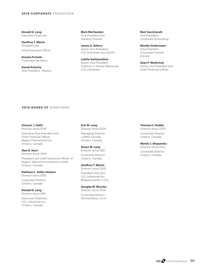**Donald G. Lang** *Executive Chairman*

**Geoffrey T. Martin** *President and Chief Executive Officer*

**Suzana Furtado** *Corporate Secretary*

**Kamal Kotecha** *Vice President, Taxation* **Mark McClendon** *Vice President and General Counsel*

**James A. Sellors** *Senior Vice President, CCL Industries Asia Pacific*

**Lalitha Vaidyanathan** *Senior Vice President, Finance-IT- Human Resources, CCL Industries*

**Nick Vecchiarelli** *Vice President, Corporate Accounting*

**Monika Vodermaier** *Vice President, Corporate Finance Europe* 

**Sean P. Washchuk** *Senior Vice President and Chief Financial Officer*

### **2019 BOARD OF DIRECTORS**

#### **Vincent J. Galifi** Director since 2016

Executive Vice President and Chief Financial Officer Magna International Inc. Ontario, Canada

**Alan D. Horn**

Director since 2019 President and Chief Executive Officer of

Rogers Telecommunications Limited Ontario, Canada

**Kathleen L. Keller-Hobson**

Director since 2015

Corporate Director Ontario, Canada

### **Donald G. Lang**

Director since 1991

Executive Chairman, CCL Industries Inc. Ontario, Canada

**Erin M. Lang** Director since 2016

Managing Director, LUMAS Canada Ontario, Canada

**Stuart W. Lang** Director since 1991 Corporate Director Ontario, Canada

**Geoffrey T. Martin**

Director since 2005 President and CEO, CCL Industries Inc. Massachusetts, U.S.A.

**Douglas W. Muzyka**

Director since 2016 Corporate Director Pennsylvania, U.S.A. **Thomas C. Peddie**

Director since 2003 Corporate Director Ontario, Canada

**Mandy J. Shapansky** Director since 2014 Corporate Director Ontario, Canada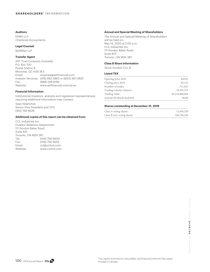## **Auditors**

KPMG LLP Chartered Accountants

### **Legal Counsel**

McMillan LLP

### **Transfer Agent**

AST Trust Company (Canada) P.O. Box 700 Postal Station B Montreal, QC H3B 3K3 Email: inquiries@astfinancial.com Investor Services: (416) 682-3860 or (800) 387-0825 Fax: (888) 249-6189 Website: www.astfinancial.com/ca-en

#### **Financial Information**

Institutional investors, analysts and registered representatives requiring additional information may contact:

Sean Washchuk Senior Vice President and CFO (416) 756-8526

#### **Additional copies of this report can be obtained from:**

CCL Industries Inc. Investor Relations Department 111 Gordon Baker Road Suite 801 Toronto, ON M2H 3R1 Tel: (416) 756-8500 Fax: (416) 756-8555 Email: ccl@cclind.com Website: www.cclind.com

#### **Annual and Special Meeting of Shareholders**

The Annual and Special Meeting of Shareholders will be held on: May 14, 2020 at 2:00 p.m. CCL Industries Inc. 111 Gordon Baker Road Suite 801 Toronto, ON M2H 3R1

#### **Class B Share Information**

Stock Symbol CCL.B

#### **Listed TSX**

| Opening price 2019        | \$49.62         |
|---------------------------|-----------------|
| Closing price 2019        | \$55.32         |
| Number of trades          | 511,633         |
| Trading volume (shares)   | 78,495,376      |
| Trading value             | \$4,518,889,049 |
| Annual dividends declared | \$0.68          |
|                           |                 |

#### **Shares outstanding at December 31, 2019**

| Class A voting shares     | 11,836,250  |
|---------------------------|-------------|
| Class B non-voting shares | 166,790,238 |

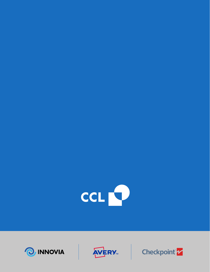